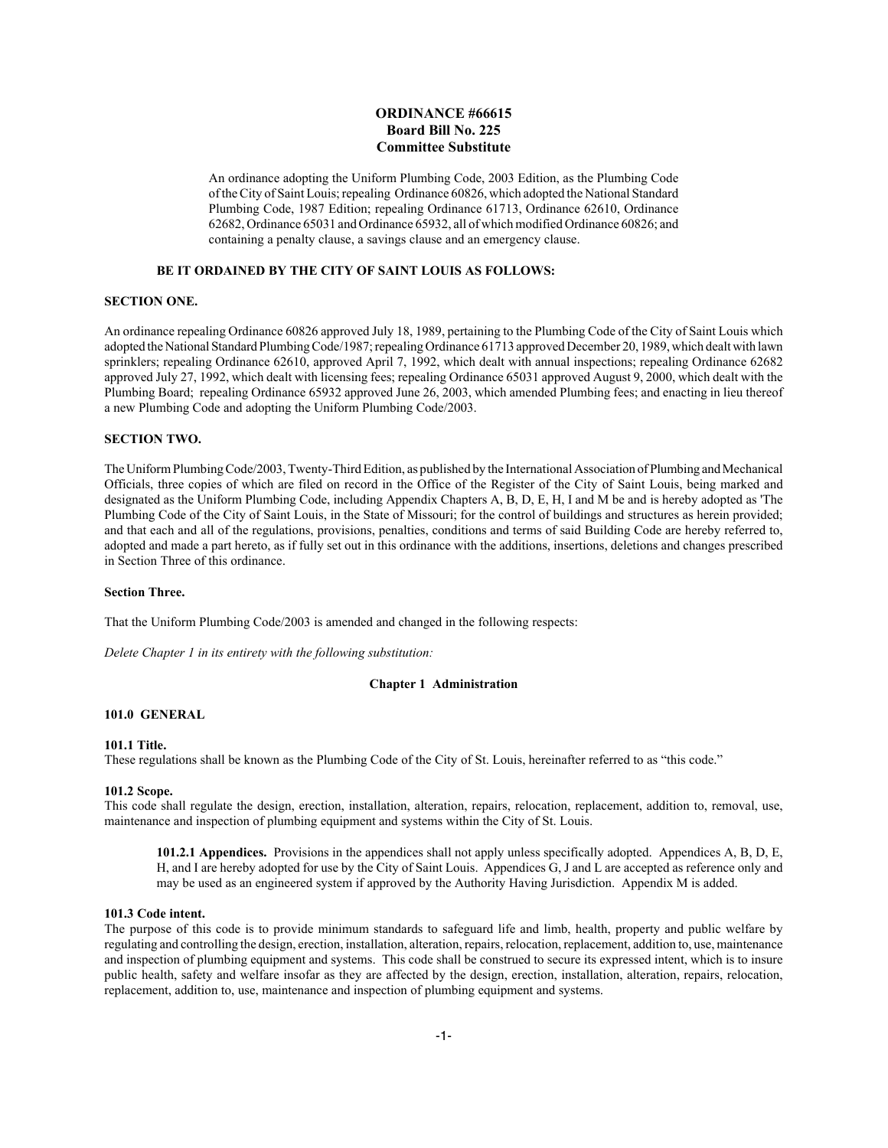## **ORDINANCE #66615 Board Bill No. 225 Committee Substitute**

An ordinance adopting the Uniform Plumbing Code, 2003 Edition, as the Plumbing Code of the City of Saint Louis; repealing Ordinance 60826, which adopted the National Standard Plumbing Code, 1987 Edition; repealing Ordinance 61713, Ordinance 62610, Ordinance 62682, Ordinance 65031 and Ordinance 65932, all of which modified Ordinance 60826; and containing a penalty clause, a savings clause and an emergency clause.

## **BE IT ORDAINED BY THE CITY OF SAINT LOUIS AS FOLLOWS:**

## **SECTION ONE.**

An ordinance repealing Ordinance 60826 approved July 18, 1989, pertaining to the Plumbing Code of the City of Saint Louis which adopted the National Standard Plumbing Code/1987; repealing Ordinance 61713 approved December 20, 1989, which dealt with lawn sprinklers; repealing Ordinance 62610, approved April 7, 1992, which dealt with annual inspections; repealing Ordinance 62682 approved July 27, 1992, which dealt with licensing fees; repealing Ordinance 65031 approved August 9, 2000, which dealt with the Plumbing Board; repealing Ordinance 65932 approved June 26, 2003, which amended Plumbing fees; and enacting in lieu thereof a new Plumbing Code and adopting the Uniform Plumbing Code/2003.

## **SECTION TWO.**

The Uniform Plumbing Code/2003, Twenty-Third Edition, as published by the International Association of Plumbing and Mechanical Officials, three copies of which are filed on record in the Office of the Register of the City of Saint Louis, being marked and designated as the Uniform Plumbing Code, including Appendix Chapters A, B, D, E, H, I and M be and is hereby adopted as 'The Plumbing Code of the City of Saint Louis, in the State of Missouri; for the control of buildings and structures as herein provided; and that each and all of the regulations, provisions, penalties, conditions and terms of said Building Code are hereby referred to, adopted and made a part hereto, as if fully set out in this ordinance with the additions, insertions, deletions and changes prescribed in Section Three of this ordinance.

## **Section Three.**

That the Uniform Plumbing Code/2003 is amended and changed in the following respects:

*Delete Chapter 1 in its entirety with the following substitution:*

#### **Chapter 1 Administration**

#### **101.0 GENERAL**

#### **101.1 Title.**

These regulations shall be known as the Plumbing Code of the City of St. Louis, hereinafter referred to as "this code."

#### **101.2 Scope.**

This code shall regulate the design, erection, installation, alteration, repairs, relocation, replacement, addition to, removal, use, maintenance and inspection of plumbing equipment and systems within the City of St. Louis.

**101.2.1 Appendices.** Provisions in the appendices shall not apply unless specifically adopted. Appendices A, B, D, E, H, and I are hereby adopted for use by the City of Saint Louis. Appendices G, J and L are accepted as reference only and may be used as an engineered system if approved by the Authority Having Jurisdiction. Appendix M is added.

#### **101.3 Code intent.**

The purpose of this code is to provide minimum standards to safeguard life and limb, health, property and public welfare by regulating and controlling the design, erection, installation, alteration, repairs, relocation, replacement, addition to, use, maintenance and inspection of plumbing equipment and systems. This code shall be construed to secure its expressed intent, which is to insure public health, safety and welfare insofar as they are affected by the design, erection, installation, alteration, repairs, relocation, replacement, addition to, use, maintenance and inspection of plumbing equipment and systems.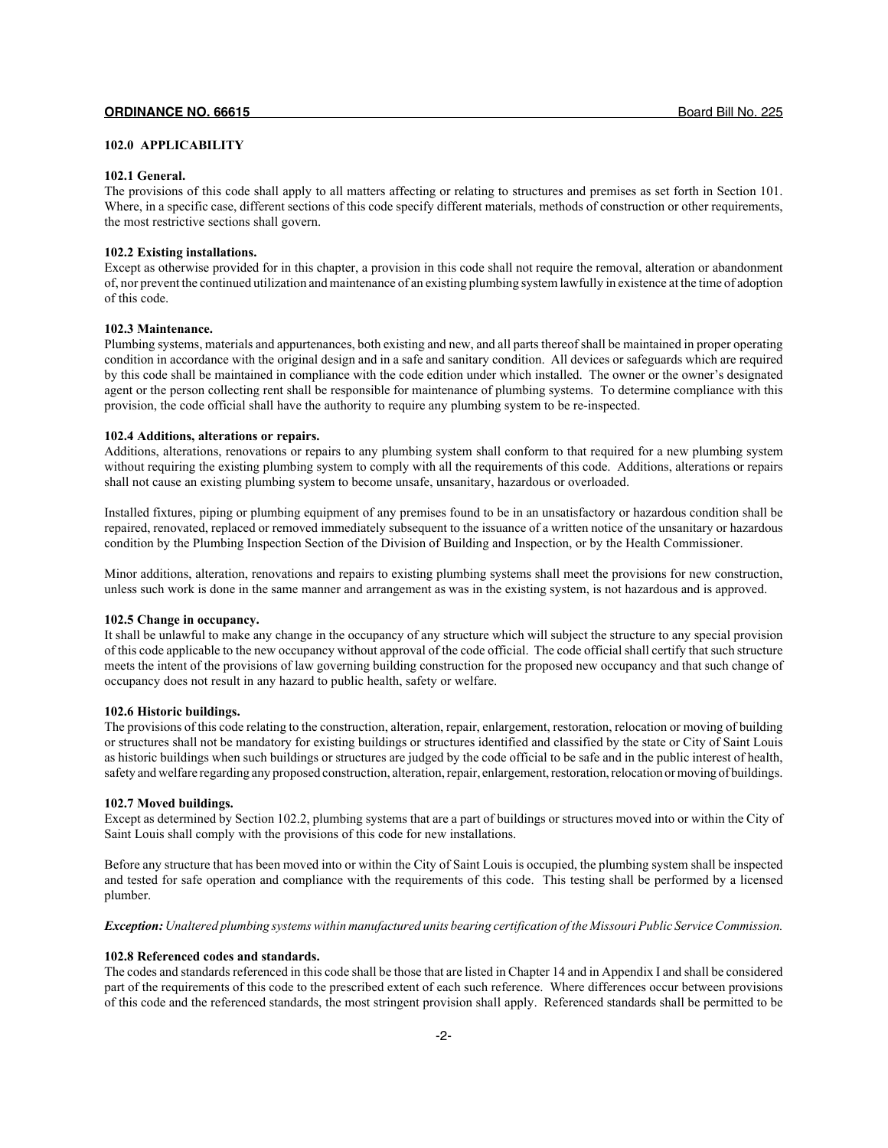## **102.0 APPLICABILITY**

#### **102.1 General.**

The provisions of this code shall apply to all matters affecting or relating to structures and premises as set forth in Section 101. Where, in a specific case, different sections of this code specify different materials, methods of construction or other requirements, the most restrictive sections shall govern.

#### **102.2 Existing installations.**

Except as otherwise provided for in this chapter, a provision in this code shall not require the removal, alteration or abandonment of, nor prevent the continued utilization and maintenance of an existing plumbing system lawfully in existence at the time of adoption of this code.

## **102.3 Maintenance.**

Plumbing systems, materials and appurtenances, both existing and new, and all parts thereof shall be maintained in proper operating condition in accordance with the original design and in a safe and sanitary condition. All devices or safeguards which are required by this code shall be maintained in compliance with the code edition under which installed. The owner or the owner's designated agent or the person collecting rent shall be responsible for maintenance of plumbing systems. To determine compliance with this provision, the code official shall have the authority to require any plumbing system to be re-inspected.

#### **102.4 Additions, alterations or repairs.**

Additions, alterations, renovations or repairs to any plumbing system shall conform to that required for a new plumbing system without requiring the existing plumbing system to comply with all the requirements of this code. Additions, alterations or repairs shall not cause an existing plumbing system to become unsafe, unsanitary, hazardous or overloaded.

Installed fixtures, piping or plumbing equipment of any premises found to be in an unsatisfactory or hazardous condition shall be repaired, renovated, replaced or removed immediately subsequent to the issuance of a written notice of the unsanitary or hazardous condition by the Plumbing Inspection Section of the Division of Building and Inspection, or by the Health Commissioner.

Minor additions, alteration, renovations and repairs to existing plumbing systems shall meet the provisions for new construction, unless such work is done in the same manner and arrangement as was in the existing system, is not hazardous and is approved.

## **102.5 Change in occupancy.**

It shall be unlawful to make any change in the occupancy of any structure which will subject the structure to any special provision of this code applicable to the new occupancy without approval of the code official. The code official shall certify that such structure meets the intent of the provisions of law governing building construction for the proposed new occupancy and that such change of occupancy does not result in any hazard to public health, safety or welfare.

#### **102.6 Historic buildings.**

The provisions of this code relating to the construction, alteration, repair, enlargement, restoration, relocation or moving of building or structures shall not be mandatory for existing buildings or structures identified and classified by the state or City of Saint Louis as historic buildings when such buildings or structures are judged by the code official to be safe and in the public interest of health, safety and welfare regarding any proposed construction, alteration, repair, enlargement, restoration, relocation or moving of buildings.

## **102.7 Moved buildings.**

Except as determined by Section 102.2, plumbing systems that are a part of buildings or structures moved into or within the City of Saint Louis shall comply with the provisions of this code for new installations.

Before any structure that has been moved into or within the City of Saint Louis is occupied, the plumbing system shall be inspected and tested for safe operation and compliance with the requirements of this code. This testing shall be performed by a licensed plumber.

*Exception: Unaltered plumbing systems within manufactured units bearing certification of the Missouri Public Service Commission.*

## **102.8 Referenced codes and standards.**

The codes and standards referenced in this code shall be those that are listed in Chapter 14 and in Appendix I and shall be considered part of the requirements of this code to the prescribed extent of each such reference. Where differences occur between provisions of this code and the referenced standards, the most stringent provision shall apply. Referenced standards shall be permitted to be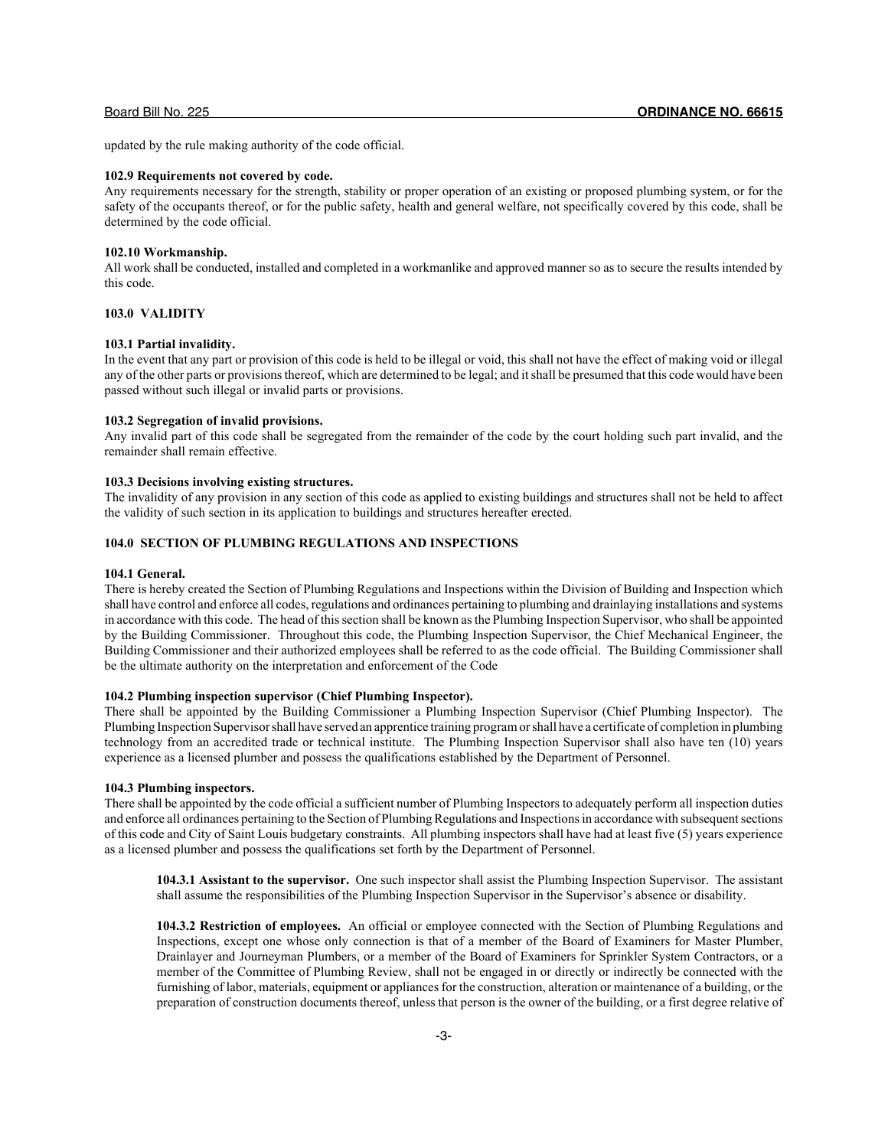updated by the rule making authority of the code official.

## **102.9 Requirements not covered by code.**

Any requirements necessary for the strength, stability or proper operation of an existing or proposed plumbing system, or for the safety of the occupants thereof, or for the public safety, health and general welfare, not specifically covered by this code, shall be determined by the code official.

#### **102.10 Workmanship.**

All work shall be conducted, installed and completed in a workmanlike and approved manner so as to secure the results intended by this code.

## **103.0 VALIDITY**

## **103.1 Partial invalidity.**

In the event that any part or provision of this code is held to be illegal or void, this shall not have the effect of making void or illegal any of the other parts or provisions thereof, which are determined to be legal; and it shall be presumed that this code would have been passed without such illegal or invalid parts or provisions.

## **103.2 Segregation of invalid provisions.**

Any invalid part of this code shall be segregated from the remainder of the code by the court holding such part invalid, and the remainder shall remain effective.

#### **103.3 Decisions involving existing structures.**

The invalidity of any provision in any section of this code as applied to existing buildings and structures shall not be held to affect the validity of such section in its application to buildings and structures hereafter erected.

## **104.0 SECTION OF PLUMBING REGULATIONS AND INSPECTIONS**

#### **104.1 General.**

There is hereby created the Section of Plumbing Regulations and Inspections within the Division of Building and Inspection which shall have control and enforce all codes, regulations and ordinances pertaining to plumbing and drainlaying installations and systems in accordance with this code. The head of this section shall be known as the Plumbing Inspection Supervisor, who shall be appointed by the Building Commissioner. Throughout this code, the Plumbing Inspection Supervisor, the Chief Mechanical Engineer, the Building Commissioner and their authorized employees shall be referred to as the code official. The Building Commissioner shall be the ultimate authority on the interpretation and enforcement of the Code

#### **104.2 Plumbing inspection supervisor (Chief Plumbing Inspector).**

There shall be appointed by the Building Commissioner a Plumbing Inspection Supervisor (Chief Plumbing Inspector). The Plumbing Inspection Supervisor shall have served an apprentice training program or shall have a certificate of completion in plumbing technology from an accredited trade or technical institute. The Plumbing Inspection Supervisor shall also have ten (10) years experience as a licensed plumber and possess the qualifications established by the Department of Personnel.

## **104.3 Plumbing inspectors.**

There shall be appointed by the code official a sufficient number of Plumbing Inspectors to adequately perform all inspection duties and enforce all ordinances pertaining to the Section of Plumbing Regulations and Inspections in accordance with subsequent sections of this code and City of Saint Louis budgetary constraints. All plumbing inspectors shall have had at least five (5) years experience as a licensed plumber and possess the qualifications set forth by the Department of Personnel.

**104.3.1 Assistant to the supervisor.** One such inspector shall assist the Plumbing Inspection Supervisor. The assistant shall assume the responsibilities of the Plumbing Inspection Supervisor in the Supervisor's absence or disability.

**104.3.2 Restriction of employees.** An official or employee connected with the Section of Plumbing Regulations and Inspections, except one whose only connection is that of a member of the Board of Examiners for Master Plumber, Drainlayer and Journeyman Plumbers, or a member of the Board of Examiners for Sprinkler System Contractors, or a member of the Committee of Plumbing Review, shall not be engaged in or directly or indirectly be connected with the furnishing of labor, materials, equipment or appliances for the construction, alteration or maintenance of a building, or the preparation of construction documents thereof, unless that person is the owner of the building, or a first degree relative of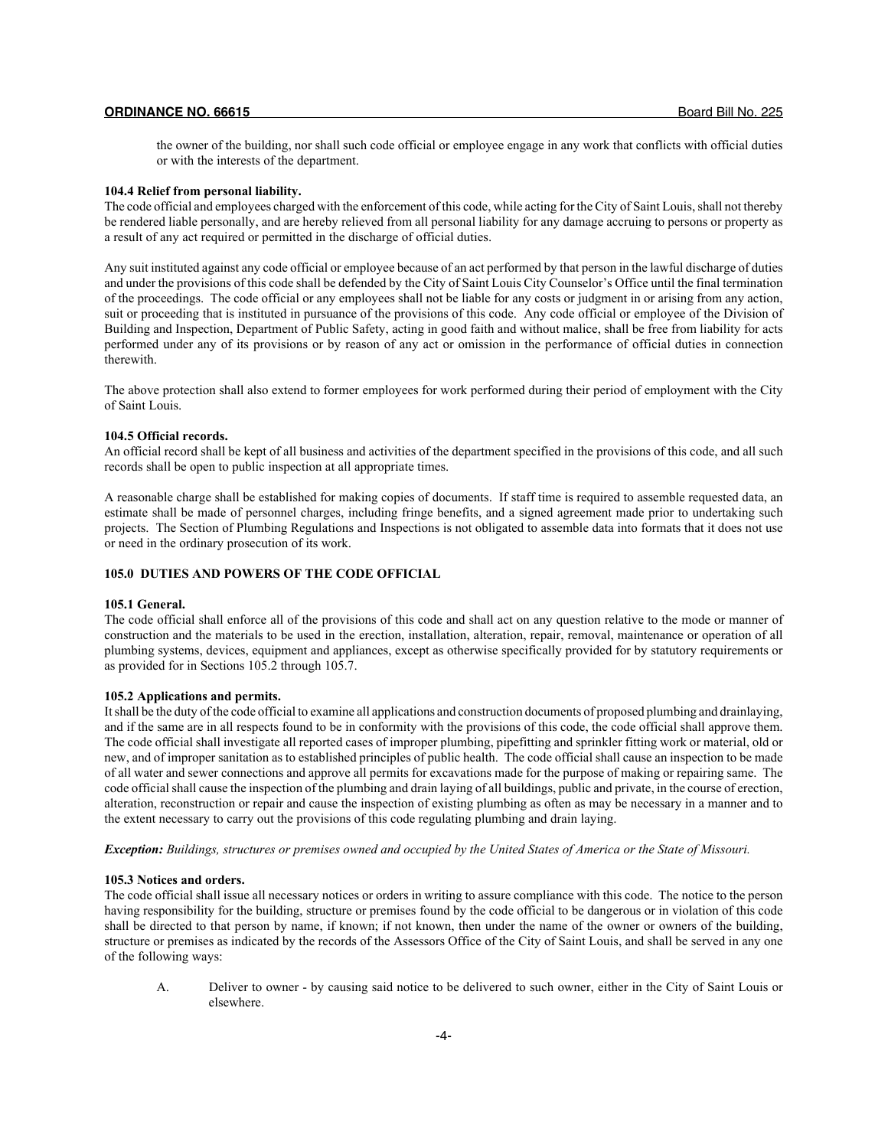the owner of the building, nor shall such code official or employee engage in any work that conflicts with official duties or with the interests of the department.

## **104.4 Relief from personal liability.**

The code official and employees charged with the enforcement of this code, while acting for the City of Saint Louis, shall not thereby be rendered liable personally, and are hereby relieved from all personal liability for any damage accruing to persons or property as a result of any act required or permitted in the discharge of official duties.

Any suit instituted against any code official or employee because of an act performed by that person in the lawful discharge of duties and under the provisions of this code shall be defended by the City of Saint Louis City Counselor's Office until the final termination of the proceedings. The code official or any employees shall not be liable for any costs or judgment in or arising from any action, suit or proceeding that is instituted in pursuance of the provisions of this code. Any code official or employee of the Division of Building and Inspection, Department of Public Safety, acting in good faith and without malice, shall be free from liability for acts performed under any of its provisions or by reason of any act or omission in the performance of official duties in connection therewith.

The above protection shall also extend to former employees for work performed during their period of employment with the City of Saint Louis.

#### **104.5 Official records.**

An official record shall be kept of all business and activities of the department specified in the provisions of this code, and all such records shall be open to public inspection at all appropriate times.

A reasonable charge shall be established for making copies of documents. If staff time is required to assemble requested data, an estimate shall be made of personnel charges, including fringe benefits, and a signed agreement made prior to undertaking such projects. The Section of Plumbing Regulations and Inspections is not obligated to assemble data into formats that it does not use or need in the ordinary prosecution of its work.

## **105.0 DUTIES AND POWERS OF THE CODE OFFICIAL**

## **105.1 General.**

The code official shall enforce all of the provisions of this code and shall act on any question relative to the mode or manner of construction and the materials to be used in the erection, installation, alteration, repair, removal, maintenance or operation of all plumbing systems, devices, equipment and appliances, except as otherwise specifically provided for by statutory requirements or as provided for in Sections 105.2 through 105.7.

## **105.2 Applications and permits.**

It shall be the duty of the code official to examine all applications and construction documents of proposed plumbing and drainlaying, and if the same are in all respects found to be in conformity with the provisions of this code, the code official shall approve them. The code official shall investigate all reported cases of improper plumbing, pipefitting and sprinkler fitting work or material, old or new, and of improper sanitation as to established principles of public health. The code official shall cause an inspection to be made of all water and sewer connections and approve all permits for excavations made for the purpose of making or repairing same. The code official shall cause the inspection of the plumbing and drain laying of all buildings, public and private, in the course of erection, alteration, reconstruction or repair and cause the inspection of existing plumbing as often as may be necessary in a manner and to the extent necessary to carry out the provisions of this code regulating plumbing and drain laying.

*Exception: Buildings, structures or premises owned and occupied by the United States of America or the State of Missouri.*

#### **105.3 Notices and orders.**

The code official shall issue all necessary notices or orders in writing to assure compliance with this code. The notice to the person having responsibility for the building, structure or premises found by the code official to be dangerous or in violation of this code shall be directed to that person by name, if known; if not known, then under the name of the owner or owners of the building, structure or premises as indicated by the records of the Assessors Office of the City of Saint Louis, and shall be served in any one of the following ways:

A. Deliver to owner - by causing said notice to be delivered to such owner, either in the City of Saint Louis or elsewhere.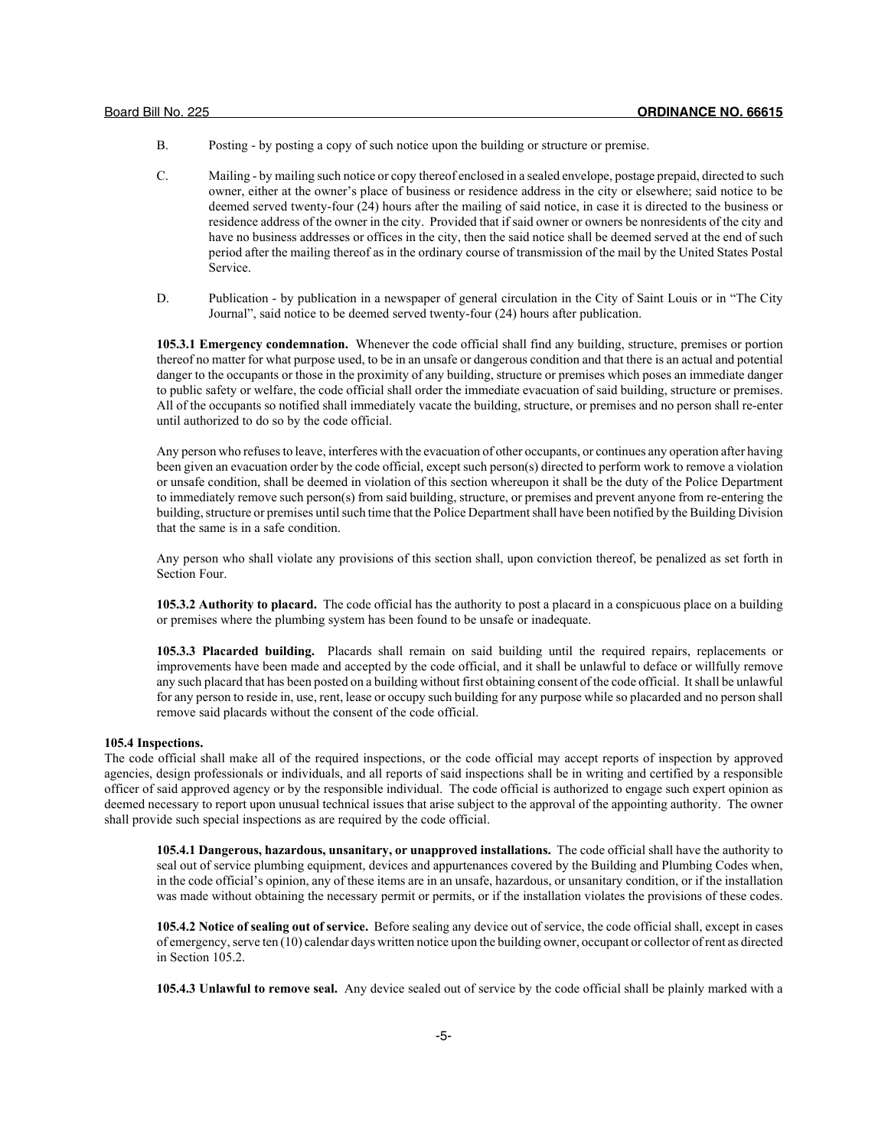- B. Posting by posting a copy of such notice upon the building or structure or premise.
- C. Mailing by mailing such notice or copy thereof enclosed in a sealed envelope, postage prepaid, directed to such owner, either at the owner's place of business or residence address in the city or elsewhere; said notice to be deemed served twenty-four (24) hours after the mailing of said notice, in case it is directed to the business or residence address of the owner in the city. Provided that if said owner or owners be nonresidents of the city and have no business addresses or offices in the city, then the said notice shall be deemed served at the end of such period after the mailing thereof as in the ordinary course of transmission of the mail by the United States Postal Service.
- D. Publication by publication in a newspaper of general circulation in the City of Saint Louis or in "The City Journal", said notice to be deemed served twenty-four (24) hours after publication.

**105.3.1 Emergency condemnation.** Whenever the code official shall find any building, structure, premises or portion thereof no matter for what purpose used, to be in an unsafe or dangerous condition and that there is an actual and potential danger to the occupants or those in the proximity of any building, structure or premises which poses an immediate danger to public safety or welfare, the code official shall order the immediate evacuation of said building, structure or premises. All of the occupants so notified shall immediately vacate the building, structure, or premises and no person shall re-enter until authorized to do so by the code official.

Any person who refuses to leave, interferes with the evacuation of other occupants, or continues any operation after having been given an evacuation order by the code official, except such person(s) directed to perform work to remove a violation or unsafe condition, shall be deemed in violation of this section whereupon it shall be the duty of the Police Department to immediately remove such person(s) from said building, structure, or premises and prevent anyone from re-entering the building, structure or premises until such time that the Police Department shall have been notified by the Building Division that the same is in a safe condition.

Any person who shall violate any provisions of this section shall, upon conviction thereof, be penalized as set forth in Section Four.

**105.3.2 Authority to placard.** The code official has the authority to post a placard in a conspicuous place on a building or premises where the plumbing system has been found to be unsafe or inadequate.

**105.3.3 Placarded building.** Placards shall remain on said building until the required repairs, replacements or improvements have been made and accepted by the code official, and it shall be unlawful to deface or willfully remove any such placard that has been posted on a building without first obtaining consent of the code official. It shall be unlawful for any person to reside in, use, rent, lease or occupy such building for any purpose while so placarded and no person shall remove said placards without the consent of the code official.

## **105.4 Inspections.**

The code official shall make all of the required inspections, or the code official may accept reports of inspection by approved agencies, design professionals or individuals, and all reports of said inspections shall be in writing and certified by a responsible officer of said approved agency or by the responsible individual. The code official is authorized to engage such expert opinion as deemed necessary to report upon unusual technical issues that arise subject to the approval of the appointing authority. The owner shall provide such special inspections as are required by the code official.

**105.4.1 Dangerous, hazardous, unsanitary, or unapproved installations.** The code official shall have the authority to seal out of service plumbing equipment, devices and appurtenances covered by the Building and Plumbing Codes when, in the code official's opinion, any of these items are in an unsafe, hazardous, or unsanitary condition, or if the installation was made without obtaining the necessary permit or permits, or if the installation violates the provisions of these codes.

**105.4.2 Notice of sealing out of service.** Before sealing any device out of service, the code official shall, except in cases of emergency, serve ten (10) calendar days written notice upon the building owner, occupant or collector of rent as directed in Section 105.2.

**105.4.3 Unlawful to remove seal.** Any device sealed out of service by the code official shall be plainly marked with a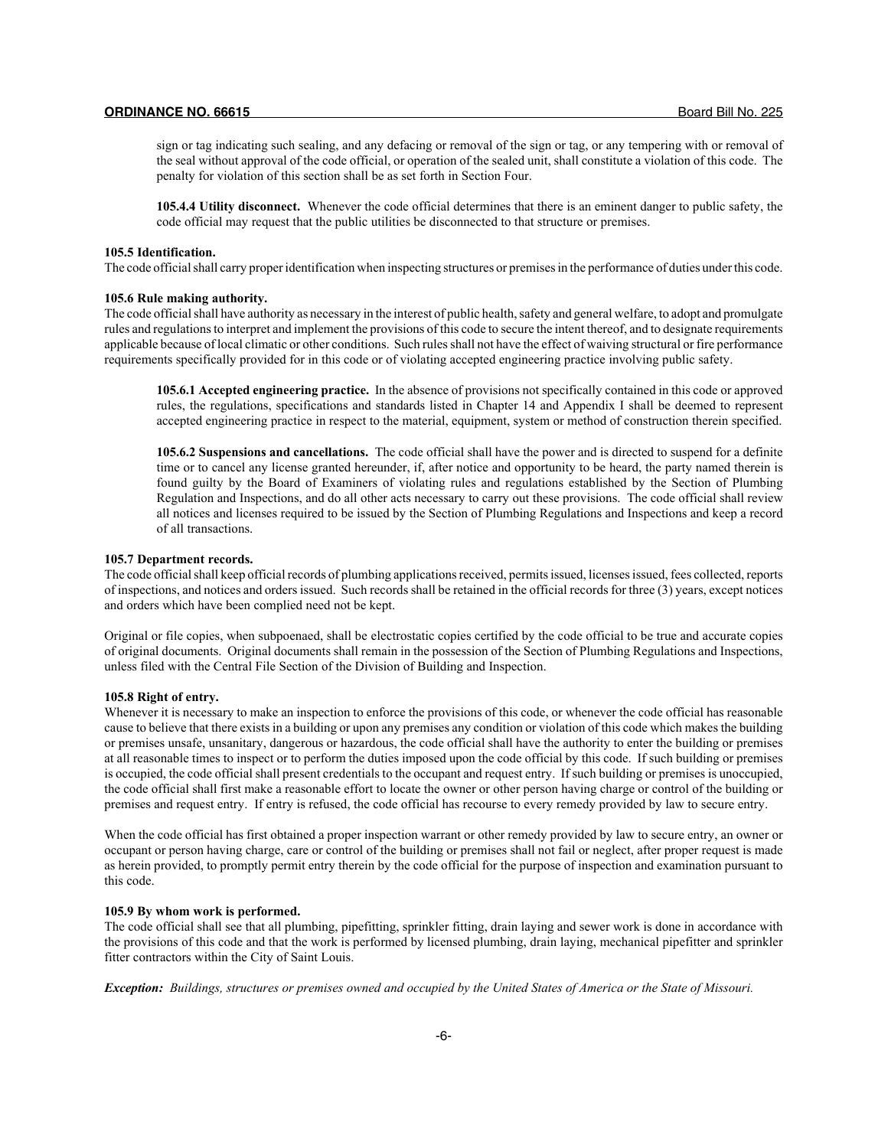sign or tag indicating such sealing, and any defacing or removal of the sign or tag, or any tempering with or removal of the seal without approval of the code official, or operation of the sealed unit, shall constitute a violation of this code. The penalty for violation of this section shall be as set forth in Section Four.

**105.4.4 Utility disconnect.** Whenever the code official determines that there is an eminent danger to public safety, the code official may request that the public utilities be disconnected to that structure or premises.

#### **105.5 Identification.**

The code official shall carry proper identification when inspecting structures or premises in the performance of duties under this code.

## **105.6 Rule making authority.**

The code official shall have authority as necessary in the interest of public health, safety and general welfare, to adopt and promulgate rules and regulations to interpret and implement the provisions of this code to secure the intent thereof, and to designate requirements applicable because of local climatic or other conditions. Such rules shall not have the effect of waiving structural or fire performance requirements specifically provided for in this code or of violating accepted engineering practice involving public safety.

**105.6.1 Accepted engineering practice.** In the absence of provisions not specifically contained in this code or approved rules, the regulations, specifications and standards listed in Chapter 14 and Appendix I shall be deemed to represent accepted engineering practice in respect to the material, equipment, system or method of construction therein specified.

**105.6.2 Suspensions and cancellations.** The code official shall have the power and is directed to suspend for a definite time or to cancel any license granted hereunder, if, after notice and opportunity to be heard, the party named therein is found guilty by the Board of Examiners of violating rules and regulations established by the Section of Plumbing Regulation and Inspections, and do all other acts necessary to carry out these provisions. The code official shall review all notices and licenses required to be issued by the Section of Plumbing Regulations and Inspections and keep a record of all transactions.

#### **105.7 Department records.**

The code official shall keep official records of plumbing applications received, permits issued, licenses issued, fees collected, reports of inspections, and notices and orders issued. Such records shall be retained in the official records for three (3) years, except notices and orders which have been complied need not be kept.

Original or file copies, when subpoenaed, shall be electrostatic copies certified by the code official to be true and accurate copies of original documents. Original documents shall remain in the possession of the Section of Plumbing Regulations and Inspections, unless filed with the Central File Section of the Division of Building and Inspection.

#### **105.8 Right of entry.**

Whenever it is necessary to make an inspection to enforce the provisions of this code, or whenever the code official has reasonable cause to believe that there exists in a building or upon any premises any condition or violation of this code which makes the building or premises unsafe, unsanitary, dangerous or hazardous, the code official shall have the authority to enter the building or premises at all reasonable times to inspect or to perform the duties imposed upon the code official by this code. If such building or premises is occupied, the code official shall present credentials to the occupant and request entry. If such building or premises is unoccupied, the code official shall first make a reasonable effort to locate the owner or other person having charge or control of the building or premises and request entry. If entry is refused, the code official has recourse to every remedy provided by law to secure entry.

When the code official has first obtained a proper inspection warrant or other remedy provided by law to secure entry, an owner or occupant or person having charge, care or control of the building or premises shall not fail or neglect, after proper request is made as herein provided, to promptly permit entry therein by the code official for the purpose of inspection and examination pursuant to this code.

## **105.9 By whom work is performed.**

The code official shall see that all plumbing, pipefitting, sprinkler fitting, drain laying and sewer work is done in accordance with the provisions of this code and that the work is performed by licensed plumbing, drain laying, mechanical pipefitter and sprinkler fitter contractors within the City of Saint Louis.

*Exception: Buildings, structures or premises owned and occupied by the United States of America or the State of Missouri.*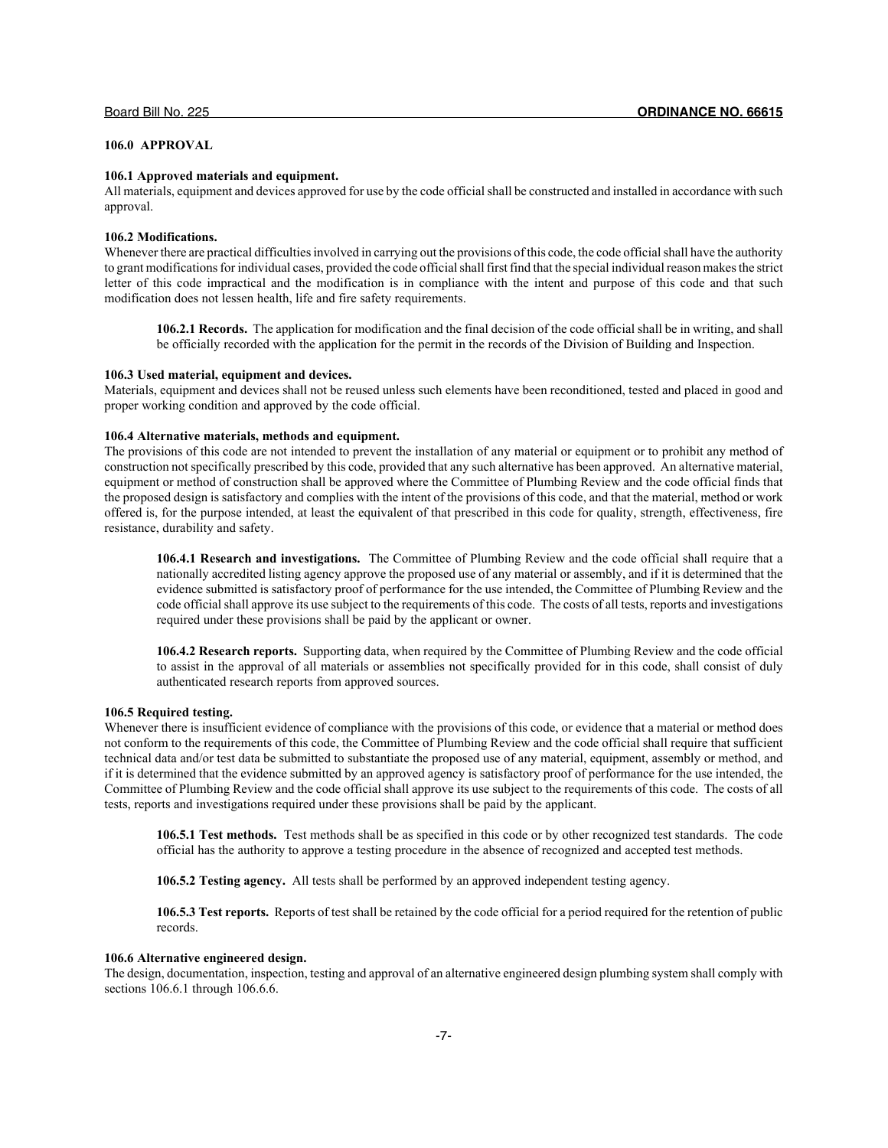## **106.0 APPROVAL**

## **106.1 Approved materials and equipment.**

All materials, equipment and devices approved for use by the code official shall be constructed and installed in accordance with such approval.

## **106.2 Modifications.**

Whenever there are practical difficulties involved in carrying out the provisions of this code, the code official shall have the authority to grant modifications for individual cases, provided the code official shall first find that the special individual reason makes the strict letter of this code impractical and the modification is in compliance with the intent and purpose of this code and that such modification does not lessen health, life and fire safety requirements.

**106.2.1 Records.** The application for modification and the final decision of the code official shall be in writing, and shall be officially recorded with the application for the permit in the records of the Division of Building and Inspection.

## **106.3 Used material, equipment and devices.**

Materials, equipment and devices shall not be reused unless such elements have been reconditioned, tested and placed in good and proper working condition and approved by the code official.

#### **106.4 Alternative materials, methods and equipment.**

The provisions of this code are not intended to prevent the installation of any material or equipment or to prohibit any method of construction not specifically prescribed by this code, provided that any such alternative has been approved. An alternative material, equipment or method of construction shall be approved where the Committee of Plumbing Review and the code official finds that the proposed design is satisfactory and complies with the intent of the provisions of this code, and that the material, method or work offered is, for the purpose intended, at least the equivalent of that prescribed in this code for quality, strength, effectiveness, fire resistance, durability and safety.

**106.4.1 Research and investigations.** The Committee of Plumbing Review and the code official shall require that a nationally accredited listing agency approve the proposed use of any material or assembly, and if it is determined that the evidence submitted is satisfactory proof of performance for the use intended, the Committee of Plumbing Review and the code official shall approve its use subject to the requirements of this code. The costs of all tests, reports and investigations required under these provisions shall be paid by the applicant or owner.

**106.4.2 Research reports.** Supporting data, when required by the Committee of Plumbing Review and the code official to assist in the approval of all materials or assemblies not specifically provided for in this code, shall consist of duly authenticated research reports from approved sources.

## **106.5 Required testing.**

Whenever there is insufficient evidence of compliance with the provisions of this code, or evidence that a material or method does not conform to the requirements of this code, the Committee of Plumbing Review and the code official shall require that sufficient technical data and/or test data be submitted to substantiate the proposed use of any material, equipment, assembly or method, and if it is determined that the evidence submitted by an approved agency is satisfactory proof of performance for the use intended, the Committee of Plumbing Review and the code official shall approve its use subject to the requirements of this code. The costs of all tests, reports and investigations required under these provisions shall be paid by the applicant.

**106.5.1 Test methods.** Test methods shall be as specified in this code or by other recognized test standards. The code official has the authority to approve a testing procedure in the absence of recognized and accepted test methods.

**106.5.2 Testing agency.** All tests shall be performed by an approved independent testing agency.

**106.5.3 Test reports.** Reports of test shall be retained by the code official for a period required for the retention of public records.

## **106.6 Alternative engineered design.**

The design, documentation, inspection, testing and approval of an alternative engineered design plumbing system shall comply with sections 106.6.1 through 106.6.6.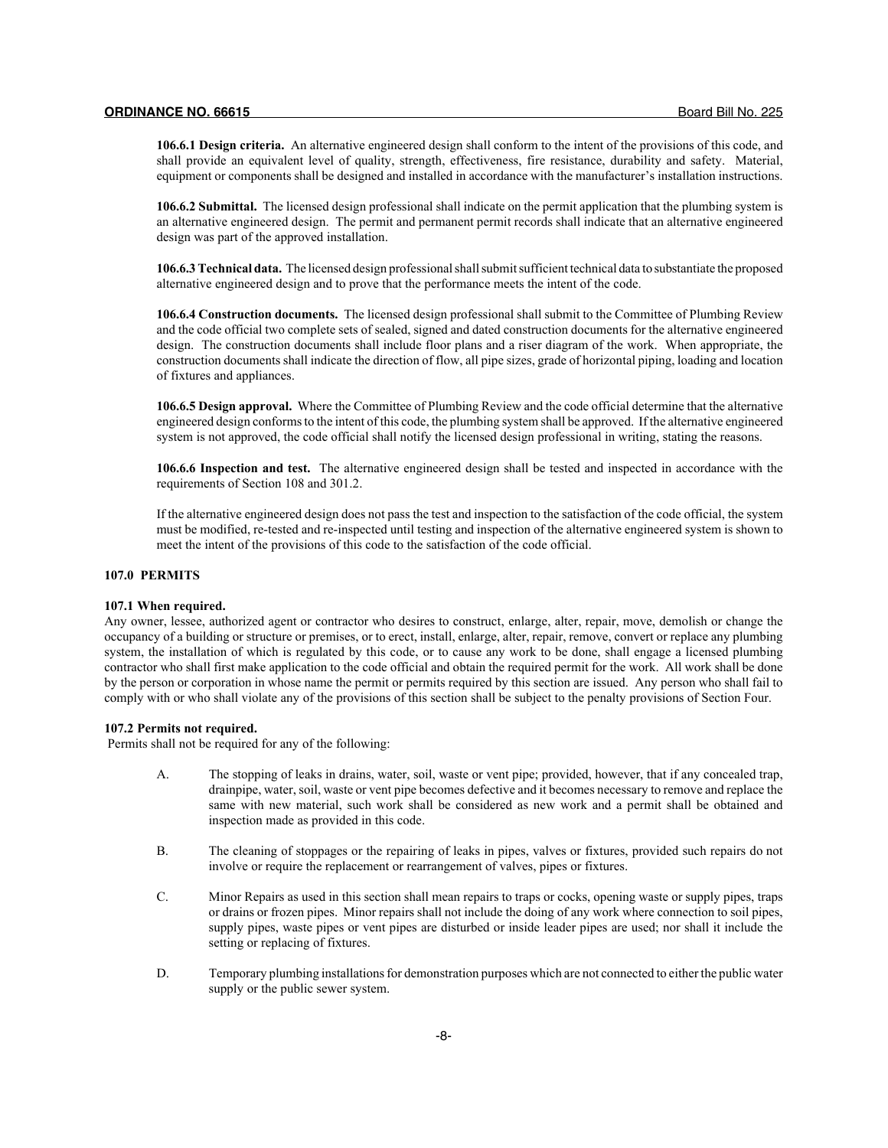**106.6.1 Design criteria.** An alternative engineered design shall conform to the intent of the provisions of this code, and shall provide an equivalent level of quality, strength, effectiveness, fire resistance, durability and safety. Material, equipment or components shall be designed and installed in accordance with the manufacturer's installation instructions.

**106.6.2 Submittal.** The licensed design professional shall indicate on the permit application that the plumbing system is an alternative engineered design. The permit and permanent permit records shall indicate that an alternative engineered design was part of the approved installation.

**106.6.3 Technical data.** The licensed design professional shall submit sufficient technical data to substantiate the proposed alternative engineered design and to prove that the performance meets the intent of the code.

**106.6.4 Construction documents.** The licensed design professional shall submit to the Committee of Plumbing Review and the code official two complete sets of sealed, signed and dated construction documents for the alternative engineered design. The construction documents shall include floor plans and a riser diagram of the work. When appropriate, the construction documents shall indicate the direction of flow, all pipe sizes, grade of horizontal piping, loading and location of fixtures and appliances.

**106.6.5 Design approval.** Where the Committee of Plumbing Review and the code official determine that the alternative engineered design conforms to the intent of this code, the plumbing system shall be approved. If the alternative engineered system is not approved, the code official shall notify the licensed design professional in writing, stating the reasons.

**106.6.6 Inspection and test.** The alternative engineered design shall be tested and inspected in accordance with the requirements of Section 108 and 301.2.

If the alternative engineered design does not pass the test and inspection to the satisfaction of the code official, the system must be modified, re-tested and re-inspected until testing and inspection of the alternative engineered system is shown to meet the intent of the provisions of this code to the satisfaction of the code official.

## **107.0 PERMITS**

#### **107.1 When required.**

Any owner, lessee, authorized agent or contractor who desires to construct, enlarge, alter, repair, move, demolish or change the occupancy of a building or structure or premises, or to erect, install, enlarge, alter, repair, remove, convert or replace any plumbing system, the installation of which is regulated by this code, or to cause any work to be done, shall engage a licensed plumbing contractor who shall first make application to the code official and obtain the required permit for the work. All work shall be done by the person or corporation in whose name the permit or permits required by this section are issued. Any person who shall fail to comply with or who shall violate any of the provisions of this section shall be subject to the penalty provisions of Section Four.

## **107.2 Permits not required.**

Permits shall not be required for any of the following:

- A. The stopping of leaks in drains, water, soil, waste or vent pipe; provided, however, that if any concealed trap, drainpipe, water, soil, waste or vent pipe becomes defective and it becomes necessary to remove and replace the same with new material, such work shall be considered as new work and a permit shall be obtained and inspection made as provided in this code.
- B. The cleaning of stoppages or the repairing of leaks in pipes, valves or fixtures, provided such repairs do not involve or require the replacement or rearrangement of valves, pipes or fixtures.
- C. Minor Repairs as used in this section shall mean repairs to traps or cocks, opening waste or supply pipes, traps or drains or frozen pipes. Minor repairs shall not include the doing of any work where connection to soil pipes, supply pipes, waste pipes or vent pipes are disturbed or inside leader pipes are used; nor shall it include the setting or replacing of fixtures.
- D. Temporary plumbing installations for demonstration purposes which are not connected to either the public water supply or the public sewer system.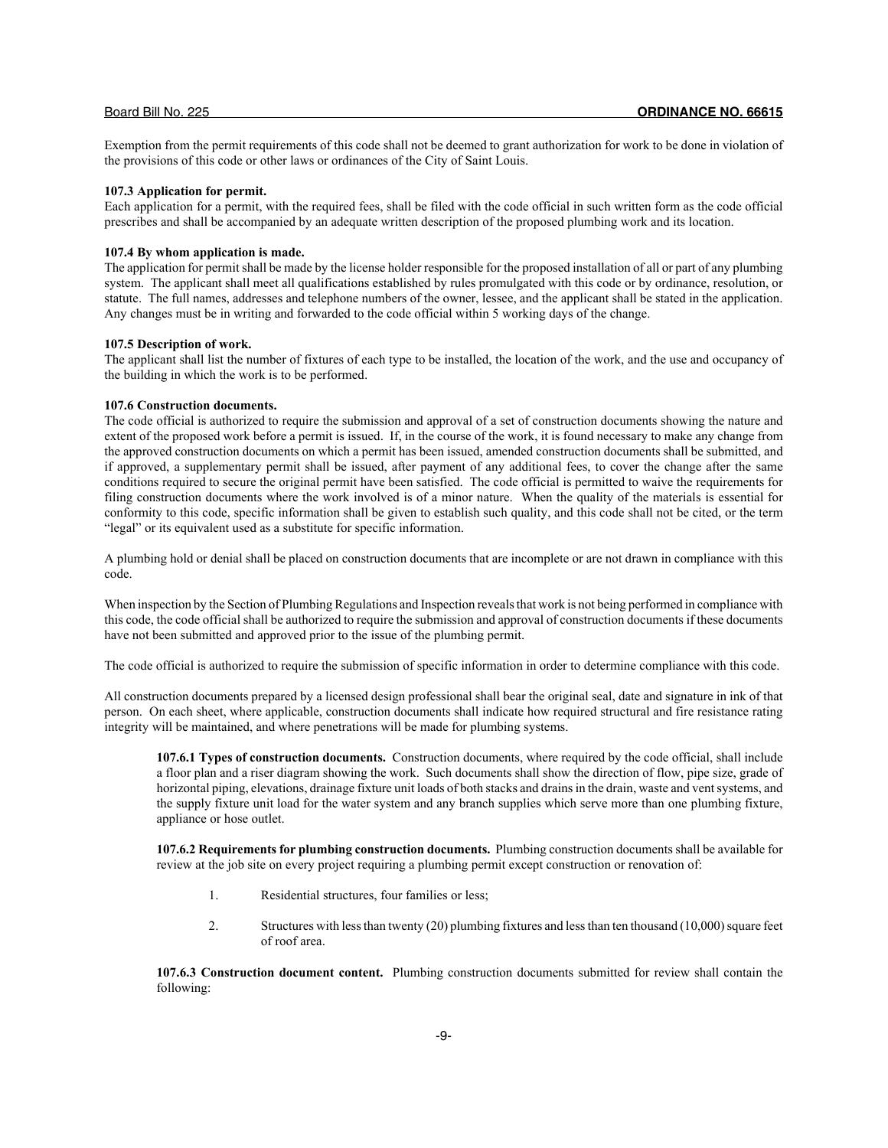Exemption from the permit requirements of this code shall not be deemed to grant authorization for work to be done in violation of the provisions of this code or other laws or ordinances of the City of Saint Louis.

## **107.3 Application for permit.**

Each application for a permit, with the required fees, shall be filed with the code official in such written form as the code official prescribes and shall be accompanied by an adequate written description of the proposed plumbing work and its location.

#### **107.4 By whom application is made.**

The application for permit shall be made by the license holder responsible for the proposed installation of all or part of any plumbing system. The applicant shall meet all qualifications established by rules promulgated with this code or by ordinance, resolution, or statute. The full names, addresses and telephone numbers of the owner, lessee, and the applicant shall be stated in the application. Any changes must be in writing and forwarded to the code official within 5 working days of the change.

## **107.5 Description of work.**

The applicant shall list the number of fixtures of each type to be installed, the location of the work, and the use and occupancy of the building in which the work is to be performed.

## **107.6 Construction documents.**

The code official is authorized to require the submission and approval of a set of construction documents showing the nature and extent of the proposed work before a permit is issued. If, in the course of the work, it is found necessary to make any change from the approved construction documents on which a permit has been issued, amended construction documents shall be submitted, and if approved, a supplementary permit shall be issued, after payment of any additional fees, to cover the change after the same conditions required to secure the original permit have been satisfied. The code official is permitted to waive the requirements for filing construction documents where the work involved is of a minor nature. When the quality of the materials is essential for conformity to this code, specific information shall be given to establish such quality, and this code shall not be cited, or the term "legal" or its equivalent used as a substitute for specific information.

A plumbing hold or denial shall be placed on construction documents that are incomplete or are not drawn in compliance with this code.

When inspection by the Section of Plumbing Regulations and Inspection reveals that work is not being performed in compliance with this code, the code official shall be authorized to require the submission and approval of construction documents if these documents have not been submitted and approved prior to the issue of the plumbing permit.

The code official is authorized to require the submission of specific information in order to determine compliance with this code.

All construction documents prepared by a licensed design professional shall bear the original seal, date and signature in ink of that person. On each sheet, where applicable, construction documents shall indicate how required structural and fire resistance rating integrity will be maintained, and where penetrations will be made for plumbing systems.

**107.6.1 Types of construction documents.** Construction documents, where required by the code official, shall include a floor plan and a riser diagram showing the work. Such documents shall show the direction of flow, pipe size, grade of horizontal piping, elevations, drainage fixture unit loads of both stacks and drains in the drain, waste and vent systems, and the supply fixture unit load for the water system and any branch supplies which serve more than one plumbing fixture, appliance or hose outlet.

**107.6.2 Requirements for plumbing construction documents.** Plumbing construction documents shall be available for review at the job site on every project requiring a plumbing permit except construction or renovation of:

- 1. Residential structures, four families or less;
- 2. Structures with less than twenty (20) plumbing fixtures and less than ten thousand (10,000) square feet of roof area.

**107.6.3 Construction document content.** Plumbing construction documents submitted for review shall contain the following: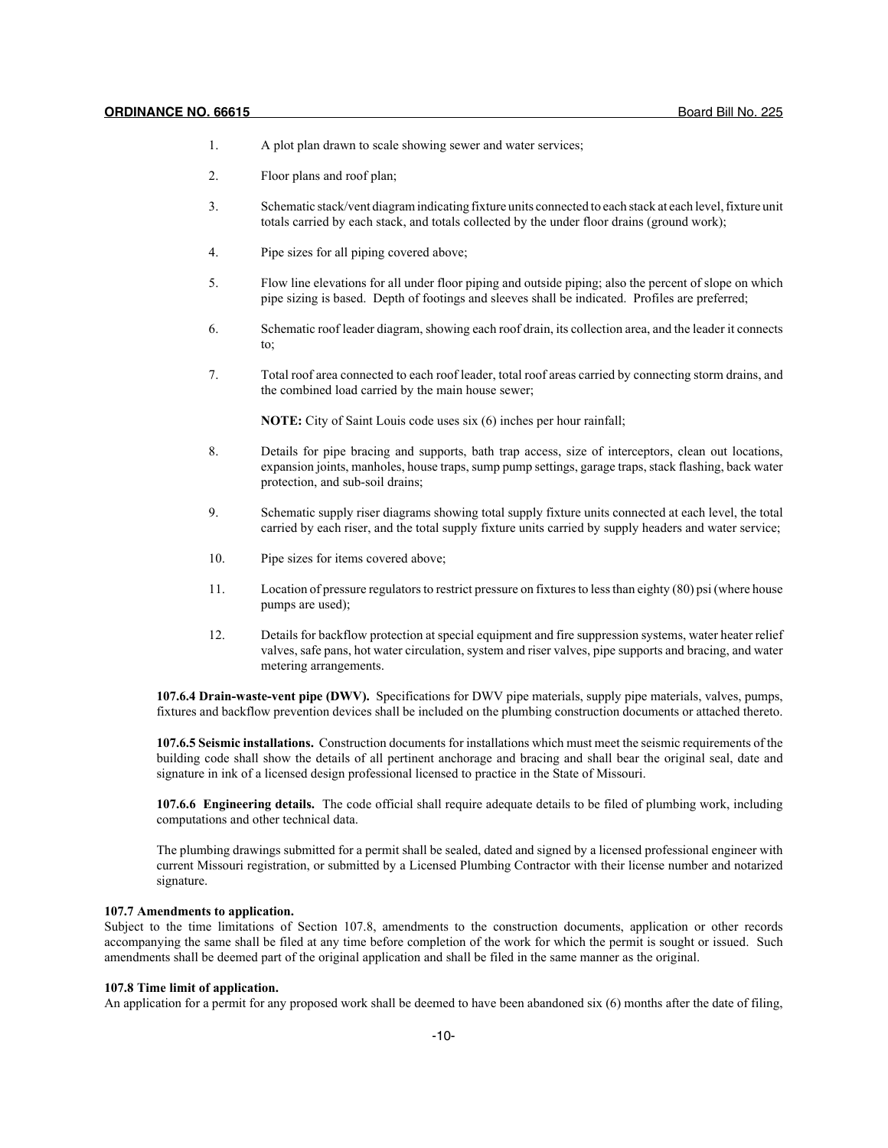- 1. A plot plan drawn to scale showing sewer and water services;
- 2. Floor plans and roof plan;
- 3. Schematic stack/vent diagram indicating fixture units connected to each stack at each level, fixture unit totals carried by each stack, and totals collected by the under floor drains (ground work);
- 4. Pipe sizes for all piping covered above;
- 5. Flow line elevations for all under floor piping and outside piping; also the percent of slope on which pipe sizing is based. Depth of footings and sleeves shall be indicated. Profiles are preferred;
- 6. Schematic roof leader diagram, showing each roof drain, its collection area, and the leader it connects to;
- 7. Total roof area connected to each roof leader, total roof areas carried by connecting storm drains, and the combined load carried by the main house sewer;

**NOTE:** City of Saint Louis code uses six (6) inches per hour rainfall;

- 8. Details for pipe bracing and supports, bath trap access, size of interceptors, clean out locations, expansion joints, manholes, house traps, sump pump settings, garage traps, stack flashing, back water protection, and sub-soil drains;
- 9. Schematic supply riser diagrams showing total supply fixture units connected at each level, the total carried by each riser, and the total supply fixture units carried by supply headers and water service;
- 10. Pipe sizes for items covered above;
- 11. Location of pressure regulators to restrict pressure on fixtures to less than eighty (80) psi (where house pumps are used);
- 12. Details for backflow protection at special equipment and fire suppression systems, water heater relief valves, safe pans, hot water circulation, system and riser valves, pipe supports and bracing, and water metering arrangements.

**107.6.4 Drain-waste-vent pipe (DWV).** Specifications for DWV pipe materials, supply pipe materials, valves, pumps, fixtures and backflow prevention devices shall be included on the plumbing construction documents or attached thereto.

**107.6.5 Seismic installations.** Construction documents for installations which must meet the seismic requirements of the building code shall show the details of all pertinent anchorage and bracing and shall bear the original seal, date and signature in ink of a licensed design professional licensed to practice in the State of Missouri.

**107.6.6 Engineering details.** The code official shall require adequate details to be filed of plumbing work, including computations and other technical data.

The plumbing drawings submitted for a permit shall be sealed, dated and signed by a licensed professional engineer with current Missouri registration, or submitted by a Licensed Plumbing Contractor with their license number and notarized signature.

## **107.7 Amendments to application.**

Subject to the time limitations of Section 107.8, amendments to the construction documents, application or other records accompanying the same shall be filed at any time before completion of the work for which the permit is sought or issued. Such amendments shall be deemed part of the original application and shall be filed in the same manner as the original.

## **107.8 Time limit of application.**

An application for a permit for any proposed work shall be deemed to have been abandoned six (6) months after the date of filing,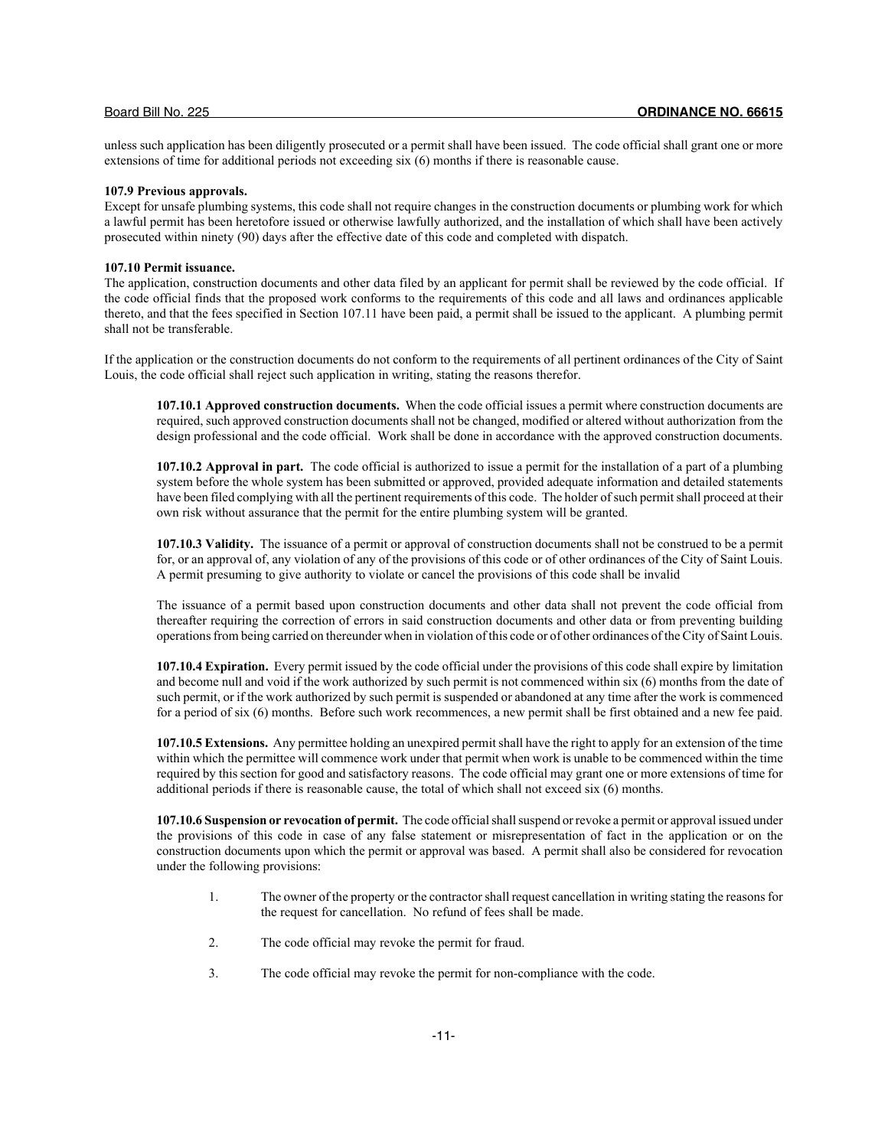unless such application has been diligently prosecuted or a permit shall have been issued. The code official shall grant one or more extensions of time for additional periods not exceeding six (6) months if there is reasonable cause.

## **107.9 Previous approvals.**

Except for unsafe plumbing systems, this code shall not require changes in the construction documents or plumbing work for which a lawful permit has been heretofore issued or otherwise lawfully authorized, and the installation of which shall have been actively prosecuted within ninety (90) days after the effective date of this code and completed with dispatch.

#### **107.10 Permit issuance.**

The application, construction documents and other data filed by an applicant for permit shall be reviewed by the code official. If the code official finds that the proposed work conforms to the requirements of this code and all laws and ordinances applicable thereto, and that the fees specified in Section 107.11 have been paid, a permit shall be issued to the applicant. A plumbing permit shall not be transferable.

If the application or the construction documents do not conform to the requirements of all pertinent ordinances of the City of Saint Louis, the code official shall reject such application in writing, stating the reasons therefor.

**107.10.1 Approved construction documents.** When the code official issues a permit where construction documents are required, such approved construction documents shall not be changed, modified or altered without authorization from the design professional and the code official. Work shall be done in accordance with the approved construction documents.

**107.10.2 Approval in part.** The code official is authorized to issue a permit for the installation of a part of a plumbing system before the whole system has been submitted or approved, provided adequate information and detailed statements have been filed complying with all the pertinent requirements of this code. The holder of such permit shall proceed at their own risk without assurance that the permit for the entire plumbing system will be granted.

**107.10.3 Validity.** The issuance of a permit or approval of construction documents shall not be construed to be a permit for, or an approval of, any violation of any of the provisions of this code or of other ordinances of the City of Saint Louis. A permit presuming to give authority to violate or cancel the provisions of this code shall be invalid

The issuance of a permit based upon construction documents and other data shall not prevent the code official from thereafter requiring the correction of errors in said construction documents and other data or from preventing building operations from being carried on thereunder when in violation of this code or of other ordinances of the City of Saint Louis.

**107.10.4 Expiration.** Every permit issued by the code official under the provisions of this code shall expire by limitation and become null and void if the work authorized by such permit is not commenced within six (6) months from the date of such permit, or if the work authorized by such permit is suspended or abandoned at any time after the work is commenced for a period of six (6) months. Before such work recommences, a new permit shall be first obtained and a new fee paid.

**107.10.5 Extensions.** Any permittee holding an unexpired permit shall have the right to apply for an extension of the time within which the permittee will commence work under that permit when work is unable to be commenced within the time required by this section for good and satisfactory reasons. The code official may grant one or more extensions of time for additional periods if there is reasonable cause, the total of which shall not exceed six (6) months.

**107.10.6 Suspension or revocation of permit.** The code official shall suspend or revoke a permit or approval issued under the provisions of this code in case of any false statement or misrepresentation of fact in the application or on the construction documents upon which the permit or approval was based. A permit shall also be considered for revocation under the following provisions:

- 1. The owner of the property or the contractor shall request cancellation in writing stating the reasons for the request for cancellation. No refund of fees shall be made.
- 2. The code official may revoke the permit for fraud.
- 3. The code official may revoke the permit for non-compliance with the code.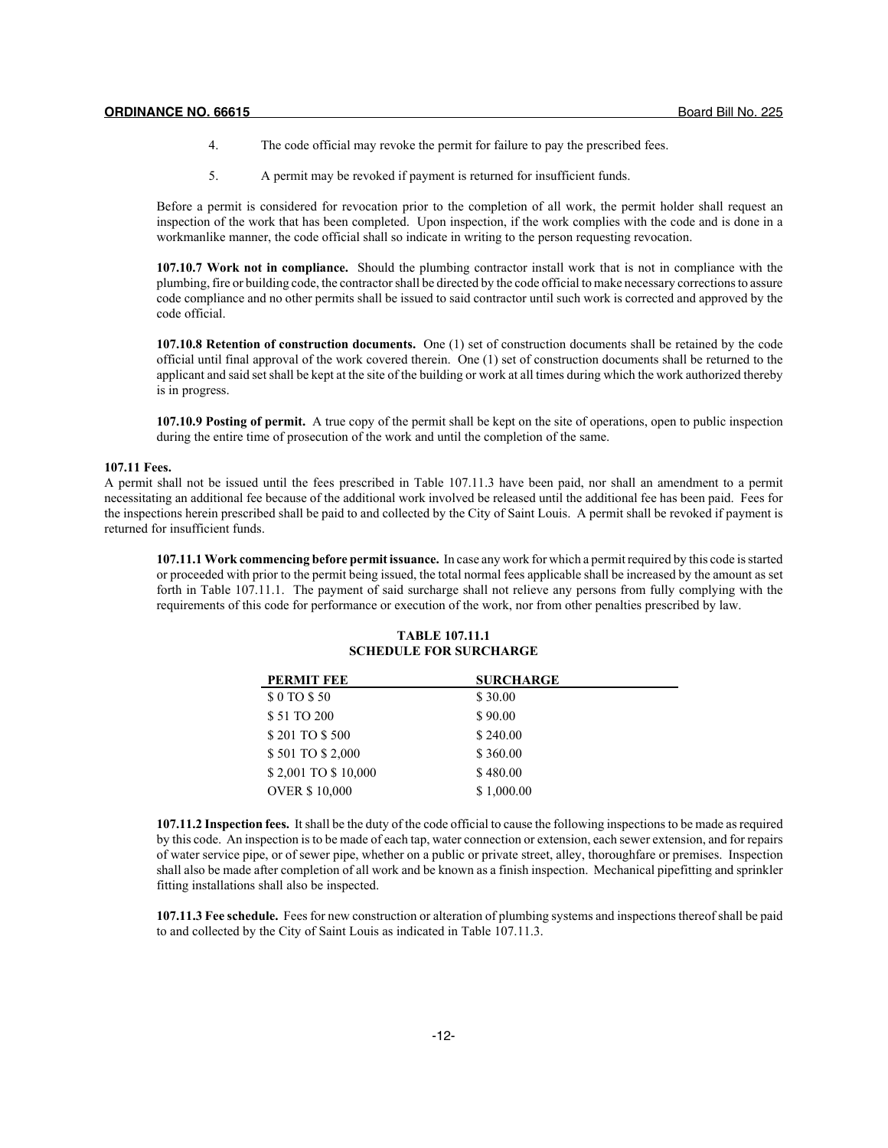- 4. The code official may revoke the permit for failure to pay the prescribed fees.
- 5. A permit may be revoked if payment is returned for insufficient funds.

Before a permit is considered for revocation prior to the completion of all work, the permit holder shall request an inspection of the work that has been completed. Upon inspection, if the work complies with the code and is done in a workmanlike manner, the code official shall so indicate in writing to the person requesting revocation.

**107.10.7 Work not in compliance.** Should the plumbing contractor install work that is not in compliance with the plumbing, fire or building code, the contractor shall be directed by the code official to make necessary corrections to assure code compliance and no other permits shall be issued to said contractor until such work is corrected and approved by the code official.

**107.10.8 Retention of construction documents.** One (1) set of construction documents shall be retained by the code official until final approval of the work covered therein. One (1) set of construction documents shall be returned to the applicant and said set shall be kept at the site of the building or work at all times during which the work authorized thereby is in progress.

**107.10.9 Posting of permit.** A true copy of the permit shall be kept on the site of operations, open to public inspection during the entire time of prosecution of the work and until the completion of the same.

#### **107.11 Fees.**

A permit shall not be issued until the fees prescribed in Table 107.11.3 have been paid, nor shall an amendment to a permit necessitating an additional fee because of the additional work involved be released until the additional fee has been paid. Fees for the inspections herein prescribed shall be paid to and collected by the City of Saint Louis. A permit shall be revoked if payment is returned for insufficient funds.

**107.11.1 Work commencing before permit issuance.** In case any work for which a permit required by this code is started or proceeded with prior to the permit being issued, the total normal fees applicable shall be increased by the amount as set forth in Table 107.11.1. The payment of said surcharge shall not relieve any persons from fully complying with the requirements of this code for performance or execution of the work, nor from other penalties prescribed by law.

## **TABLE 107.11.1 SCHEDULE FOR SURCHARGE**

| <b>PERMIT FEE</b>    | <b>SURCHARGE</b> |
|----------------------|------------------|
| \$0 TO \$50          | \$30.00          |
| \$51 TO 200          | \$90.00          |
| \$201 TO \$500       | \$240.00         |
| \$501 TO \$2,000     | \$360.00         |
| \$2,001 TO \$10,000  | \$480.00         |
| <b>OVER \$10,000</b> | \$1,000.00       |

**107.11.2 Inspection fees.** It shall be the duty of the code official to cause the following inspections to be made as required by this code. An inspection is to be made of each tap, water connection or extension, each sewer extension, and for repairs of water service pipe, or of sewer pipe, whether on a public or private street, alley, thoroughfare or premises. Inspection shall also be made after completion of all work and be known as a finish inspection. Mechanical pipefitting and sprinkler fitting installations shall also be inspected.

**107.11.3 Fee schedule.** Fees for new construction or alteration of plumbing systems and inspections thereof shall be paid to and collected by the City of Saint Louis as indicated in Table 107.11.3.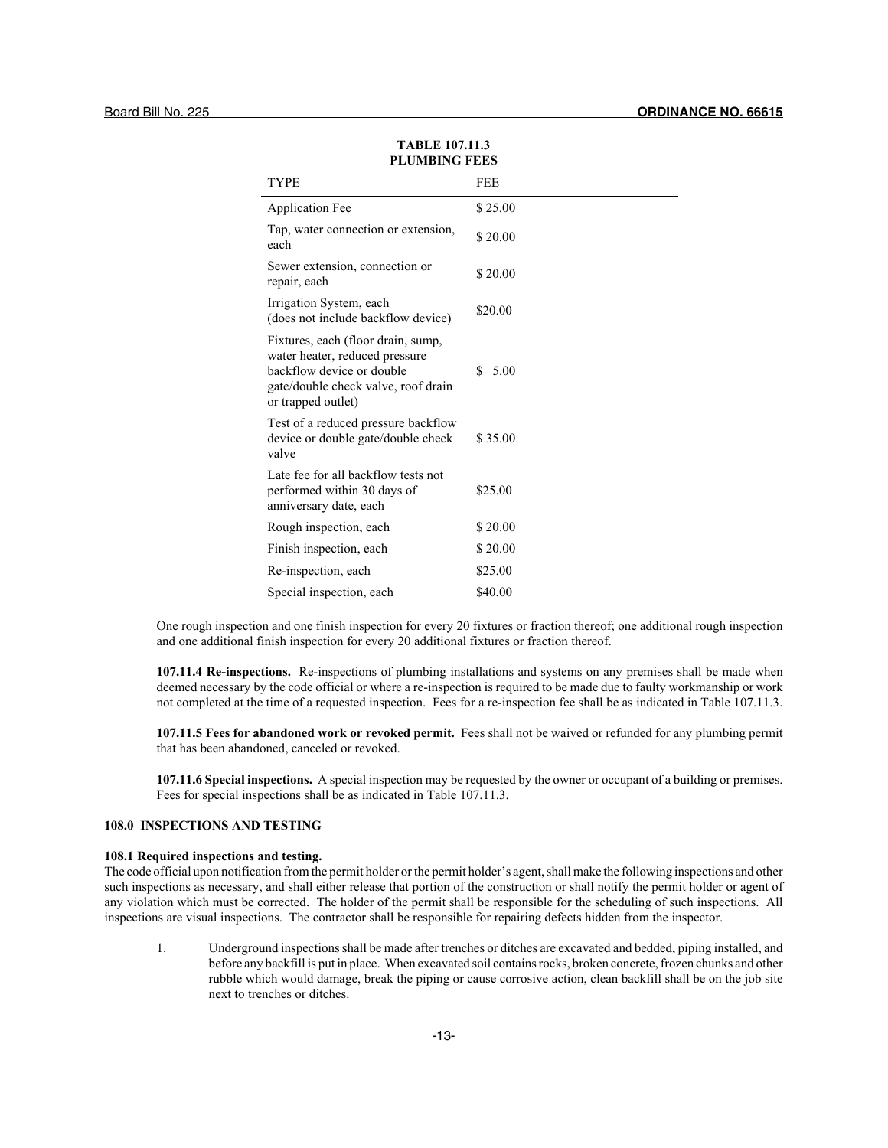| TYPE                                                                                                                                                           | FEE        |
|----------------------------------------------------------------------------------------------------------------------------------------------------------------|------------|
| <b>Application Fee</b>                                                                                                                                         | \$25.00    |
| Tap, water connection or extension,<br>each                                                                                                                    | \$20.00    |
| Sewer extension, connection or<br>repair, each                                                                                                                 | \$20.00    |
| Irrigation System, each<br>(does not include backflow device)                                                                                                  | \$20.00    |
| Fixtures, each (floor drain, sump,<br>water heater, reduced pressure<br>backflow device or double<br>gate/double check valve, roof drain<br>or trapped outlet) | S.<br>5.00 |
| Test of a reduced pressure backflow<br>device or double gate/double check<br>valve                                                                             | \$35.00    |
| Late fee for all backflow tests not<br>performed within 30 days of<br>anniversary date, each                                                                   | \$25.00    |
| Rough inspection, each                                                                                                                                         | \$20.00    |
| Finish inspection, each                                                                                                                                        | \$20.00    |
| Re-inspection, each                                                                                                                                            | \$25.00    |
| Special inspection, each                                                                                                                                       | \$40.00    |

## **TABLE 107.11.3 PLUMBING FEES**

One rough inspection and one finish inspection for every 20 fixtures or fraction thereof; one additional rough inspection and one additional finish inspection for every 20 additional fixtures or fraction thereof.

**107.11.4 Re-inspections.** Re-inspections of plumbing installations and systems on any premises shall be made when deemed necessary by the code official or where a re-inspection is required to be made due to faulty workmanship or work not completed at the time of a requested inspection. Fees for a re-inspection fee shall be as indicated in Table 107.11.3.

**107.11.5 Fees for abandoned work or revoked permit.** Fees shall not be waived or refunded for any plumbing permit that has been abandoned, canceled or revoked.

**107.11.6 Special inspections.** A special inspection may be requested by the owner or occupant of a building or premises. Fees for special inspections shall be as indicated in Table 107.11.3.

## **108.0 INSPECTIONS AND TESTING**

## **108.1 Required inspections and testing.**

The code official upon notification from the permit holder or the permit holder's agent, shall make the following inspections and other such inspections as necessary, and shall either release that portion of the construction or shall notify the permit holder or agent of any violation which must be corrected. The holder of the permit shall be responsible for the scheduling of such inspections. All inspections are visual inspections. The contractor shall be responsible for repairing defects hidden from the inspector.

1. Underground inspections shall be made after trenches or ditches are excavated and bedded, piping installed, and before any backfill is put in place. When excavated soil contains rocks, broken concrete, frozen chunks and other rubble which would damage, break the piping or cause corrosive action, clean backfill shall be on the job site next to trenches or ditches.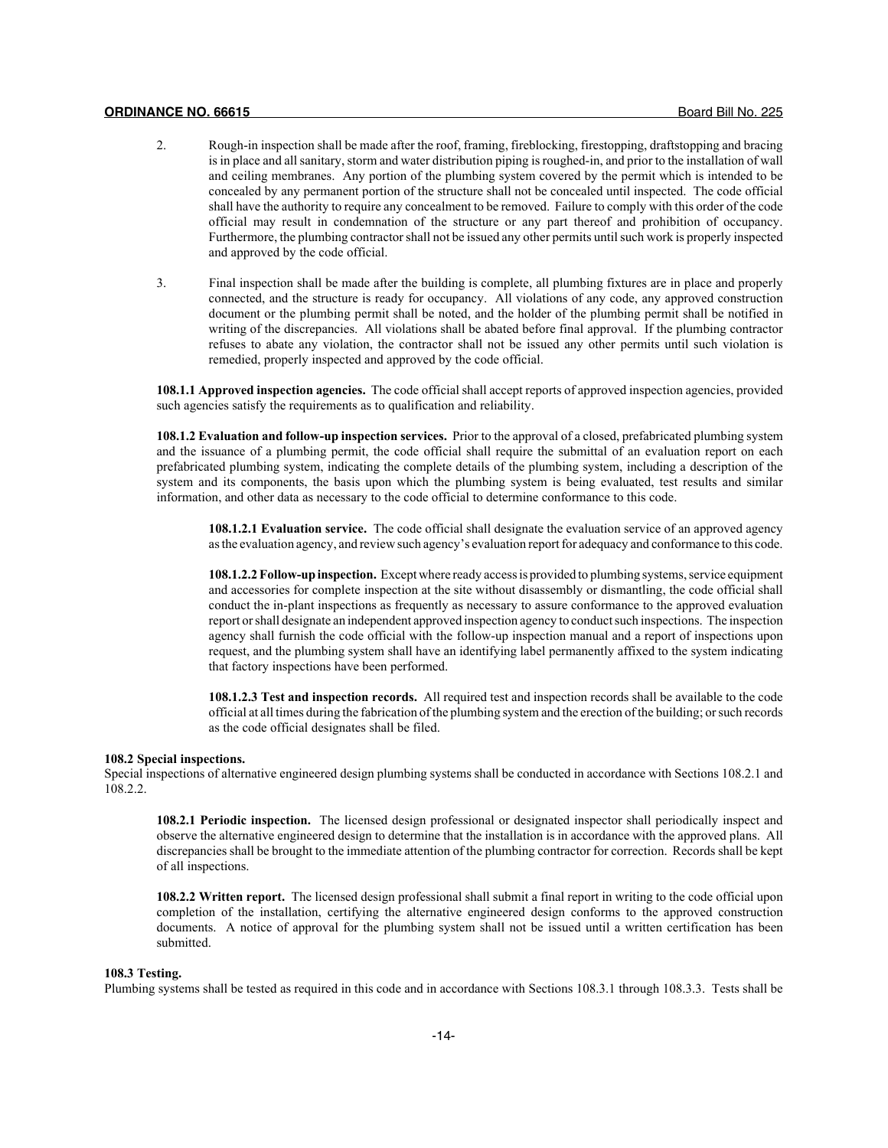- 2. Rough-in inspection shall be made after the roof, framing, fireblocking, firestopping, draftstopping and bracing is in place and all sanitary, storm and water distribution piping is roughed-in, and prior to the installation of wall and ceiling membranes. Any portion of the plumbing system covered by the permit which is intended to be concealed by any permanent portion of the structure shall not be concealed until inspected. The code official shall have the authority to require any concealment to be removed. Failure to comply with this order of the code official may result in condemnation of the structure or any part thereof and prohibition of occupancy. Furthermore, the plumbing contractor shall not be issued any other permits until such work is properly inspected and approved by the code official.
- 3. Final inspection shall be made after the building is complete, all plumbing fixtures are in place and properly connected, and the structure is ready for occupancy. All violations of any code, any approved construction document or the plumbing permit shall be noted, and the holder of the plumbing permit shall be notified in writing of the discrepancies. All violations shall be abated before final approval. If the plumbing contractor refuses to abate any violation, the contractor shall not be issued any other permits until such violation is remedied, properly inspected and approved by the code official.

**108.1.1 Approved inspection agencies.** The code official shall accept reports of approved inspection agencies, provided such agencies satisfy the requirements as to qualification and reliability.

**108.1.2 Evaluation and follow-up inspection services.** Prior to the approval of a closed, prefabricated plumbing system and the issuance of a plumbing permit, the code official shall require the submittal of an evaluation report on each prefabricated plumbing system, indicating the complete details of the plumbing system, including a description of the system and its components, the basis upon which the plumbing system is being evaluated, test results and similar information, and other data as necessary to the code official to determine conformance to this code.

**108.1.2.1 Evaluation service.** The code official shall designate the evaluation service of an approved agency as the evaluation agency, and review such agency's evaluation report for adequacy and conformance to this code.

**108.1.2.2 Follow-up inspection.** Except where ready access is provided to plumbing systems, service equipment and accessories for complete inspection at the site without disassembly or dismantling, the code official shall conduct the in-plant inspections as frequently as necessary to assure conformance to the approved evaluation report or shall designate an independent approved inspection agency to conduct such inspections. The inspection agency shall furnish the code official with the follow-up inspection manual and a report of inspections upon request, and the plumbing system shall have an identifying label permanently affixed to the system indicating that factory inspections have been performed.

**108.1.2.3 Test and inspection records.** All required test and inspection records shall be available to the code official at all times during the fabrication of the plumbing system and the erection of the building; or such records as the code official designates shall be filed.

## **108.2 Special inspections.**

Special inspections of alternative engineered design plumbing systems shall be conducted in accordance with Sections 108.2.1 and 108.2.2.

**108.2.1 Periodic inspection.** The licensed design professional or designated inspector shall periodically inspect and observe the alternative engineered design to determine that the installation is in accordance with the approved plans. All discrepancies shall be brought to the immediate attention of the plumbing contractor for correction. Records shall be kept of all inspections.

**108.2.2 Written report.** The licensed design professional shall submit a final report in writing to the code official upon completion of the installation, certifying the alternative engineered design conforms to the approved construction documents. A notice of approval for the plumbing system shall not be issued until a written certification has been submitted.

#### **108.3 Testing.**

Plumbing systems shall be tested as required in this code and in accordance with Sections 108.3.1 through 108.3.3. Tests shall be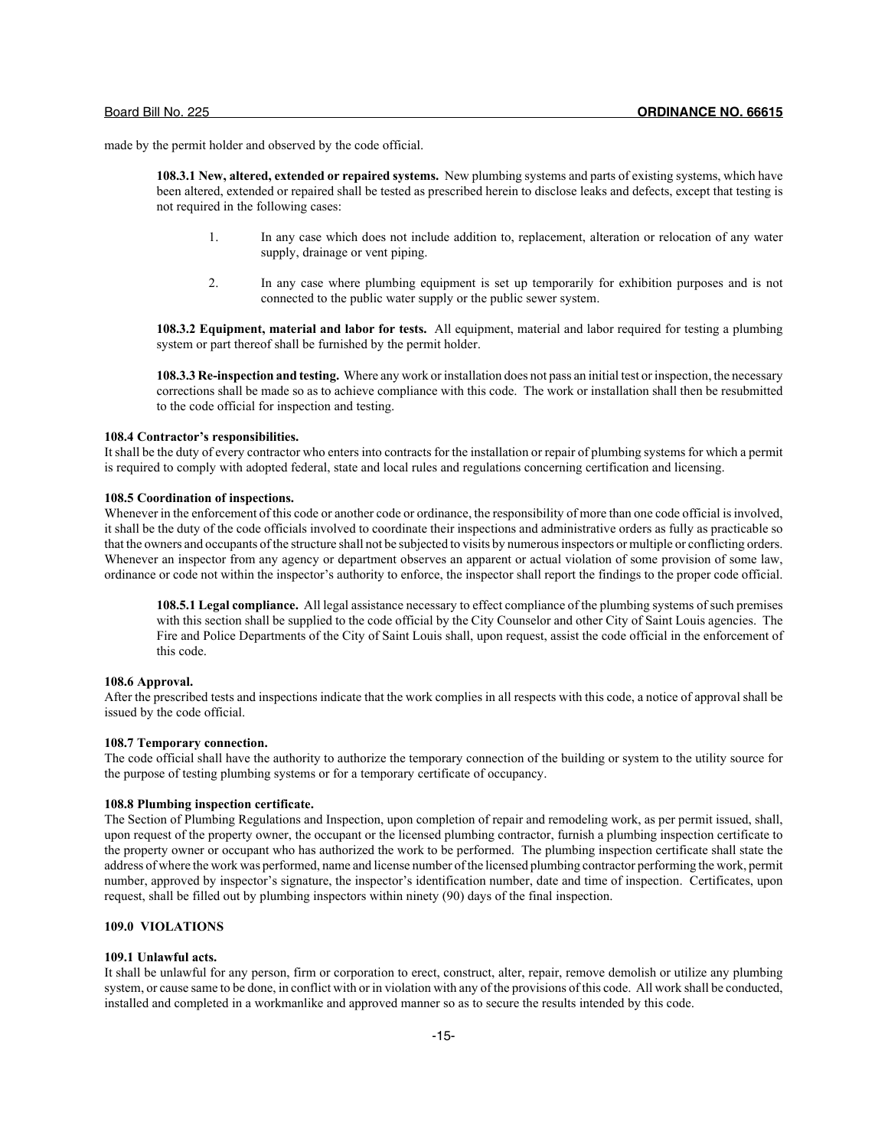made by the permit holder and observed by the code official.

**108.3.1 New, altered, extended or repaired systems.** New plumbing systems and parts of existing systems, which have been altered, extended or repaired shall be tested as prescribed herein to disclose leaks and defects, except that testing is not required in the following cases:

- 1. In any case which does not include addition to, replacement, alteration or relocation of any water supply, drainage or vent piping.
- 2. In any case where plumbing equipment is set up temporarily for exhibition purposes and is not connected to the public water supply or the public sewer system.

**108.3.2 Equipment, material and labor for tests.** All equipment, material and labor required for testing a plumbing system or part thereof shall be furnished by the permit holder.

**108.3.3 Re-inspection and testing.** Where any work or installation does not pass an initial test or inspection, the necessary corrections shall be made so as to achieve compliance with this code. The work or installation shall then be resubmitted to the code official for inspection and testing.

## **108.4 Contractor's responsibilities.**

It shall be the duty of every contractor who enters into contracts for the installation or repair of plumbing systems for which a permit is required to comply with adopted federal, state and local rules and regulations concerning certification and licensing.

## **108.5 Coordination of inspections.**

Whenever in the enforcement of this code or another code or ordinance, the responsibility of more than one code official is involved. it shall be the duty of the code officials involved to coordinate their inspections and administrative orders as fully as practicable so that the owners and occupants of the structure shall not be subjected to visits by numerous inspectors or multiple or conflicting orders. Whenever an inspector from any agency or department observes an apparent or actual violation of some provision of some law, ordinance or code not within the inspector's authority to enforce, the inspector shall report the findings to the proper code official.

**108.5.1 Legal compliance.** All legal assistance necessary to effect compliance of the plumbing systems of such premises with this section shall be supplied to the code official by the City Counselor and other City of Saint Louis agencies. The Fire and Police Departments of the City of Saint Louis shall, upon request, assist the code official in the enforcement of this code.

## **108.6 Approval.**

After the prescribed tests and inspections indicate that the work complies in all respects with this code, a notice of approval shall be issued by the code official.

## **108.7 Temporary connection.**

The code official shall have the authority to authorize the temporary connection of the building or system to the utility source for the purpose of testing plumbing systems or for a temporary certificate of occupancy.

## **108.8 Plumbing inspection certificate.**

The Section of Plumbing Regulations and Inspection, upon completion of repair and remodeling work, as per permit issued, shall, upon request of the property owner, the occupant or the licensed plumbing contractor, furnish a plumbing inspection certificate to the property owner or occupant who has authorized the work to be performed. The plumbing inspection certificate shall state the address of where the work was performed, name and license number of the licensed plumbing contractor performing the work, permit number, approved by inspector's signature, the inspector's identification number, date and time of inspection. Certificates, upon request, shall be filled out by plumbing inspectors within ninety (90) days of the final inspection.

## **109.0 VIOLATIONS**

## **109.1 Unlawful acts.**

It shall be unlawful for any person, firm or corporation to erect, construct, alter, repair, remove demolish or utilize any plumbing system, or cause same to be done, in conflict with or in violation with any of the provisions of this code. All work shall be conducted, installed and completed in a workmanlike and approved manner so as to secure the results intended by this code.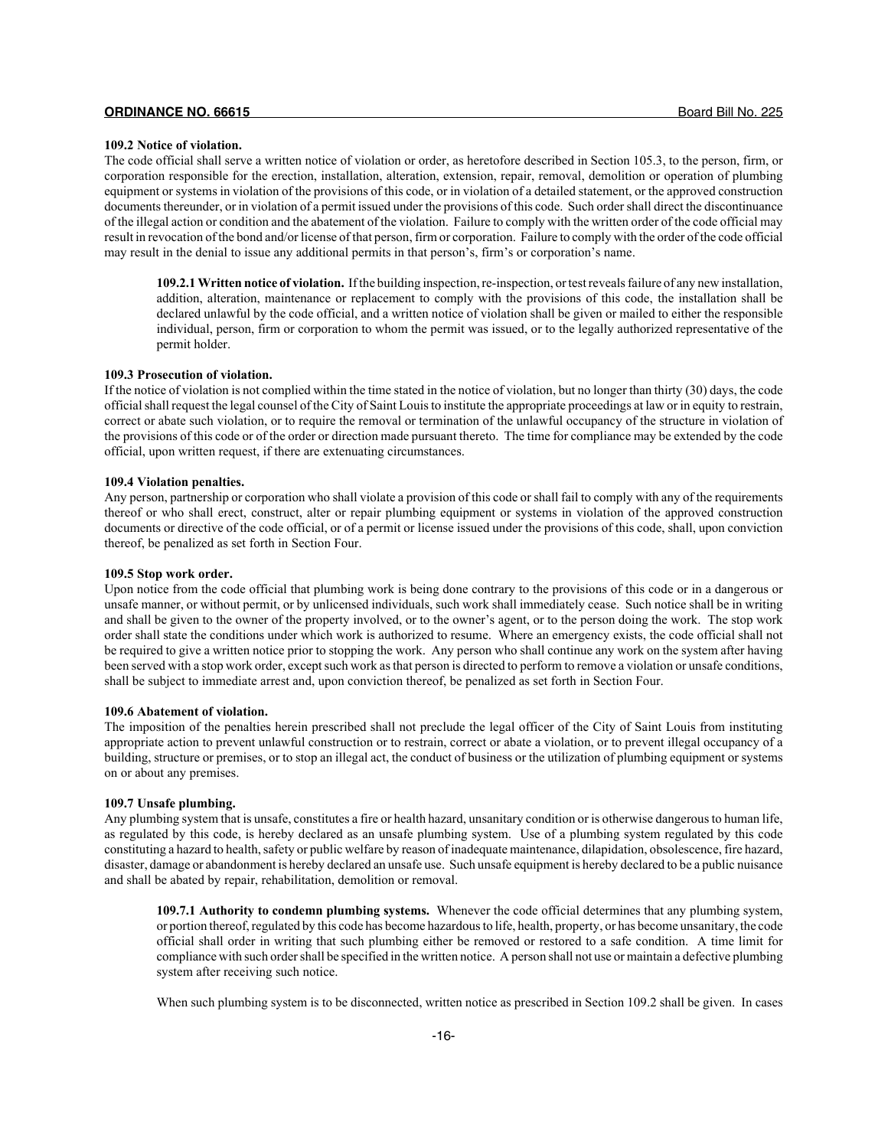## **109.2 Notice of violation.**

The code official shall serve a written notice of violation or order, as heretofore described in Section 105.3, to the person, firm, or corporation responsible for the erection, installation, alteration, extension, repair, removal, demolition or operation of plumbing equipment or systems in violation of the provisions of this code, or in violation of a detailed statement, or the approved construction documents thereunder, or in violation of a permit issued under the provisions of this code. Such order shall direct the discontinuance of the illegal action or condition and the abatement of the violation. Failure to comply with the written order of the code official may result in revocation of the bond and/or license of that person, firm or corporation. Failure to comply with the order of the code official may result in the denial to issue any additional permits in that person's, firm's or corporation's name.

**109.2.1 Written notice of violation.** If the building inspection, re-inspection, or test reveals failure of any new installation, addition, alteration, maintenance or replacement to comply with the provisions of this code, the installation shall be declared unlawful by the code official, and a written notice of violation shall be given or mailed to either the responsible individual, person, firm or corporation to whom the permit was issued, or to the legally authorized representative of the permit holder.

## **109.3 Prosecution of violation.**

If the notice of violation is not complied within the time stated in the notice of violation, but no longer than thirty (30) days, the code official shall request the legal counsel of the City of Saint Louis to institute the appropriate proceedings at law or in equity to restrain, correct or abate such violation, or to require the removal or termination of the unlawful occupancy of the structure in violation of the provisions of this code or of the order or direction made pursuant thereto. The time for compliance may be extended by the code official, upon written request, if there are extenuating circumstances.

## **109.4 Violation penalties.**

Any person, partnership or corporation who shall violate a provision of this code or shall fail to comply with any of the requirements thereof or who shall erect, construct, alter or repair plumbing equipment or systems in violation of the approved construction documents or directive of the code official, or of a permit or license issued under the provisions of this code, shall, upon conviction thereof, be penalized as set forth in Section Four.

## **109.5 Stop work order.**

Upon notice from the code official that plumbing work is being done contrary to the provisions of this code or in a dangerous or unsafe manner, or without permit, or by unlicensed individuals, such work shall immediately cease. Such notice shall be in writing and shall be given to the owner of the property involved, or to the owner's agent, or to the person doing the work. The stop work order shall state the conditions under which work is authorized to resume. Where an emergency exists, the code official shall not be required to give a written notice prior to stopping the work. Any person who shall continue any work on the system after having been served with a stop work order, except such work as that person is directed to perform to remove a violation or unsafe conditions, shall be subject to immediate arrest and, upon conviction thereof, be penalized as set forth in Section Four.

## **109.6 Abatement of violation.**

The imposition of the penalties herein prescribed shall not preclude the legal officer of the City of Saint Louis from instituting appropriate action to prevent unlawful construction or to restrain, correct or abate a violation, or to prevent illegal occupancy of a building, structure or premises, or to stop an illegal act, the conduct of business or the utilization of plumbing equipment or systems on or about any premises.

## **109.7 Unsafe plumbing.**

Any plumbing system that is unsafe, constitutes a fire or health hazard, unsanitary condition or is otherwise dangerous to human life, as regulated by this code, is hereby declared as an unsafe plumbing system. Use of a plumbing system regulated by this code constituting a hazard to health, safety or public welfare by reason of inadequate maintenance, dilapidation, obsolescence, fire hazard, disaster, damage or abandonment is hereby declared an unsafe use. Such unsafe equipment is hereby declared to be a public nuisance and shall be abated by repair, rehabilitation, demolition or removal.

**109.7.1 Authority to condemn plumbing systems.** Whenever the code official determines that any plumbing system, or portion thereof, regulated by this code has become hazardous to life, health, property, or has become unsanitary, the code official shall order in writing that such plumbing either be removed or restored to a safe condition. A time limit for compliance with such order shall be specified in the written notice. A person shall not use or maintain a defective plumbing system after receiving such notice.

When such plumbing system is to be disconnected, written notice as prescribed in Section 109.2 shall be given. In cases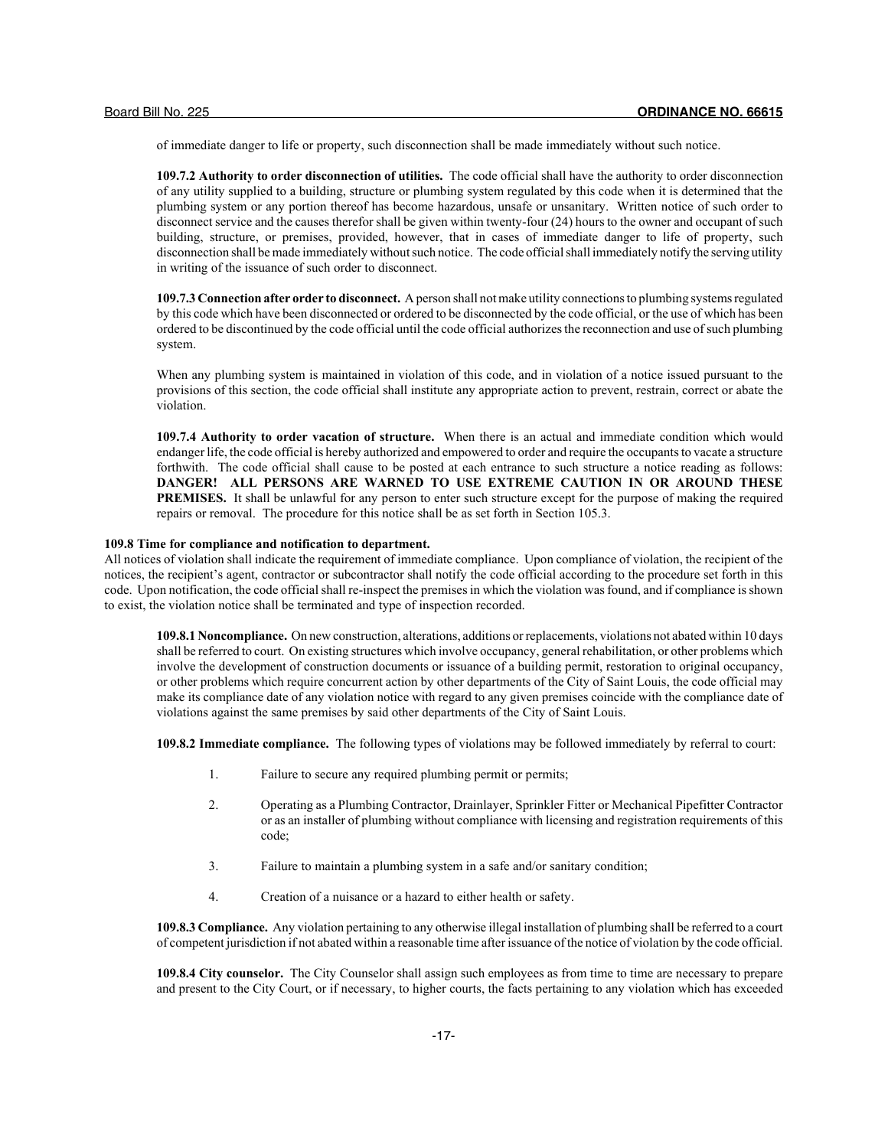of immediate danger to life or property, such disconnection shall be made immediately without such notice.

**109.7.2 Authority to order disconnection of utilities.** The code official shall have the authority to order disconnection of any utility supplied to a building, structure or plumbing system regulated by this code when it is determined that the plumbing system or any portion thereof has become hazardous, unsafe or unsanitary. Written notice of such order to disconnect service and the causes therefor shall be given within twenty-four (24) hours to the owner and occupant of such building, structure, or premises, provided, however, that in cases of immediate danger to life of property, such disconnection shall be made immediately without such notice. The code official shall immediately notify the serving utility in writing of the issuance of such order to disconnect.

**109.7.3 Connection after order to disconnect.** A person shall not make utility connections to plumbing systems regulated by this code which have been disconnected or ordered to be disconnected by the code official, or the use of which has been ordered to be discontinued by the code official until the code official authorizes the reconnection and use of such plumbing system.

When any plumbing system is maintained in violation of this code, and in violation of a notice issued pursuant to the provisions of this section, the code official shall institute any appropriate action to prevent, restrain, correct or abate the violation.

**109.7.4 Authority to order vacation of structure.** When there is an actual and immediate condition which would endanger life, the code official is hereby authorized and empowered to order and require the occupants to vacate a structure forthwith. The code official shall cause to be posted at each entrance to such structure a notice reading as follows: **DANGER! ALL PERSONS ARE WARNED TO USE EXTREME CAUTION IN OR AROUND THESE PREMISES.** It shall be unlawful for any person to enter such structure except for the purpose of making the required repairs or removal. The procedure for this notice shall be as set forth in Section 105.3.

## **109.8 Time for compliance and notification to department.**

All notices of violation shall indicate the requirement of immediate compliance. Upon compliance of violation, the recipient of the notices, the recipient's agent, contractor or subcontractor shall notify the code official according to the procedure set forth in this code. Upon notification, the code official shall re-inspect the premises in which the violation was found, and if compliance is shown to exist, the violation notice shall be terminated and type of inspection recorded.

**109.8.1 Noncompliance.** On new construction, alterations, additions or replacements, violations not abated within 10 days shall be referred to court. On existing structures which involve occupancy, general rehabilitation, or other problems which involve the development of construction documents or issuance of a building permit, restoration to original occupancy, or other problems which require concurrent action by other departments of the City of Saint Louis, the code official may make its compliance date of any violation notice with regard to any given premises coincide with the compliance date of violations against the same premises by said other departments of the City of Saint Louis.

**109.8.2 Immediate compliance.** The following types of violations may be followed immediately by referral to court:

- 1. Failure to secure any required plumbing permit or permits;
- 2. Operating as a Plumbing Contractor, Drainlayer, Sprinkler Fitter or Mechanical Pipefitter Contractor or as an installer of plumbing without compliance with licensing and registration requirements of this code;
- 3. Failure to maintain a plumbing system in a safe and/or sanitary condition;
- 4. Creation of a nuisance or a hazard to either health or safety.

**109.8.3 Compliance.** Any violation pertaining to any otherwise illegal installation of plumbing shall be referred to a court of competent jurisdiction if not abated within a reasonable time after issuance of the notice of violation by the code official.

**109.8.4 City counselor.** The City Counselor shall assign such employees as from time to time are necessary to prepare and present to the City Court, or if necessary, to higher courts, the facts pertaining to any violation which has exceeded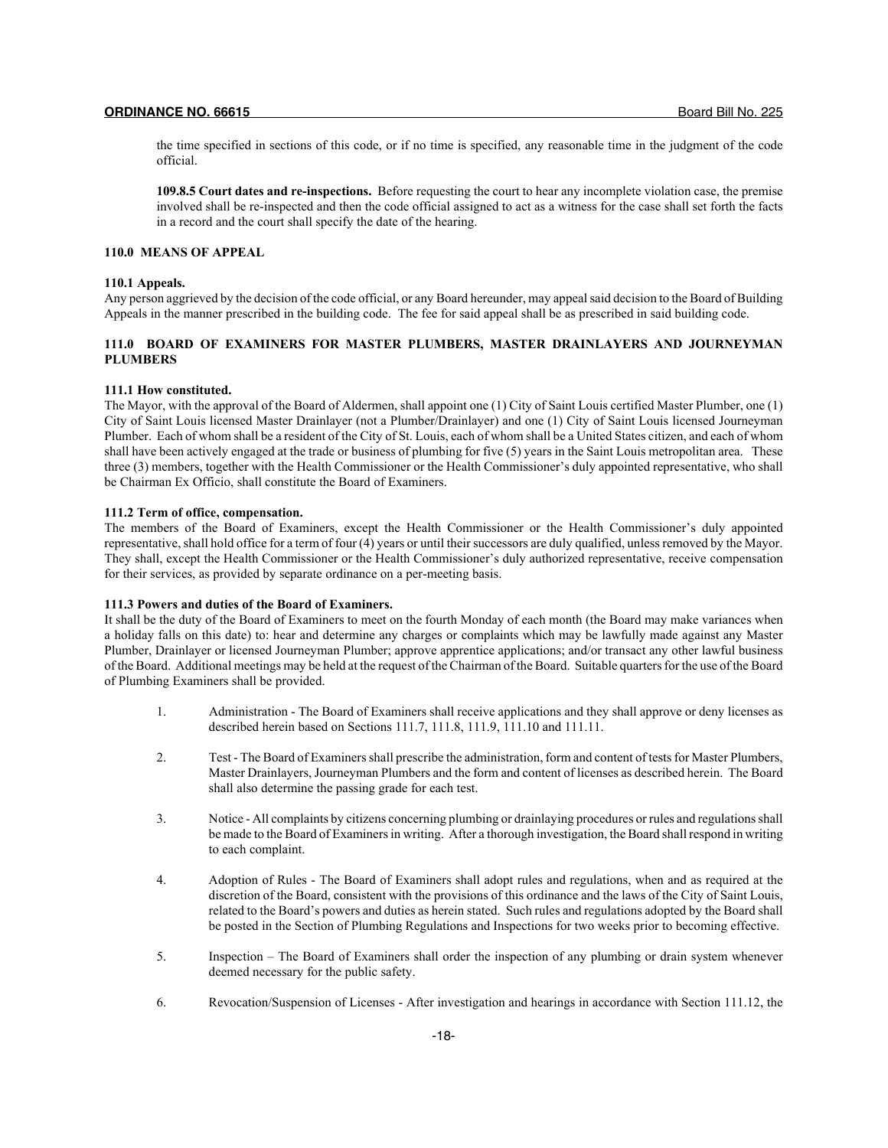the time specified in sections of this code, or if no time is specified, any reasonable time in the judgment of the code official.

**109.8.5 Court dates and re-inspections.** Before requesting the court to hear any incomplete violation case, the premise involved shall be re-inspected and then the code official assigned to act as a witness for the case shall set forth the facts in a record and the court shall specify the date of the hearing.

#### **110.0 MEANS OF APPEAL**

#### **110.1 Appeals.**

Any person aggrieved by the decision of the code official, or any Board hereunder, may appeal said decision to the Board of Building Appeals in the manner prescribed in the building code. The fee for said appeal shall be as prescribed in said building code.

## **111.0 BOARD OF EXAMINERS FOR MASTER PLUMBERS, MASTER DRAINLAYERS AND JOURNEYMAN PLUMBERS**

## **111.1 How constituted.**

The Mayor, with the approval of the Board of Aldermen, shall appoint one (1) City of Saint Louis certified Master Plumber, one (1) City of Saint Louis licensed Master Drainlayer (not a Plumber/Drainlayer) and one (1) City of Saint Louis licensed Journeyman Plumber. Each of whom shall be a resident of the City of St. Louis, each of whom shall be a United States citizen, and each of whom shall have been actively engaged at the trade or business of plumbing for five (5) years in the Saint Louis metropolitan area. These three (3) members, together with the Health Commissioner or the Health Commissioner's duly appointed representative, who shall be Chairman Ex Officio, shall constitute the Board of Examiners.

## **111.2 Term of office, compensation.**

The members of the Board of Examiners, except the Health Commissioner or the Health Commissioner's duly appointed representative, shall hold office for a term of four (4) years or until their successors are duly qualified, unless removed by the Mayor. They shall, except the Health Commissioner or the Health Commissioner's duly authorized representative, receive compensation for their services, as provided by separate ordinance on a per-meeting basis.

#### **111.3 Powers and duties of the Board of Examiners.**

It shall be the duty of the Board of Examiners to meet on the fourth Monday of each month (the Board may make variances when a holiday falls on this date) to: hear and determine any charges or complaints which may be lawfully made against any Master Plumber, Drainlayer or licensed Journeyman Plumber; approve apprentice applications; and/or transact any other lawful business of the Board. Additional meetings may be held at the request of the Chairman of the Board. Suitable quarters for the use of the Board of Plumbing Examiners shall be provided.

- 1. Administration The Board of Examiners shall receive applications and they shall approve or deny licenses as described herein based on Sections 111.7, 111.8, 111.9, 111.10 and 111.11.
- 2. Test The Board of Examiners shall prescribe the administration, form and content of tests for Master Plumbers, Master Drainlayers, Journeyman Plumbers and the form and content of licenses as described herein. The Board shall also determine the passing grade for each test.
- 3. Notice All complaints by citizens concerning plumbing or drainlaying procedures or rules and regulations shall be made to the Board of Examiners in writing. After a thorough investigation, the Board shall respond in writing to each complaint.
- 4. Adoption of Rules The Board of Examiners shall adopt rules and regulations, when and as required at the discretion of the Board, consistent with the provisions of this ordinance and the laws of the City of Saint Louis, related to the Board's powers and duties as herein stated. Such rules and regulations adopted by the Board shall be posted in the Section of Plumbing Regulations and Inspections for two weeks prior to becoming effective.
- 5. Inspection The Board of Examiners shall order the inspection of any plumbing or drain system whenever deemed necessary for the public safety.
- 6. Revocation/Suspension of Licenses After investigation and hearings in accordance with Section 111.12, the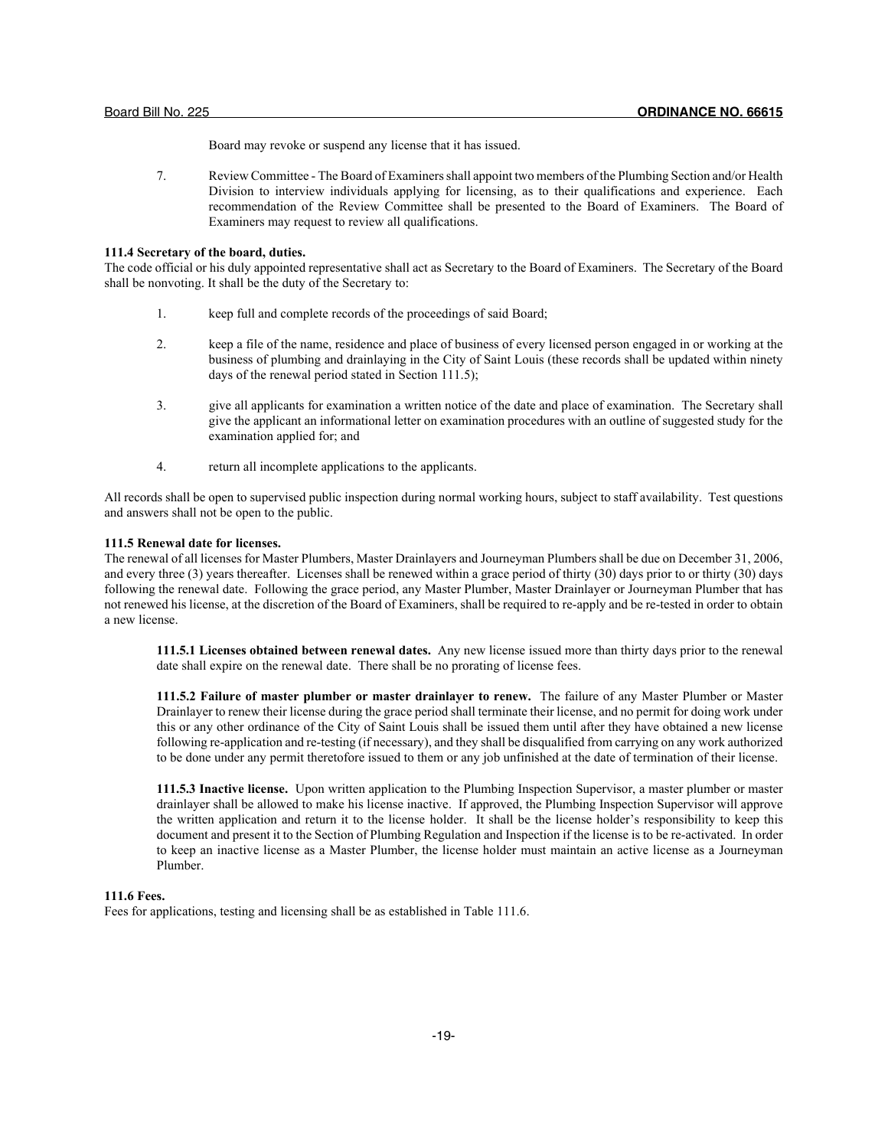Board may revoke or suspend any license that it has issued.

7. Review Committee - The Board of Examiners shall appoint two members of the Plumbing Section and/or Health Division to interview individuals applying for licensing, as to their qualifications and experience. Each recommendation of the Review Committee shall be presented to the Board of Examiners. The Board of Examiners may request to review all qualifications.

#### **111.4 Secretary of the board, duties.**

The code official or his duly appointed representative shall act as Secretary to the Board of Examiners. The Secretary of the Board shall be nonvoting. It shall be the duty of the Secretary to:

- 1. keep full and complete records of the proceedings of said Board;
- 2. keep a file of the name, residence and place of business of every licensed person engaged in or working at the business of plumbing and drainlaying in the City of Saint Louis (these records shall be updated within ninety days of the renewal period stated in Section 111.5);
- 3. give all applicants for examination a written notice of the date and place of examination. The Secretary shall give the applicant an informational letter on examination procedures with an outline of suggested study for the examination applied for; and
- 4. return all incomplete applications to the applicants.

All records shall be open to supervised public inspection during normal working hours, subject to staff availability. Test questions and answers shall not be open to the public.

## **111.5 Renewal date for licenses.**

The renewal of all licenses for Master Plumbers, Master Drainlayers and Journeyman Plumbers shall be due on December 31, 2006, and every three (3) years thereafter. Licenses shall be renewed within a grace period of thirty (30) days prior to or thirty (30) days following the renewal date. Following the grace period, any Master Plumber, Master Drainlayer or Journeyman Plumber that has not renewed his license, at the discretion of the Board of Examiners, shall be required to re-apply and be re-tested in order to obtain a new license.

**111.5.1 Licenses obtained between renewal dates.** Any new license issued more than thirty days prior to the renewal date shall expire on the renewal date. There shall be no prorating of license fees.

**111.5.2 Failure of master plumber or master drainlayer to renew.** The failure of any Master Plumber or Master Drainlayer to renew their license during the grace period shall terminate their license, and no permit for doing work under this or any other ordinance of the City of Saint Louis shall be issued them until after they have obtained a new license following re-application and re-testing (if necessary), and they shall be disqualified from carrying on any work authorized to be done under any permit theretofore issued to them or any job unfinished at the date of termination of their license.

**111.5.3 Inactive license.** Upon written application to the Plumbing Inspection Supervisor, a master plumber or master drainlayer shall be allowed to make his license inactive. If approved, the Plumbing Inspection Supervisor will approve the written application and return it to the license holder. It shall be the license holder's responsibility to keep this document and present it to the Section of Plumbing Regulation and Inspection if the license is to be re-activated. In order to keep an inactive license as a Master Plumber, the license holder must maintain an active license as a Journeyman Plumber.

#### **111.6 Fees.**

Fees for applications, testing and licensing shall be as established in Table 111.6.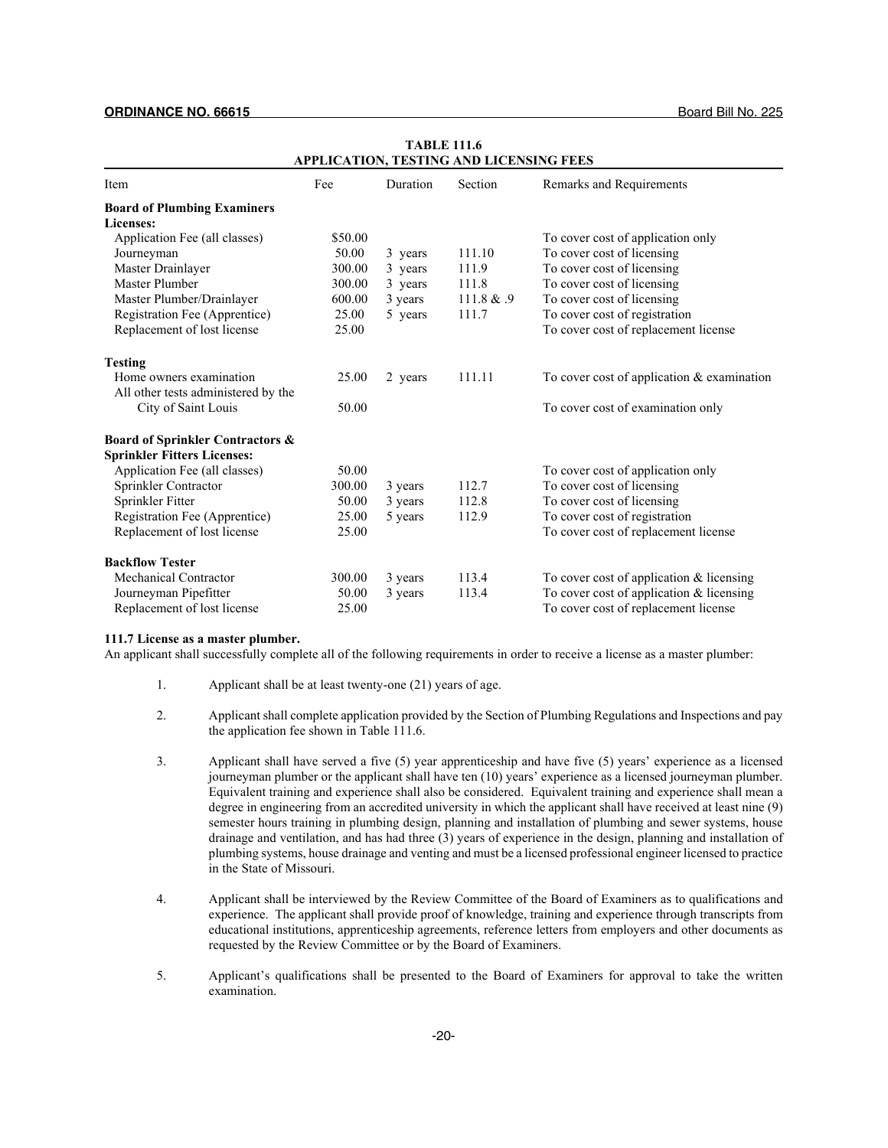| Item                                        | Fee     | Duration | Section    | Remarks and Requirements                     |
|---------------------------------------------|---------|----------|------------|----------------------------------------------|
| <b>Board of Plumbing Examiners</b>          |         |          |            |                                              |
| <b>Licenses:</b>                            |         |          |            |                                              |
| Application Fee (all classes)               | \$50.00 |          |            | To cover cost of application only            |
| Journeyman                                  | 50.00   | 3 years  | 111.10     | To cover cost of licensing                   |
| Master Drainlayer                           | 300.00  | 3 years  | 111.9      | To cover cost of licensing                   |
| <b>Master Plumber</b>                       | 300.00  | 3 years  | 111.8      | To cover cost of licensing                   |
| Master Plumber/Drainlayer                   | 600.00  | 3 years  | 111.8 & .9 | To cover cost of licensing                   |
| Registration Fee (Apprentice)               | 25.00   | 5 years  | 111.7      | To cover cost of registration                |
| Replacement of lost license                 | 25.00   |          |            | To cover cost of replacement license         |
| <b>Testing</b>                              |         |          |            |                                              |
| Home owners examination                     | 25.00   | 2 years  | 111.11     | To cover cost of application $&$ examination |
| All other tests administered by the         |         |          |            |                                              |
| City of Saint Louis                         | 50.00   |          |            | To cover cost of examination only            |
| <b>Board of Sprinkler Contractors &amp;</b> |         |          |            |                                              |
| <b>Sprinkler Fitters Licenses:</b>          |         |          |            |                                              |
| Application Fee (all classes)               | 50.00   |          |            | To cover cost of application only            |
| Sprinkler Contractor                        | 300.00  | 3 years  | 112.7      | To cover cost of licensing                   |
| Sprinkler Fitter                            | 50.00   | 3 years  | 112.8      | To cover cost of licensing                   |
| Registration Fee (Apprentice)               | 25.00   | 5 years  | 112.9      | To cover cost of registration                |
| Replacement of lost license                 | 25.00   |          |            | To cover cost of replacement license         |
| <b>Backflow Tester</b>                      |         |          |            |                                              |
| <b>Mechanical Contractor</b>                | 300.00  | 3 years  | 113.4      | To cover cost of application $&$ licensing   |
| Journeyman Pipefitter                       | 50.00   | 3 years  | 113.4      | To cover cost of application $&$ licensing   |
| Replacement of lost license                 | 25.00   |          |            | To cover cost of replacement license         |

## **TABLE 111.6 APPLICATION, TESTING AND LICENSING FEES**

## **111.7 License as a master plumber.**

An applicant shall successfully complete all of the following requirements in order to receive a license as a master plumber:

- 1. Applicant shall be at least twenty-one (21) years of age.
- 2. Applicant shall complete application provided by the Section of Plumbing Regulations and Inspections and pay the application fee shown in Table 111.6.
- 3. Applicant shall have served a five (5) year apprenticeship and have five (5) years' experience as a licensed journeyman plumber or the applicant shall have ten (10) years' experience as a licensed journeyman plumber. Equivalent training and experience shall also be considered. Equivalent training and experience shall mean a degree in engineering from an accredited university in which the applicant shall have received at least nine (9) semester hours training in plumbing design, planning and installation of plumbing and sewer systems, house drainage and ventilation, and has had three (3) years of experience in the design, planning and installation of plumbing systems, house drainage and venting and must be a licensed professional engineer licensed to practice in the State of Missouri.
- 4. Applicant shall be interviewed by the Review Committee of the Board of Examiners as to qualifications and experience. The applicant shall provide proof of knowledge, training and experience through transcripts from educational institutions, apprenticeship agreements, reference letters from employers and other documents as requested by the Review Committee or by the Board of Examiners.
- 5. Applicant's qualifications shall be presented to the Board of Examiners for approval to take the written examination.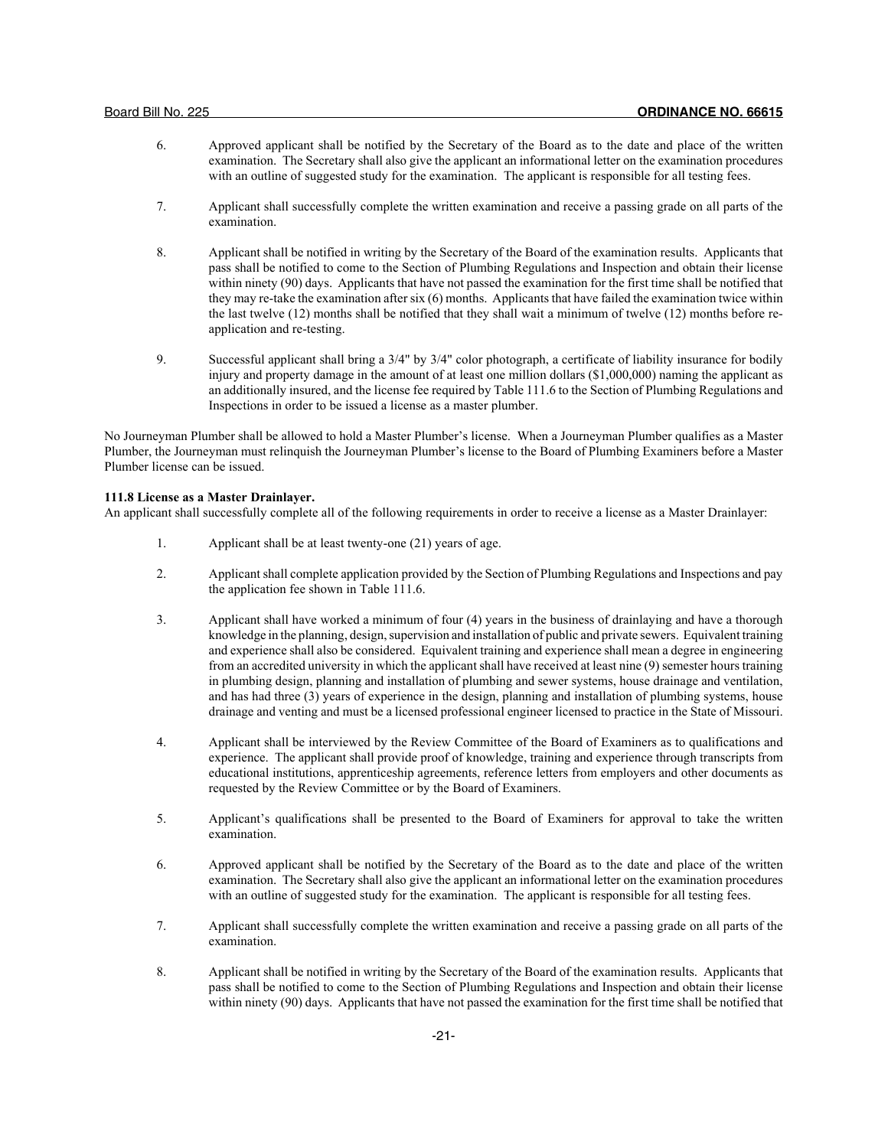- 6. Approved applicant shall be notified by the Secretary of the Board as to the date and place of the written examination. The Secretary shall also give the applicant an informational letter on the examination procedures with an outline of suggested study for the examination. The applicant is responsible for all testing fees.
- 7. Applicant shall successfully complete the written examination and receive a passing grade on all parts of the examination.
- 8. Applicant shall be notified in writing by the Secretary of the Board of the examination results. Applicants that pass shall be notified to come to the Section of Plumbing Regulations and Inspection and obtain their license within ninety (90) days. Applicants that have not passed the examination for the first time shall be notified that they may re-take the examination after six (6) months. Applicants that have failed the examination twice within the last twelve (12) months shall be notified that they shall wait a minimum of twelve (12) months before reapplication and re-testing.
- 9. Successful applicant shall bring a 3/4" by 3/4" color photograph, a certificate of liability insurance for bodily injury and property damage in the amount of at least one million dollars (\$1,000,000) naming the applicant as an additionally insured, and the license fee required by Table 111.6 to the Section of Plumbing Regulations and Inspections in order to be issued a license as a master plumber.

No Journeyman Plumber shall be allowed to hold a Master Plumber's license. When a Journeyman Plumber qualifies as a Master Plumber, the Journeyman must relinquish the Journeyman Plumber's license to the Board of Plumbing Examiners before a Master Plumber license can be issued.

## **111.8 License as a Master Drainlayer.**

An applicant shall successfully complete all of the following requirements in order to receive a license as a Master Drainlayer:

- 1. Applicant shall be at least twenty-one (21) years of age.
- 2. Applicant shall complete application provided by the Section of Plumbing Regulations and Inspections and pay the application fee shown in Table 111.6.
- 3. Applicant shall have worked a minimum of four (4) years in the business of drainlaying and have a thorough knowledge in the planning, design, supervision and installation of public and private sewers. Equivalent training and experience shall also be considered. Equivalent training and experience shall mean a degree in engineering from an accredited university in which the applicant shall have received at least nine (9) semester hours training in plumbing design, planning and installation of plumbing and sewer systems, house drainage and ventilation, and has had three (3) years of experience in the design, planning and installation of plumbing systems, house drainage and venting and must be a licensed professional engineer licensed to practice in the State of Missouri.
- 4. Applicant shall be interviewed by the Review Committee of the Board of Examiners as to qualifications and experience. The applicant shall provide proof of knowledge, training and experience through transcripts from educational institutions, apprenticeship agreements, reference letters from employers and other documents as requested by the Review Committee or by the Board of Examiners.
- 5. Applicant's qualifications shall be presented to the Board of Examiners for approval to take the written examination.
- 6. Approved applicant shall be notified by the Secretary of the Board as to the date and place of the written examination. The Secretary shall also give the applicant an informational letter on the examination procedures with an outline of suggested study for the examination. The applicant is responsible for all testing fees.
- 7. Applicant shall successfully complete the written examination and receive a passing grade on all parts of the examination.
- 8. Applicant shall be notified in writing by the Secretary of the Board of the examination results. Applicants that pass shall be notified to come to the Section of Plumbing Regulations and Inspection and obtain their license within ninety (90) days. Applicants that have not passed the examination for the first time shall be notified that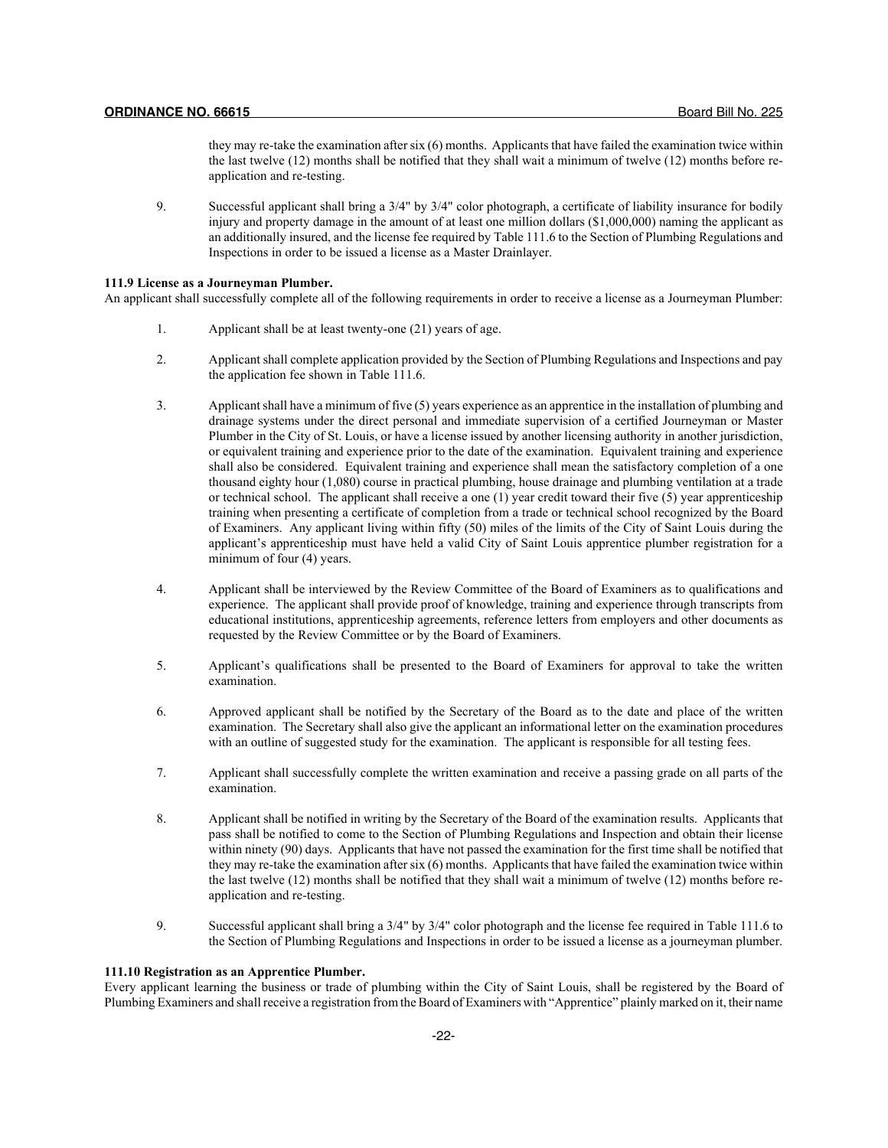they may re-take the examination after six (6) months. Applicants that have failed the examination twice within the last twelve (12) months shall be notified that they shall wait a minimum of twelve (12) months before reapplication and re-testing.

9. Successful applicant shall bring a 3/4" by 3/4" color photograph, a certificate of liability insurance for bodily injury and property damage in the amount of at least one million dollars (\$1,000,000) naming the applicant as an additionally insured, and the license fee required by Table 111.6 to the Section of Plumbing Regulations and Inspections in order to be issued a license as a Master Drainlayer.

#### **111.9 License as a Journeyman Plumber.**

An applicant shall successfully complete all of the following requirements in order to receive a license as a Journeyman Plumber:

- 1. Applicant shall be at least twenty-one (21) years of age.
- 2. Applicant shall complete application provided by the Section of Plumbing Regulations and Inspections and pay the application fee shown in Table 111.6.
- 3. Applicant shall have a minimum of five (5) years experience as an apprentice in the installation of plumbing and drainage systems under the direct personal and immediate supervision of a certified Journeyman or Master Plumber in the City of St. Louis, or have a license issued by another licensing authority in another jurisdiction, or equivalent training and experience prior to the date of the examination. Equivalent training and experience shall also be considered. Equivalent training and experience shall mean the satisfactory completion of a one thousand eighty hour (1,080) course in practical plumbing, house drainage and plumbing ventilation at a trade or technical school. The applicant shall receive a one  $(1)$  year credit toward their five  $(5)$  year apprenticeship training when presenting a certificate of completion from a trade or technical school recognized by the Board of Examiners. Any applicant living within fifty (50) miles of the limits of the City of Saint Louis during the applicant's apprenticeship must have held a valid City of Saint Louis apprentice plumber registration for a minimum of four (4) years.
- 4. Applicant shall be interviewed by the Review Committee of the Board of Examiners as to qualifications and experience. The applicant shall provide proof of knowledge, training and experience through transcripts from educational institutions, apprenticeship agreements, reference letters from employers and other documents as requested by the Review Committee or by the Board of Examiners.
- 5. Applicant's qualifications shall be presented to the Board of Examiners for approval to take the written examination.
- 6. Approved applicant shall be notified by the Secretary of the Board as to the date and place of the written examination. The Secretary shall also give the applicant an informational letter on the examination procedures with an outline of suggested study for the examination. The applicant is responsible for all testing fees.
- 7. Applicant shall successfully complete the written examination and receive a passing grade on all parts of the examination.
- 8. Applicant shall be notified in writing by the Secretary of the Board of the examination results. Applicants that pass shall be notified to come to the Section of Plumbing Regulations and Inspection and obtain their license within ninety (90) days. Applicants that have not passed the examination for the first time shall be notified that they may re-take the examination after six (6) months. Applicants that have failed the examination twice within the last twelve (12) months shall be notified that they shall wait a minimum of twelve (12) months before reapplication and re-testing.
- 9. Successful applicant shall bring a 3/4" by 3/4" color photograph and the license fee required in Table 111.6 to the Section of Plumbing Regulations and Inspections in order to be issued a license as a journeyman plumber.

## **111.10 Registration as an Apprentice Plumber.**

Every applicant learning the business or trade of plumbing within the City of Saint Louis, shall be registered by the Board of Plumbing Examiners and shall receive a registration from the Board of Examiners with "Apprentice" plainly marked on it, their name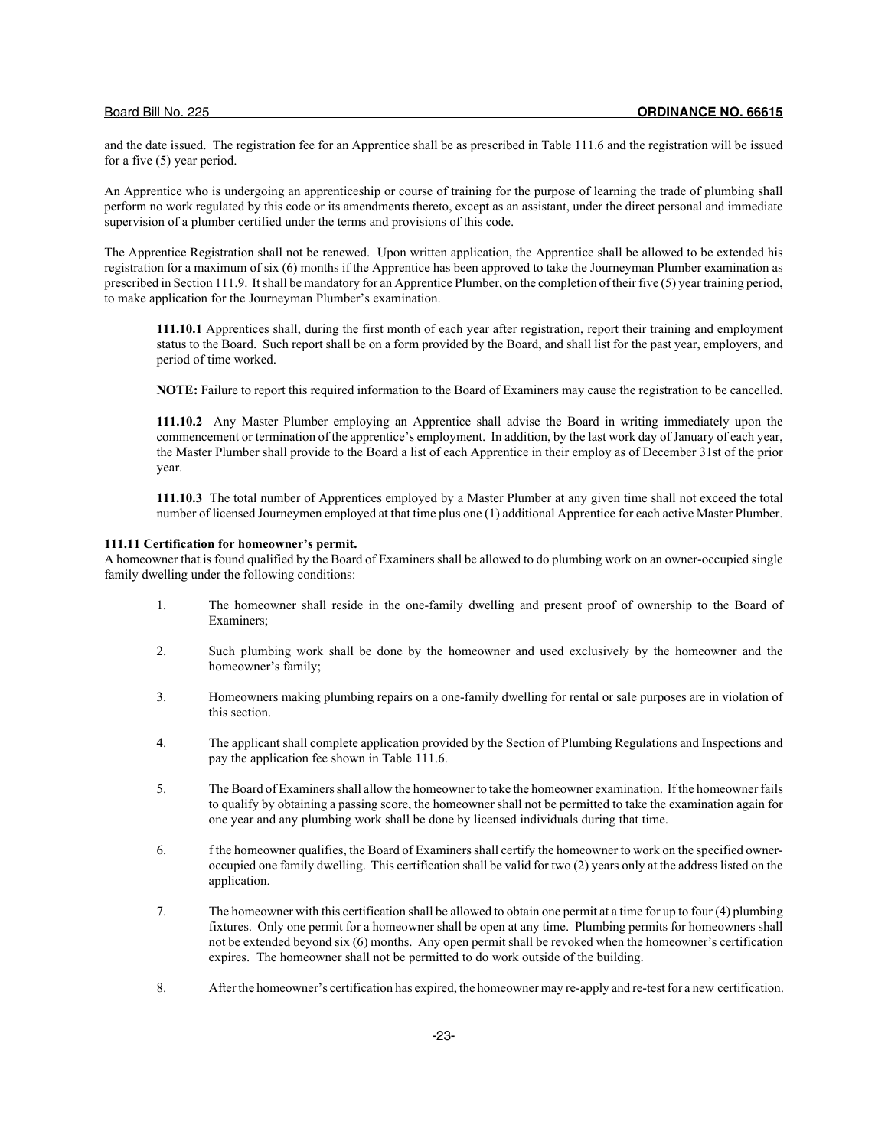and the date issued. The registration fee for an Apprentice shall be as prescribed in Table 111.6 and the registration will be issued for a five (5) year period.

An Apprentice who is undergoing an apprenticeship or course of training for the purpose of learning the trade of plumbing shall perform no work regulated by this code or its amendments thereto, except as an assistant, under the direct personal and immediate supervision of a plumber certified under the terms and provisions of this code.

The Apprentice Registration shall not be renewed. Upon written application, the Apprentice shall be allowed to be extended his registration for a maximum of six (6) months if the Apprentice has been approved to take the Journeyman Plumber examination as prescribed in Section 111.9. It shall be mandatory for an Apprentice Plumber, on the completion of their five (5) year training period, to make application for the Journeyman Plumber's examination.

**111.10.1** Apprentices shall, during the first month of each year after registration, report their training and employment status to the Board. Such report shall be on a form provided by the Board, and shall list for the past year, employers, and period of time worked.

**NOTE:** Failure to report this required information to the Board of Examiners may cause the registration to be cancelled.

**111.10.2** Any Master Plumber employing an Apprentice shall advise the Board in writing immediately upon the commencement or termination of the apprentice's employment. In addition, by the last work day of January of each year, the Master Plumber shall provide to the Board a list of each Apprentice in their employ as of December 31st of the prior year.

**111.10.3** The total number of Apprentices employed by a Master Plumber at any given time shall not exceed the total number of licensed Journeymen employed at that time plus one (1) additional Apprentice for each active Master Plumber.

## **111.11 Certification for homeowner's permit.**

A homeowner that is found qualified by the Board of Examiners shall be allowed to do plumbing work on an owner-occupied single family dwelling under the following conditions:

- 1. The homeowner shall reside in the one-family dwelling and present proof of ownership to the Board of Examiners;
- 2. Such plumbing work shall be done by the homeowner and used exclusively by the homeowner and the homeowner's family;
- 3. Homeowners making plumbing repairs on a one-family dwelling for rental or sale purposes are in violation of this section.
- 4. The applicant shall complete application provided by the Section of Plumbing Regulations and Inspections and pay the application fee shown in Table 111.6.
- 5. The Board of Examiners shall allow the homeowner to take the homeowner examination. If the homeowner fails to qualify by obtaining a passing score, the homeowner shall not be permitted to take the examination again for one year and any plumbing work shall be done by licensed individuals during that time.
- 6. f the homeowner qualifies, the Board of Examiners shall certify the homeowner to work on the specified owneroccupied one family dwelling. This certification shall be valid for two (2) years only at the address listed on the application.
- 7. The homeowner with this certification shall be allowed to obtain one permit at a time for up to four (4) plumbing fixtures. Only one permit for a homeowner shall be open at any time. Plumbing permits for homeowners shall not be extended beyond six (6) months. Any open permit shall be revoked when the homeowner's certification expires. The homeowner shall not be permitted to do work outside of the building.
- 8. After the homeowner's certification has expired, the homeowner may re-apply and re-test for a new certification.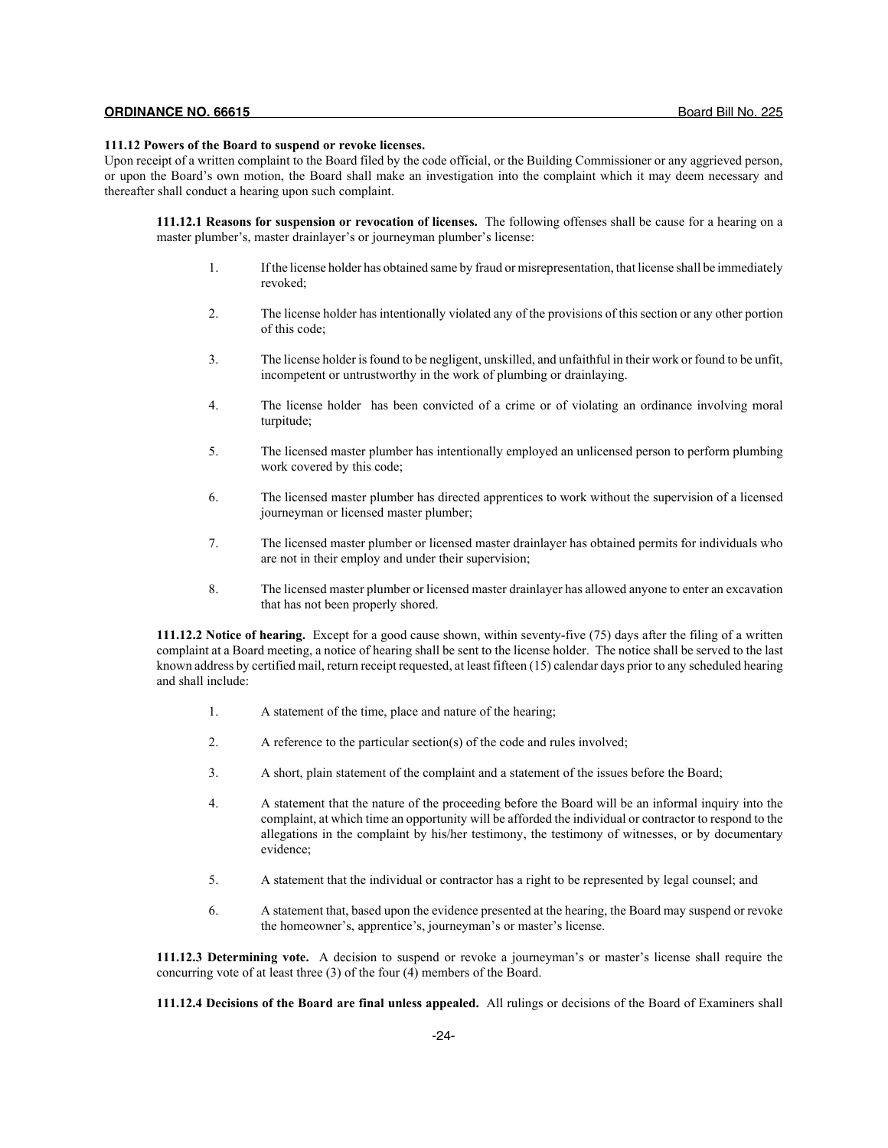## **111.12 Powers of the Board to suspend or revoke licenses.**

Upon receipt of a written complaint to the Board filed by the code official, or the Building Commissioner or any aggrieved person, or upon the Board's own motion, the Board shall make an investigation into the complaint which it may deem necessary and thereafter shall conduct a hearing upon such complaint.

**111.12.1 Reasons for suspension or revocation of licenses.** The following offenses shall be cause for a hearing on a master plumber's, master drainlayer's or journeyman plumber's license:

- 1. If the license holder has obtained same by fraud or misrepresentation, that license shall be immediately revoked;
- 2. The license holder has intentionally violated any of the provisions of this section or any other portion of this code;
- 3. The license holder is found to be negligent, unskilled, and unfaithful in their work or found to be unfit, incompetent or untrustworthy in the work of plumbing or drainlaying.
- 4. The license holder has been convicted of a crime or of violating an ordinance involving moral turpitude;
- 5. The licensed master plumber has intentionally employed an unlicensed person to perform plumbing work covered by this code;
- 6. The licensed master plumber has directed apprentices to work without the supervision of a licensed journeyman or licensed master plumber;
- 7. The licensed master plumber or licensed master drainlayer has obtained permits for individuals who are not in their employ and under their supervision;
- 8. The licensed master plumber or licensed master drainlayer has allowed anyone to enter an excavation that has not been properly shored.

**111.12.2 Notice of hearing.** Except for a good cause shown, within seventy-five (75) days after the filing of a written complaint at a Board meeting, a notice of hearing shall be sent to the license holder. The notice shall be served to the last known address by certified mail, return receipt requested, at least fifteen (15) calendar days prior to any scheduled hearing and shall include:

- 1. A statement of the time, place and nature of the hearing;
- 2. A reference to the particular section(s) of the code and rules involved;
- 3. A short, plain statement of the complaint and a statement of the issues before the Board;
- 4. A statement that the nature of the proceeding before the Board will be an informal inquiry into the complaint, at which time an opportunity will be afforded the individual or contractor to respond to the allegations in the complaint by his/her testimony, the testimony of witnesses, or by documentary evidence;
- 5. A statement that the individual or contractor has a right to be represented by legal counsel; and
- 6. A statement that, based upon the evidence presented at the hearing, the Board may suspend or revoke the homeowner's, apprentice's, journeyman's or master's license.

**111.12.3 Determining vote.** A decision to suspend or revoke a journeyman's or master's license shall require the concurring vote of at least three (3) of the four (4) members of the Board.

**111.12.4 Decisions of the Board are final unless appealed.** All rulings or decisions of the Board of Examiners shall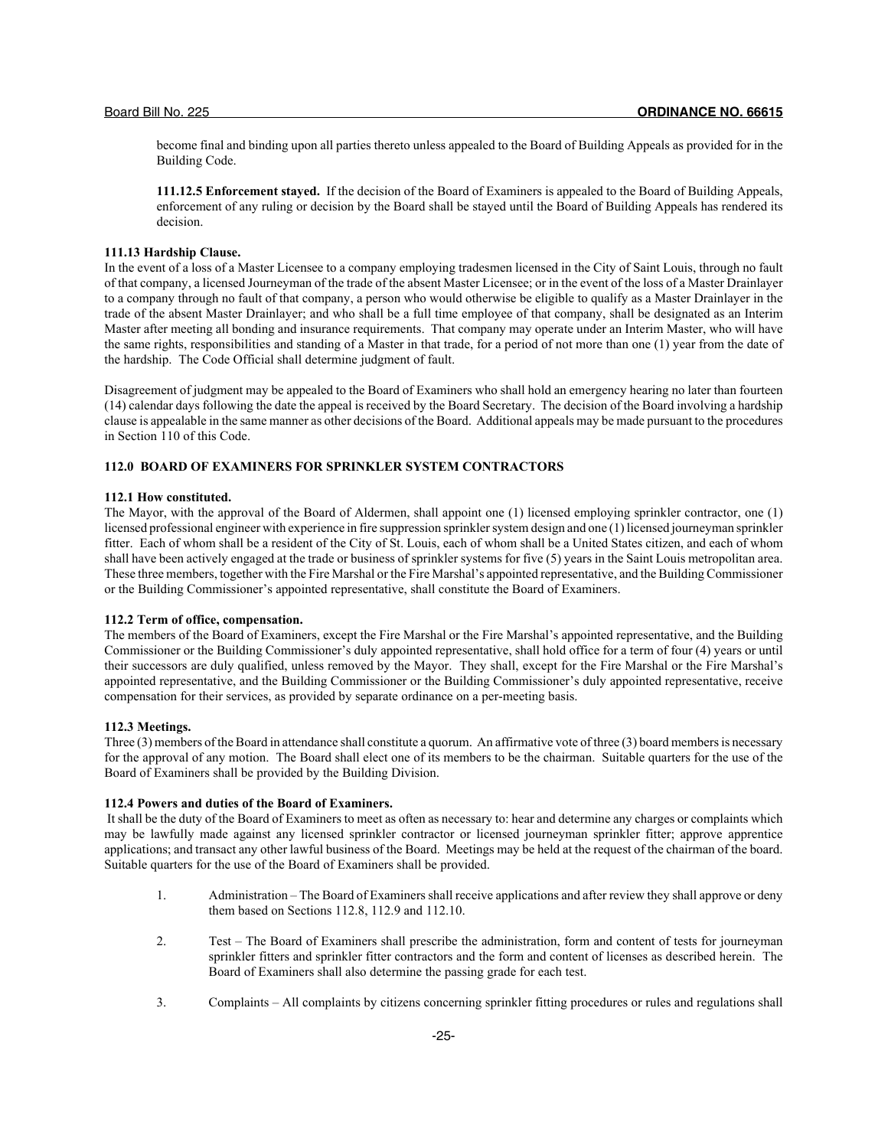become final and binding upon all parties thereto unless appealed to the Board of Building Appeals as provided for in the Building Code.

**111.12.5 Enforcement stayed.** If the decision of the Board of Examiners is appealed to the Board of Building Appeals, enforcement of any ruling or decision by the Board shall be stayed until the Board of Building Appeals has rendered its decision.

#### **111.13 Hardship Clause.**

In the event of a loss of a Master Licensee to a company employing tradesmen licensed in the City of Saint Louis, through no fault of that company, a licensed Journeyman of the trade of the absent Master Licensee; or in the event of the loss of a Master Drainlayer to a company through no fault of that company, a person who would otherwise be eligible to qualify as a Master Drainlayer in the trade of the absent Master Drainlayer; and who shall be a full time employee of that company, shall be designated as an Interim Master after meeting all bonding and insurance requirements. That company may operate under an Interim Master, who will have the same rights, responsibilities and standing of a Master in that trade, for a period of not more than one (1) year from the date of the hardship. The Code Official shall determine judgment of fault.

Disagreement of judgment may be appealed to the Board of Examiners who shall hold an emergency hearing no later than fourteen (14) calendar days following the date the appeal is received by the Board Secretary. The decision of the Board involving a hardship clause is appealable in the same manner as other decisions of the Board. Additional appeals may be made pursuant to the procedures in Section 110 of this Code.

## **112.0 BOARD OF EXAMINERS FOR SPRINKLER SYSTEM CONTRACTORS**

## **112.1 How constituted.**

The Mayor, with the approval of the Board of Aldermen, shall appoint one (1) licensed employing sprinkler contractor, one (1) licensed professional engineer with experience in fire suppression sprinkler system design and one (1) licensed journeyman sprinkler fitter. Each of whom shall be a resident of the City of St. Louis, each of whom shall be a United States citizen, and each of whom shall have been actively engaged at the trade or business of sprinkler systems for five (5) years in the Saint Louis metropolitan area. These three members, together with the Fire Marshal or the Fire Marshal's appointed representative, and the Building Commissioner or the Building Commissioner's appointed representative, shall constitute the Board of Examiners.

## **112.2 Term of office, compensation.**

The members of the Board of Examiners, except the Fire Marshal or the Fire Marshal's appointed representative, and the Building Commissioner or the Building Commissioner's duly appointed representative, shall hold office for a term of four (4) years or until their successors are duly qualified, unless removed by the Mayor. They shall, except for the Fire Marshal or the Fire Marshal's appointed representative, and the Building Commissioner or the Building Commissioner's duly appointed representative, receive compensation for their services, as provided by separate ordinance on a per-meeting basis.

## **112.3 Meetings.**

Three (3) members of the Board in attendance shall constitute a quorum. An affirmative vote of three (3) board members is necessary for the approval of any motion. The Board shall elect one of its members to be the chairman. Suitable quarters for the use of the Board of Examiners shall be provided by the Building Division.

## **112.4 Powers and duties of the Board of Examiners.**

 It shall be the duty of the Board of Examiners to meet as often as necessary to: hear and determine any charges or complaints which may be lawfully made against any licensed sprinkler contractor or licensed journeyman sprinkler fitter; approve apprentice applications; and transact any other lawful business of the Board. Meetings may be held at the request of the chairman of the board. Suitable quarters for the use of the Board of Examiners shall be provided.

- 1. Administration The Board of Examiners shall receive applications and after review they shall approve or deny them based on Sections 112.8, 112.9 and 112.10.
- 2. Test The Board of Examiners shall prescribe the administration, form and content of tests for journeyman sprinkler fitters and sprinkler fitter contractors and the form and content of licenses as described herein. The Board of Examiners shall also determine the passing grade for each test.
- 3. Complaints All complaints by citizens concerning sprinkler fitting procedures or rules and regulations shall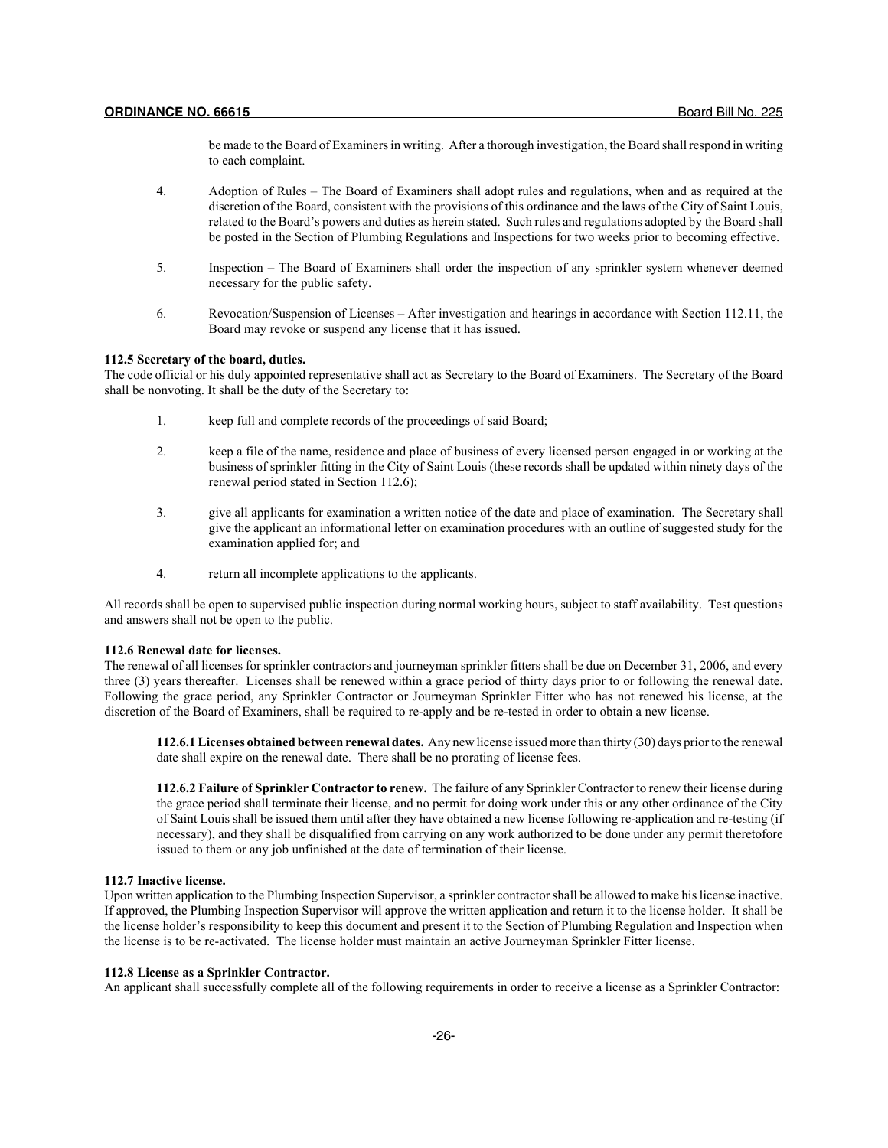be made to the Board of Examiners in writing. After a thorough investigation, the Board shall respond in writing to each complaint.

- 4. Adoption of Rules The Board of Examiners shall adopt rules and regulations, when and as required at the discretion of the Board, consistent with the provisions of this ordinance and the laws of the City of Saint Louis, related to the Board's powers and duties as herein stated. Such rules and regulations adopted by the Board shall be posted in the Section of Plumbing Regulations and Inspections for two weeks prior to becoming effective.
- 5. Inspection The Board of Examiners shall order the inspection of any sprinkler system whenever deemed necessary for the public safety.
- 6. Revocation/Suspension of Licenses After investigation and hearings in accordance with Section 112.11, the Board may revoke or suspend any license that it has issued.

## **112.5 Secretary of the board, duties.**

The code official or his duly appointed representative shall act as Secretary to the Board of Examiners. The Secretary of the Board shall be nonvoting. It shall be the duty of the Secretary to:

- 1. keep full and complete records of the proceedings of said Board;
- 2. keep a file of the name, residence and place of business of every licensed person engaged in or working at the business of sprinkler fitting in the City of Saint Louis (these records shall be updated within ninety days of the renewal period stated in Section 112.6);
- 3. give all applicants for examination a written notice of the date and place of examination. The Secretary shall give the applicant an informational letter on examination procedures with an outline of suggested study for the examination applied for; and
- 4. return all incomplete applications to the applicants.

All records shall be open to supervised public inspection during normal working hours, subject to staff availability. Test questions and answers shall not be open to the public.

#### **112.6 Renewal date for licenses.**

The renewal of all licenses for sprinkler contractors and journeyman sprinkler fitters shall be due on December 31, 2006, and every three (3) years thereafter. Licenses shall be renewed within a grace period of thirty days prior to or following the renewal date. Following the grace period, any Sprinkler Contractor or Journeyman Sprinkler Fitter who has not renewed his license, at the discretion of the Board of Examiners, shall be required to re-apply and be re-tested in order to obtain a new license.

**112.6.1 Licenses obtained between renewal dates.** Any new license issued more than thirty (30) days prior to the renewal date shall expire on the renewal date. There shall be no prorating of license fees.

**112.6.2 Failure of Sprinkler Contractor to renew.** The failure of any Sprinkler Contractor to renew their license during the grace period shall terminate their license, and no permit for doing work under this or any other ordinance of the City of Saint Louis shall be issued them until after they have obtained a new license following re-application and re-testing (if necessary), and they shall be disqualified from carrying on any work authorized to be done under any permit theretofore issued to them or any job unfinished at the date of termination of their license.

#### **112.7 Inactive license.**

Upon written application to the Plumbing Inspection Supervisor, a sprinkler contractor shall be allowed to make his license inactive. If approved, the Plumbing Inspection Supervisor will approve the written application and return it to the license holder. It shall be the license holder's responsibility to keep this document and present it to the Section of Plumbing Regulation and Inspection when the license is to be re-activated. The license holder must maintain an active Journeyman Sprinkler Fitter license.

## **112.8 License as a Sprinkler Contractor.**

An applicant shall successfully complete all of the following requirements in order to receive a license as a Sprinkler Contractor: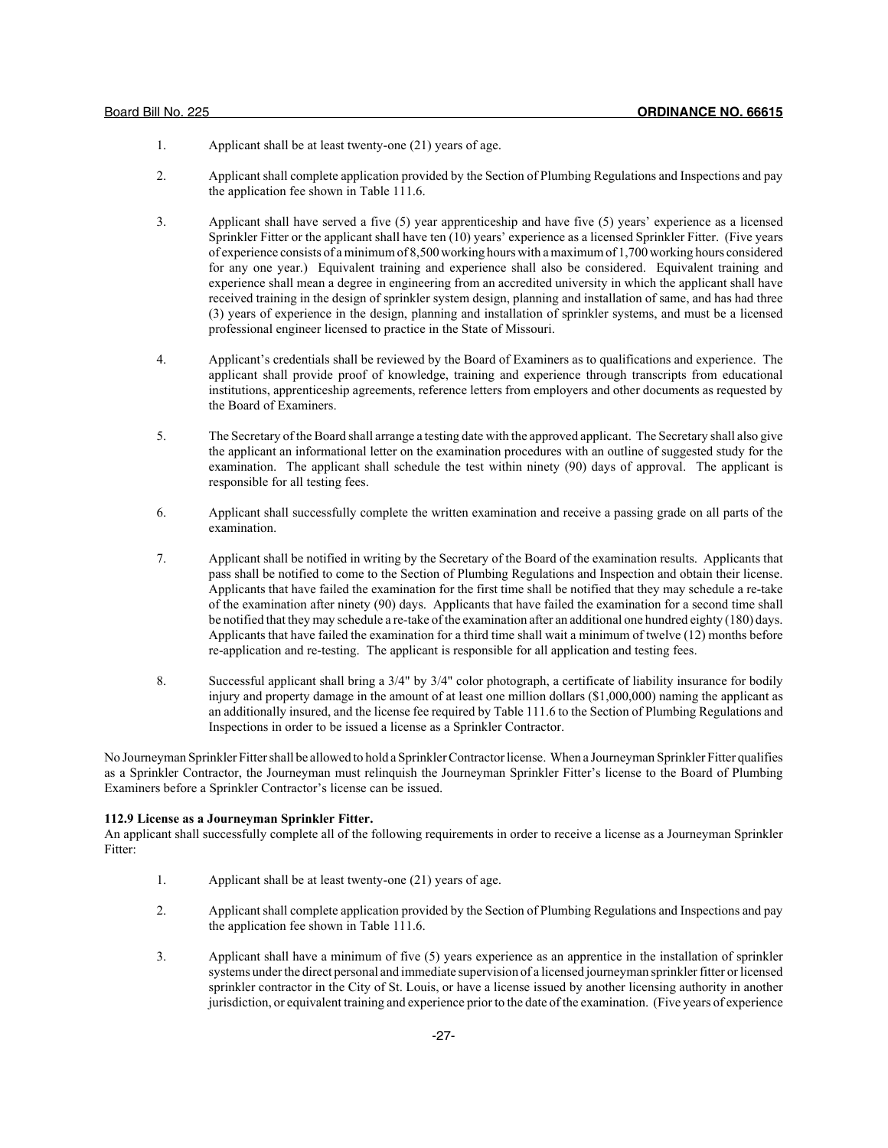- 1. Applicant shall be at least twenty-one (21) years of age.
- 2. Applicant shall complete application provided by the Section of Plumbing Regulations and Inspections and pay the application fee shown in Table 111.6.
- 3. Applicant shall have served a five (5) year apprenticeship and have five (5) years' experience as a licensed Sprinkler Fitter or the applicant shall have ten (10) years' experience as a licensed Sprinkler Fitter. (Five years of experience consists of a minimum of 8,500 working hours with a maximum of 1,700 working hours considered for any one year.) Equivalent training and experience shall also be considered. Equivalent training and experience shall mean a degree in engineering from an accredited university in which the applicant shall have received training in the design of sprinkler system design, planning and installation of same, and has had three (3) years of experience in the design, planning and installation of sprinkler systems, and must be a licensed professional engineer licensed to practice in the State of Missouri.
- 4. Applicant's credentials shall be reviewed by the Board of Examiners as to qualifications and experience. The applicant shall provide proof of knowledge, training and experience through transcripts from educational institutions, apprenticeship agreements, reference letters from employers and other documents as requested by the Board of Examiners.
- 5. The Secretary of the Board shall arrange a testing date with the approved applicant. The Secretary shall also give the applicant an informational letter on the examination procedures with an outline of suggested study for the examination. The applicant shall schedule the test within ninety (90) days of approval. The applicant is responsible for all testing fees.
- 6. Applicant shall successfully complete the written examination and receive a passing grade on all parts of the examination.
- 7. Applicant shall be notified in writing by the Secretary of the Board of the examination results. Applicants that pass shall be notified to come to the Section of Plumbing Regulations and Inspection and obtain their license. Applicants that have failed the examination for the first time shall be notified that they may schedule a re-take of the examination after ninety (90) days. Applicants that have failed the examination for a second time shall be notified that they may schedule a re-take of the examination after an additional one hundred eighty (180) days. Applicants that have failed the examination for a third time shall wait a minimum of twelve (12) months before re-application and re-testing. The applicant is responsible for all application and testing fees.
- 8. Successful applicant shall bring a 3/4" by 3/4" color photograph, a certificate of liability insurance for bodily injury and property damage in the amount of at least one million dollars (\$1,000,000) naming the applicant as an additionally insured, and the license fee required by Table 111.6 to the Section of Plumbing Regulations and Inspections in order to be issued a license as a Sprinkler Contractor.

No Journeyman Sprinkler Fitter shall be allowed to hold a Sprinkler Contractor license. When a Journeyman Sprinkler Fitter qualifies as a Sprinkler Contractor, the Journeyman must relinquish the Journeyman Sprinkler Fitter's license to the Board of Plumbing Examiners before a Sprinkler Contractor's license can be issued.

#### **112.9 License as a Journeyman Sprinkler Fitter.**

An applicant shall successfully complete all of the following requirements in order to receive a license as a Journeyman Sprinkler Fitter:

- 1. Applicant shall be at least twenty-one (21) years of age.
- 2. Applicant shall complete application provided by the Section of Plumbing Regulations and Inspections and pay the application fee shown in Table 111.6.
- 3. Applicant shall have a minimum of five (5) years experience as an apprentice in the installation of sprinkler systems under the direct personal and immediate supervision of a licensed journeyman sprinkler fitter or licensed sprinkler contractor in the City of St. Louis, or have a license issued by another licensing authority in another jurisdiction, or equivalent training and experience prior to the date of the examination. (Five years of experience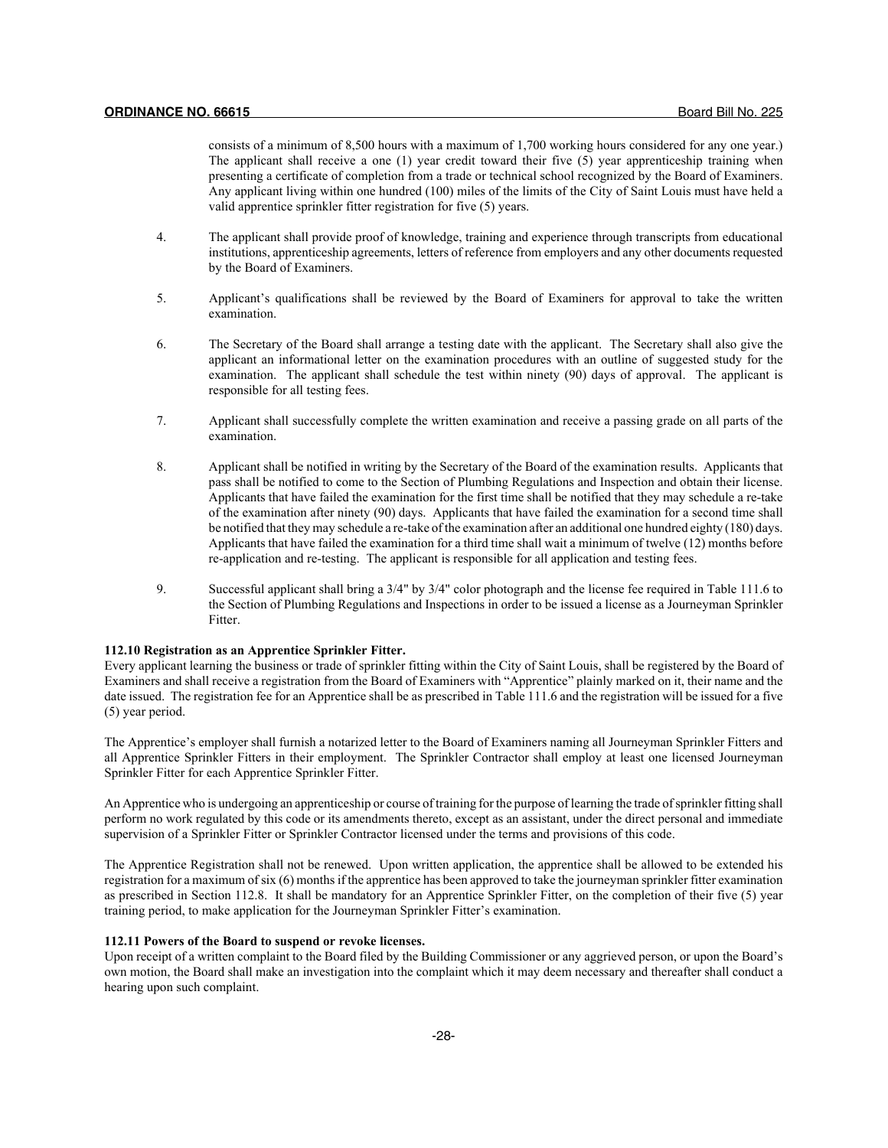consists of a minimum of 8,500 hours with a maximum of 1,700 working hours considered for any one year.) The applicant shall receive a one (1) year credit toward their five (5) year apprenticeship training when presenting a certificate of completion from a trade or technical school recognized by the Board of Examiners. Any applicant living within one hundred (100) miles of the limits of the City of Saint Louis must have held a valid apprentice sprinkler fitter registration for five (5) years.

- 4. The applicant shall provide proof of knowledge, training and experience through transcripts from educational institutions, apprenticeship agreements, letters of reference from employers and any other documents requested by the Board of Examiners.
- 5. Applicant's qualifications shall be reviewed by the Board of Examiners for approval to take the written examination.
- 6. The Secretary of the Board shall arrange a testing date with the applicant. The Secretary shall also give the applicant an informational letter on the examination procedures with an outline of suggested study for the examination. The applicant shall schedule the test within ninety (90) days of approval. The applicant is responsible for all testing fees.
- 7. Applicant shall successfully complete the written examination and receive a passing grade on all parts of the examination.
- 8. Applicant shall be notified in writing by the Secretary of the Board of the examination results. Applicants that pass shall be notified to come to the Section of Plumbing Regulations and Inspection and obtain their license. Applicants that have failed the examination for the first time shall be notified that they may schedule a re-take of the examination after ninety (90) days. Applicants that have failed the examination for a second time shall be notified that they may schedule a re-take of the examination after an additional one hundred eighty (180) days. Applicants that have failed the examination for a third time shall wait a minimum of twelve (12) months before re-application and re-testing. The applicant is responsible for all application and testing fees.
- 9. Successful applicant shall bring a 3/4" by 3/4" color photograph and the license fee required in Table 111.6 to the Section of Plumbing Regulations and Inspections in order to be issued a license as a Journeyman Sprinkler Fitter.

### **112.10 Registration as an Apprentice Sprinkler Fitter.**

Every applicant learning the business or trade of sprinkler fitting within the City of Saint Louis, shall be registered by the Board of Examiners and shall receive a registration from the Board of Examiners with "Apprentice" plainly marked on it, their name and the date issued. The registration fee for an Apprentice shall be as prescribed in Table 111.6 and the registration will be issued for a five (5) year period.

The Apprentice's employer shall furnish a notarized letter to the Board of Examiners naming all Journeyman Sprinkler Fitters and all Apprentice Sprinkler Fitters in their employment. The Sprinkler Contractor shall employ at least one licensed Journeyman Sprinkler Fitter for each Apprentice Sprinkler Fitter.

An Apprentice who is undergoing an apprenticeship or course of training for the purpose of learning the trade of sprinkler fitting shall perform no work regulated by this code or its amendments thereto, except as an assistant, under the direct personal and immediate supervision of a Sprinkler Fitter or Sprinkler Contractor licensed under the terms and provisions of this code.

The Apprentice Registration shall not be renewed. Upon written application, the apprentice shall be allowed to be extended his registration for a maximum of six (6) months if the apprentice has been approved to take the journeyman sprinkler fitter examination as prescribed in Section 112.8. It shall be mandatory for an Apprentice Sprinkler Fitter, on the completion of their five (5) year training period, to make application for the Journeyman Sprinkler Fitter's examination.

## **112.11 Powers of the Board to suspend or revoke licenses.**

Upon receipt of a written complaint to the Board filed by the Building Commissioner or any aggrieved person, or upon the Board's own motion, the Board shall make an investigation into the complaint which it may deem necessary and thereafter shall conduct a hearing upon such complaint.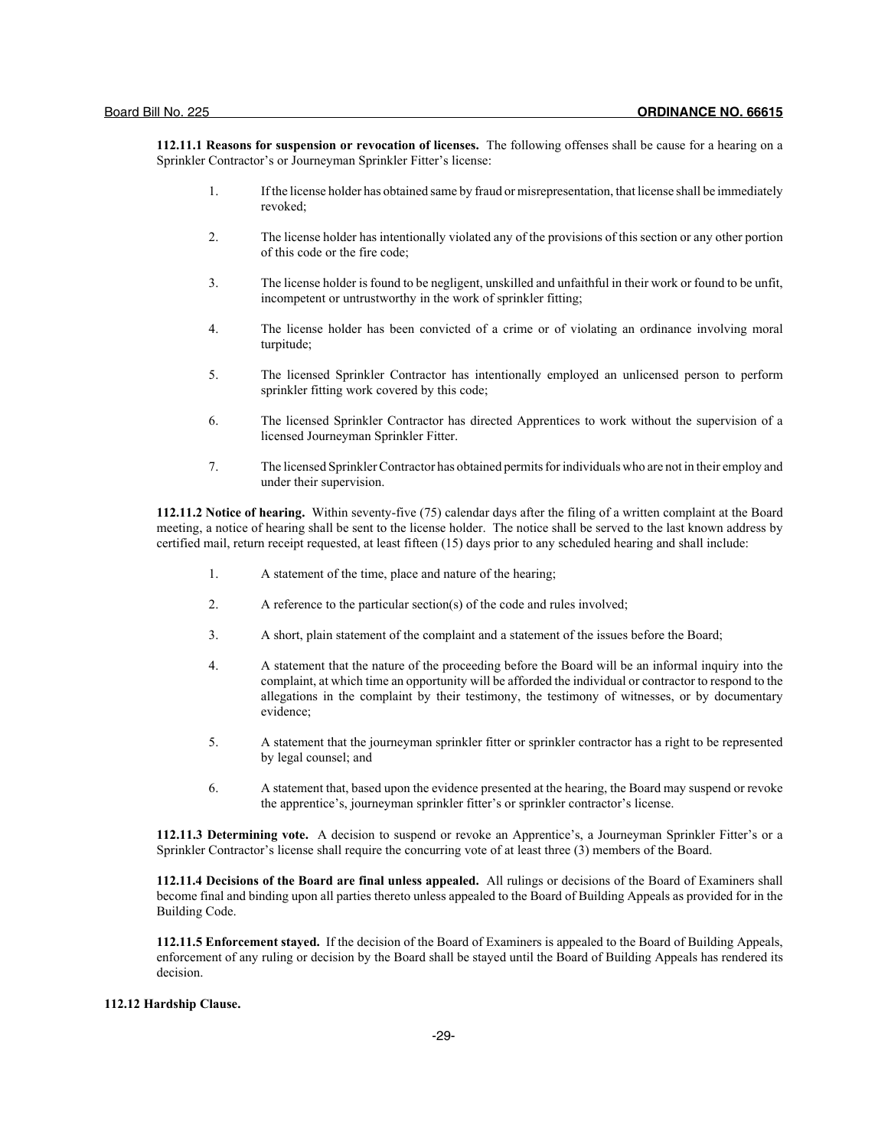**112.11.1 Reasons for suspension or revocation of licenses.** The following offenses shall be cause for a hearing on a Sprinkler Contractor's or Journeyman Sprinkler Fitter's license:

- 1. If the license holder has obtained same by fraud or misrepresentation, that license shall be immediately revoked;
- 2. The license holder has intentionally violated any of the provisions of this section or any other portion of this code or the fire code;
- 3. The license holder is found to be negligent, unskilled and unfaithful in their work or found to be unfit, incompetent or untrustworthy in the work of sprinkler fitting;
- 4. The license holder has been convicted of a crime or of violating an ordinance involving moral turpitude;
- 5. The licensed Sprinkler Contractor has intentionally employed an unlicensed person to perform sprinkler fitting work covered by this code;
- 6. The licensed Sprinkler Contractor has directed Apprentices to work without the supervision of a licensed Journeyman Sprinkler Fitter.
- 7. The licensed Sprinkler Contractor has obtained permits for individuals who are not in their employ and under their supervision.

**112.11.2 Notice of hearing.** Within seventy-five (75) calendar days after the filing of a written complaint at the Board meeting, a notice of hearing shall be sent to the license holder. The notice shall be served to the last known address by certified mail, return receipt requested, at least fifteen (15) days prior to any scheduled hearing and shall include:

- 1. A statement of the time, place and nature of the hearing;
- 2. A reference to the particular section(s) of the code and rules involved;
- 3. A short, plain statement of the complaint and a statement of the issues before the Board;
- 4. A statement that the nature of the proceeding before the Board will be an informal inquiry into the complaint, at which time an opportunity will be afforded the individual or contractor to respond to the allegations in the complaint by their testimony, the testimony of witnesses, or by documentary evidence;
- 5. A statement that the journeyman sprinkler fitter or sprinkler contractor has a right to be represented by legal counsel; and
- 6. A statement that, based upon the evidence presented at the hearing, the Board may suspend or revoke the apprentice's, journeyman sprinkler fitter's or sprinkler contractor's license.

**112.11.3 Determining vote.** A decision to suspend or revoke an Apprentice's, a Journeyman Sprinkler Fitter's or a Sprinkler Contractor's license shall require the concurring vote of at least three (3) members of the Board.

**112.11.4 Decisions of the Board are final unless appealed.** All rulings or decisions of the Board of Examiners shall become final and binding upon all parties thereto unless appealed to the Board of Building Appeals as provided for in the Building Code.

**112.11.5 Enforcement stayed.** If the decision of the Board of Examiners is appealed to the Board of Building Appeals, enforcement of any ruling or decision by the Board shall be stayed until the Board of Building Appeals has rendered its decision.

## **112.12 Hardship Clause.**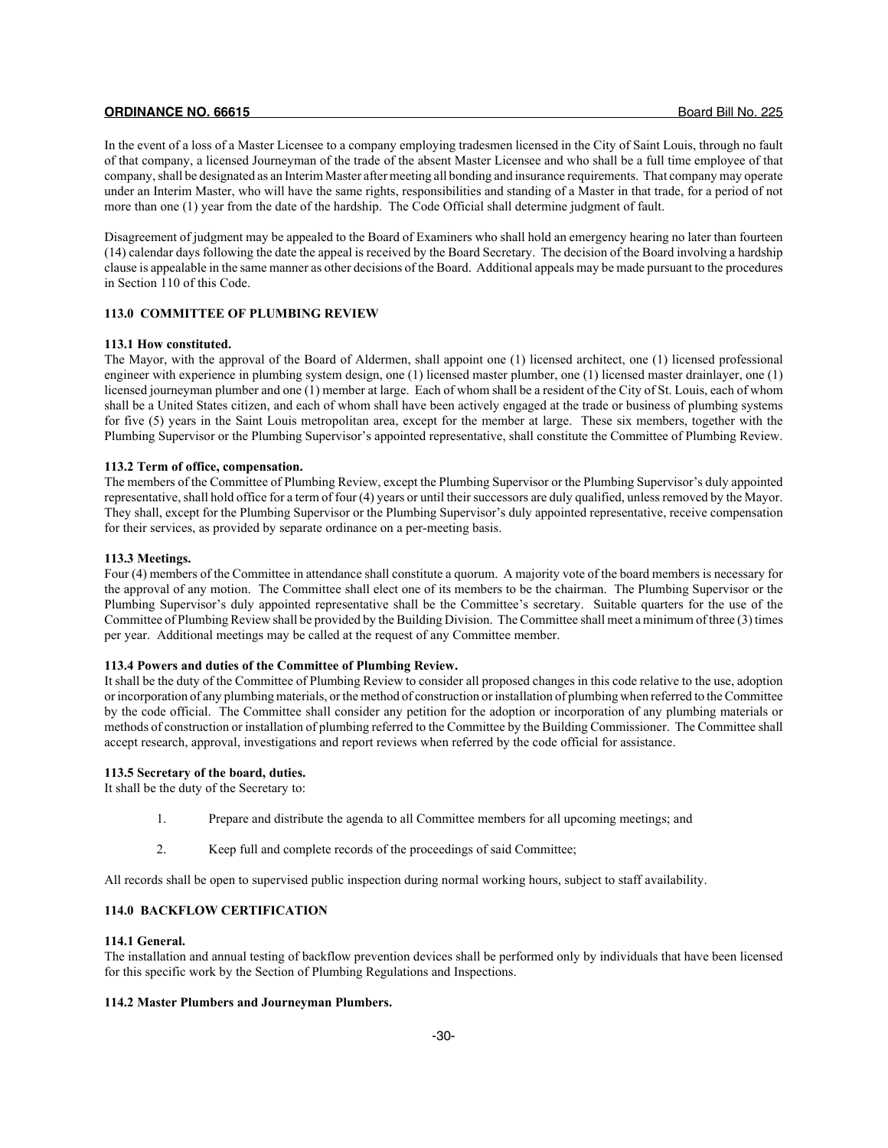In the event of a loss of a Master Licensee to a company employing tradesmen licensed in the City of Saint Louis, through no fault of that company, a licensed Journeyman of the trade of the absent Master Licensee and who shall be a full time employee of that company, shall be designated as an Interim Master after meeting all bonding and insurance requirements. That company may operate under an Interim Master, who will have the same rights, responsibilities and standing of a Master in that trade, for a period of not more than one (1) year from the date of the hardship. The Code Official shall determine judgment of fault.

Disagreement of judgment may be appealed to the Board of Examiners who shall hold an emergency hearing no later than fourteen (14) calendar days following the date the appeal is received by the Board Secretary. The decision of the Board involving a hardship clause is appealable in the same manner as other decisions of the Board. Additional appeals may be made pursuant to the procedures in Section 110 of this Code.

## **113.0 COMMITTEE OF PLUMBING REVIEW**

## **113.1 How constituted.**

The Mayor, with the approval of the Board of Aldermen, shall appoint one (1) licensed architect, one (1) licensed professional engineer with experience in plumbing system design, one (1) licensed master plumber, one (1) licensed master drainlayer, one (1) licensed journeyman plumber and one (1) member at large. Each of whom shall be a resident of the City of St. Louis, each of whom shall be a United States citizen, and each of whom shall have been actively engaged at the trade or business of plumbing systems for five (5) years in the Saint Louis metropolitan area, except for the member at large. These six members, together with the Plumbing Supervisor or the Plumbing Supervisor's appointed representative, shall constitute the Committee of Plumbing Review.

## **113.2 Term of office, compensation.**

The members of the Committee of Plumbing Review, except the Plumbing Supervisor or the Plumbing Supervisor's duly appointed representative, shall hold office for a term of four (4) years or until their successors are duly qualified, unless removed by the Mayor. They shall, except for the Plumbing Supervisor or the Plumbing Supervisor's duly appointed representative, receive compensation for their services, as provided by separate ordinance on a per-meeting basis.

## **113.3 Meetings.**

Four (4) members of the Committee in attendance shall constitute a quorum. A majority vote of the board members is necessary for the approval of any motion. The Committee shall elect one of its members to be the chairman. The Plumbing Supervisor or the Plumbing Supervisor's duly appointed representative shall be the Committee's secretary. Suitable quarters for the use of the Committee of Plumbing Review shall be provided by the Building Division. The Committee shall meet a minimum of three (3) times per year. Additional meetings may be called at the request of any Committee member.

## **113.4 Powers and duties of the Committee of Plumbing Review.**

It shall be the duty of the Committee of Plumbing Review to consider all proposed changes in this code relative to the use, adoption or incorporation of any plumbing materials, or the method of construction or installation of plumbing when referred to the Committee by the code official. The Committee shall consider any petition for the adoption or incorporation of any plumbing materials or methods of construction or installation of plumbing referred to the Committee by the Building Commissioner. The Committee shall accept research, approval, investigations and report reviews when referred by the code official for assistance.

## **113.5 Secretary of the board, duties.**

It shall be the duty of the Secretary to:

- 1. Prepare and distribute the agenda to all Committee members for all upcoming meetings; and
- 2. Keep full and complete records of the proceedings of said Committee;

All records shall be open to supervised public inspection during normal working hours, subject to staff availability.

## **114.0 BACKFLOW CERTIFICATION**

#### **114.1 General.**

The installation and annual testing of backflow prevention devices shall be performed only by individuals that have been licensed for this specific work by the Section of Plumbing Regulations and Inspections.

## **114.2 Master Plumbers and Journeyman Plumbers.**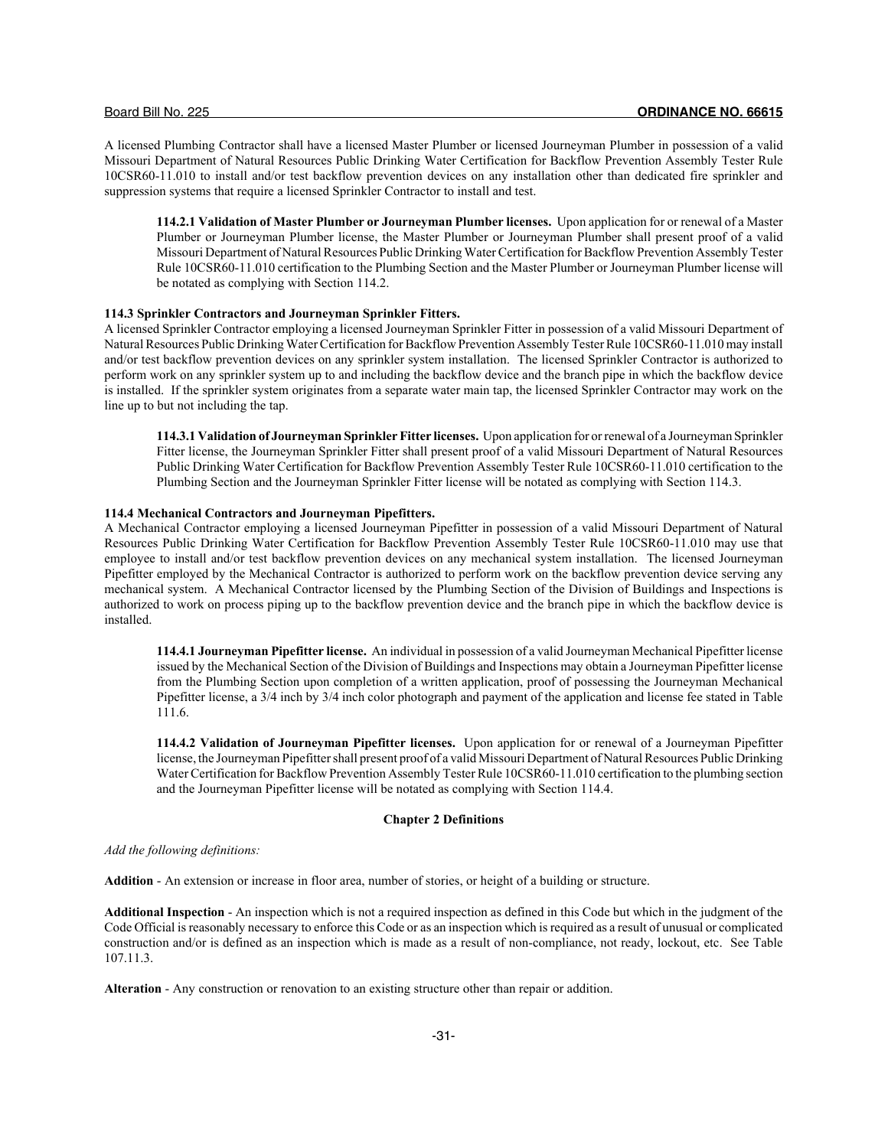A licensed Plumbing Contractor shall have a licensed Master Plumber or licensed Journeyman Plumber in possession of a valid Missouri Department of Natural Resources Public Drinking Water Certification for Backflow Prevention Assembly Tester Rule 10CSR60-11.010 to install and/or test backflow prevention devices on any installation other than dedicated fire sprinkler and suppression systems that require a licensed Sprinkler Contractor to install and test.

**114.2.1 Validation of Master Plumber or Journeyman Plumber licenses.** Upon application for or renewal of a Master Plumber or Journeyman Plumber license, the Master Plumber or Journeyman Plumber shall present proof of a valid Missouri Department of Natural Resources Public Drinking Water Certification for Backflow Prevention Assembly Tester Rule 10CSR60-11.010 certification to the Plumbing Section and the Master Plumber or Journeyman Plumber license will be notated as complying with Section 114.2.

## **114.3 Sprinkler Contractors and Journeyman Sprinkler Fitters.**

A licensed Sprinkler Contractor employing a licensed Journeyman Sprinkler Fitter in possession of a valid Missouri Department of Natural Resources Public Drinking Water Certification for Backflow Prevention Assembly Tester Rule 10CSR60-11.010 may install and/or test backflow prevention devices on any sprinkler system installation. The licensed Sprinkler Contractor is authorized to perform work on any sprinkler system up to and including the backflow device and the branch pipe in which the backflow device is installed. If the sprinkler system originates from a separate water main tap, the licensed Sprinkler Contractor may work on the line up to but not including the tap.

**114.3.1 Validation of Journeyman Sprinkler Fitter licenses.** Upon application for or renewal of a Journeyman Sprinkler Fitter license, the Journeyman Sprinkler Fitter shall present proof of a valid Missouri Department of Natural Resources Public Drinking Water Certification for Backflow Prevention Assembly Tester Rule 10CSR60-11.010 certification to the Plumbing Section and the Journeyman Sprinkler Fitter license will be notated as complying with Section 114.3.

## **114.4 Mechanical Contractors and Journeyman Pipefitters.**

A Mechanical Contractor employing a licensed Journeyman Pipefitter in possession of a valid Missouri Department of Natural Resources Public Drinking Water Certification for Backflow Prevention Assembly Tester Rule 10CSR60-11.010 may use that employee to install and/or test backflow prevention devices on any mechanical system installation. The licensed Journeyman Pipefitter employed by the Mechanical Contractor is authorized to perform work on the backflow prevention device serving any mechanical system. A Mechanical Contractor licensed by the Plumbing Section of the Division of Buildings and Inspections is authorized to work on process piping up to the backflow prevention device and the branch pipe in which the backflow device is installed.

**114.4.1 Journeyman Pipefitter license.** An individual in possession of a valid Journeyman Mechanical Pipefitter license issued by the Mechanical Section of the Division of Buildings and Inspections may obtain a Journeyman Pipefitter license from the Plumbing Section upon completion of a written application, proof of possessing the Journeyman Mechanical Pipefitter license, a 3/4 inch by 3/4 inch color photograph and payment of the application and license fee stated in Table 111.6.

**114.4.2 Validation of Journeyman Pipefitter licenses.** Upon application for or renewal of a Journeyman Pipefitter license, the Journeyman Pipefitter shall present proof of a valid Missouri Department of Natural Resources Public Drinking Water Certification for Backflow Prevention Assembly Tester Rule 10CSR60-11.010 certification to the plumbing section and the Journeyman Pipefitter license will be notated as complying with Section 114.4.

## **Chapter 2 Definitions**

*Add the following definitions:*

**Addition** - An extension or increase in floor area, number of stories, or height of a building or structure.

**Additional Inspection** - An inspection which is not a required inspection as defined in this Code but which in the judgment of the Code Official is reasonably necessary to enforce this Code or as an inspection which is required as a result of unusual or complicated construction and/or is defined as an inspection which is made as a result of non-compliance, not ready, lockout, etc. See Table 107.11.3.

**Alteration** - Any construction or renovation to an existing structure other than repair or addition.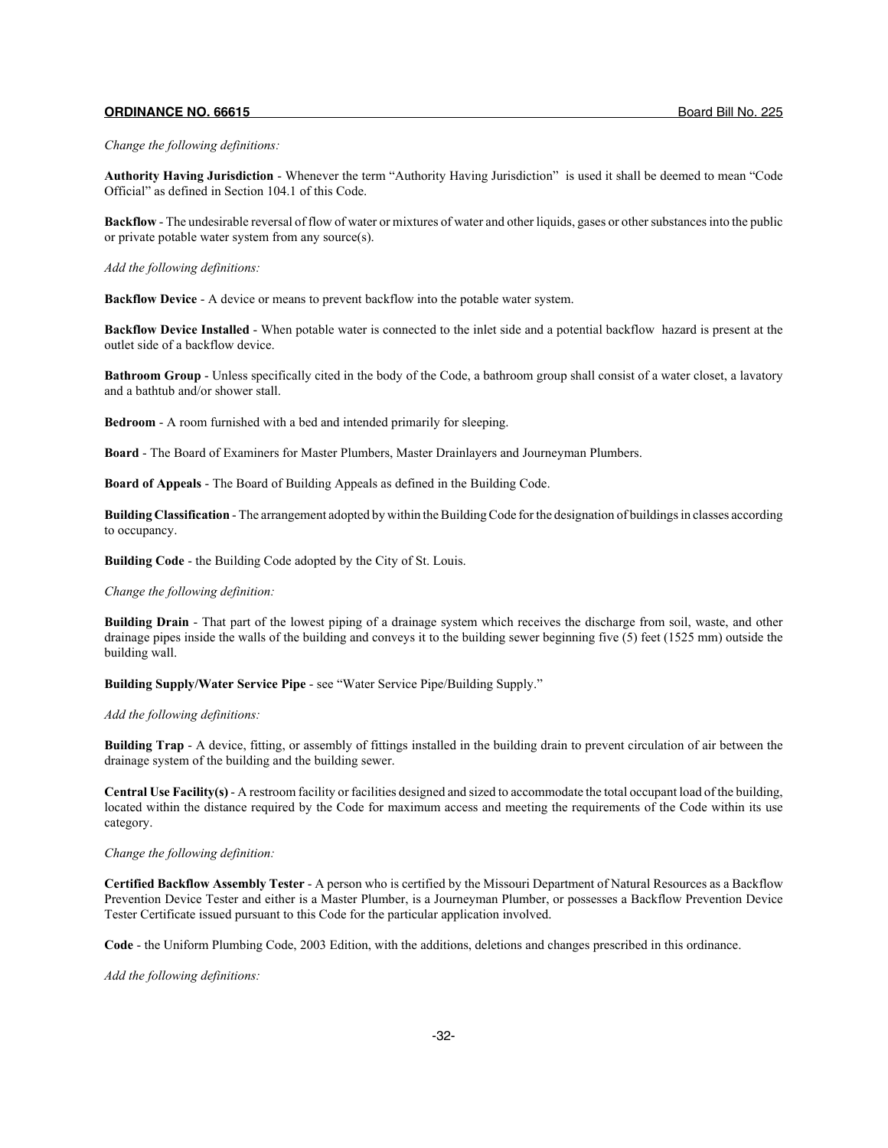#### *Change the following definitions:*

**Authority Having Jurisdiction** - Whenever the term "Authority Having Jurisdiction" is used it shall be deemed to mean "Code Official" as defined in Section 104.1 of this Code.

**Backflow** - The undesirable reversal of flow of water or mixtures of water and other liquids, gases or other substances into the public or private potable water system from any source(s).

#### *Add the following definitions:*

**Backflow Device** - A device or means to prevent backflow into the potable water system.

**Backflow Device Installed** - When potable water is connected to the inlet side and a potential backflow hazard is present at the outlet side of a backflow device.

**Bathroom Group** - Unless specifically cited in the body of the Code, a bathroom group shall consist of a water closet, a lavatory and a bathtub and/or shower stall.

**Bedroom** - A room furnished with a bed and intended primarily for sleeping.

**Board** - The Board of Examiners for Master Plumbers, Master Drainlayers and Journeyman Plumbers.

**Board of Appeals** - The Board of Building Appeals as defined in the Building Code.

**Building Classification** - The arrangement adopted by within the Building Code for the designation of buildings in classes according to occupancy.

**Building Code** - the Building Code adopted by the City of St. Louis.

#### *Change the following definition:*

**Building Drain** - That part of the lowest piping of a drainage system which receives the discharge from soil, waste, and other drainage pipes inside the walls of the building and conveys it to the building sewer beginning five (5) feet (1525 mm) outside the building wall.

**Building Supply/Water Service Pipe** - see "Water Service Pipe/Building Supply."

#### *Add the following definitions:*

**Building Trap** - A device, fitting, or assembly of fittings installed in the building drain to prevent circulation of air between the drainage system of the building and the building sewer.

**Central Use Facility(s)** - A restroom facility or facilities designed and sized to accommodate the total occupant load of the building, located within the distance required by the Code for maximum access and meeting the requirements of the Code within its use category.

#### *Change the following definition:*

**Certified Backflow Assembly Tester** - A person who is certified by the Missouri Department of Natural Resources as a Backflow Prevention Device Tester and either is a Master Plumber, is a Journeyman Plumber, or possesses a Backflow Prevention Device Tester Certificate issued pursuant to this Code for the particular application involved.

**Code** - the Uniform Plumbing Code, 2003 Edition, with the additions, deletions and changes prescribed in this ordinance.

*Add the following definitions:*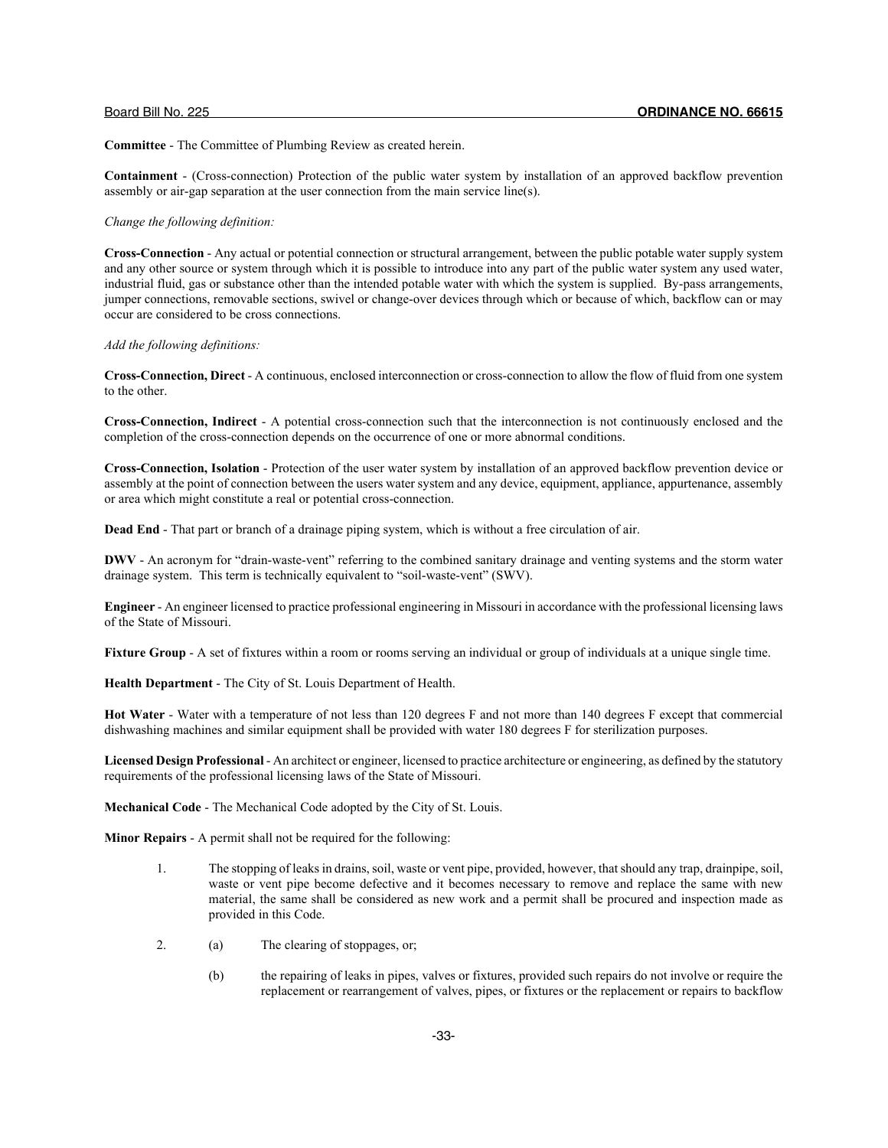**Committee** - The Committee of Plumbing Review as created herein.

**Containment** - (Cross-connection) Protection of the public water system by installation of an approved backflow prevention assembly or air-gap separation at the user connection from the main service line(s).

## *Change the following definition:*

**Cross-Connection** - Any actual or potential connection or structural arrangement, between the public potable water supply system and any other source or system through which it is possible to introduce into any part of the public water system any used water, industrial fluid, gas or substance other than the intended potable water with which the system is supplied. By-pass arrangements, jumper connections, removable sections, swivel or change-over devices through which or because of which, backflow can or may occur are considered to be cross connections.

## *Add the following definitions:*

**Cross-Connection, Direct** - A continuous, enclosed interconnection or cross-connection to allow the flow of fluid from one system to the other.

**Cross-Connection, Indirect** - A potential cross-connection such that the interconnection is not continuously enclosed and the completion of the cross-connection depends on the occurrence of one or more abnormal conditions.

**Cross-Connection, Isolation** - Protection of the user water system by installation of an approved backflow prevention device or assembly at the point of connection between the users water system and any device, equipment, appliance, appurtenance, assembly or area which might constitute a real or potential cross-connection.

**Dead End** - That part or branch of a drainage piping system, which is without a free circulation of air.

**DWV** - An acronym for "drain-waste-vent" referring to the combined sanitary drainage and venting systems and the storm water drainage system. This term is technically equivalent to "soil-waste-vent" (SWV).

**Engineer** - An engineer licensed to practice professional engineering in Missouri in accordance with the professional licensing laws of the State of Missouri.

**Fixture Group - A** set of fixtures within a room or rooms serving an individual or group of individuals at a unique single time.

**Health Department** - The City of St. Louis Department of Health.

**Hot Water** - Water with a temperature of not less than 120 degrees F and not more than 140 degrees F except that commercial dishwashing machines and similar equipment shall be provided with water 180 degrees F for sterilization purposes.

**Licensed Design Professional** - An architect or engineer, licensed to practice architecture or engineering, as defined by the statutory requirements of the professional licensing laws of the State of Missouri.

**Mechanical Code** - The Mechanical Code adopted by the City of St. Louis.

**Minor Repairs** - A permit shall not be required for the following:

- 1. The stopping of leaks in drains, soil, waste or vent pipe, provided, however, that should any trap, drainpipe, soil, waste or vent pipe become defective and it becomes necessary to remove and replace the same with new material, the same shall be considered as new work and a permit shall be procured and inspection made as provided in this Code.
- 2. (a) The clearing of stoppages, or;
	- (b) the repairing of leaks in pipes, valves or fixtures, provided such repairs do not involve or require the replacement or rearrangement of valves, pipes, or fixtures or the replacement or repairs to backflow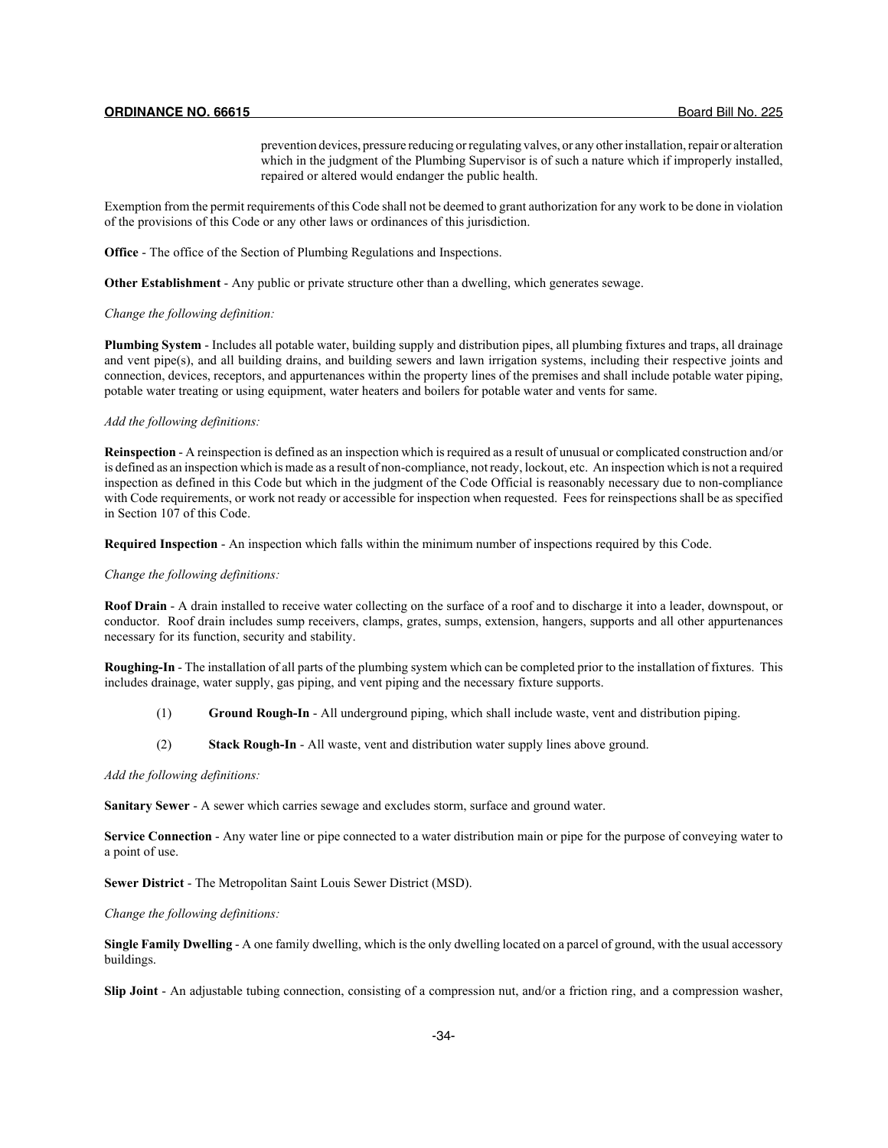prevention devices, pressure reducing or regulating valves, or any other installation, repair or alteration which in the judgment of the Plumbing Supervisor is of such a nature which if improperly installed, repaired or altered would endanger the public health.

Exemption from the permit requirements of this Code shall not be deemed to grant authorization for any work to be done in violation of the provisions of this Code or any other laws or ordinances of this jurisdiction.

**Office** - The office of the Section of Plumbing Regulations and Inspections.

**Other Establishment** - Any public or private structure other than a dwelling, which generates sewage.

## *Change the following definition:*

**Plumbing System** - Includes all potable water, building supply and distribution pipes, all plumbing fixtures and traps, all drainage and vent pipe(s), and all building drains, and building sewers and lawn irrigation systems, including their respective joints and connection, devices, receptors, and appurtenances within the property lines of the premises and shall include potable water piping, potable water treating or using equipment, water heaters and boilers for potable water and vents for same.

## *Add the following definitions:*

**Reinspection** - A reinspection is defined as an inspection which is required as a result of unusual or complicated construction and/or is defined as an inspection which is made as a result of non-compliance, not ready, lockout, etc. An inspection which is not a required inspection as defined in this Code but which in the judgment of the Code Official is reasonably necessary due to non-compliance with Code requirements, or work not ready or accessible for inspection when requested. Fees for reinspections shall be as specified in Section 107 of this Code.

**Required Inspection** - An inspection which falls within the minimum number of inspections required by this Code.

## *Change the following definitions:*

**Roof Drain** - A drain installed to receive water collecting on the surface of a roof and to discharge it into a leader, downspout, or conductor. Roof drain includes sump receivers, clamps, grates, sumps, extension, hangers, supports and all other appurtenances necessary for its function, security and stability.

**Roughing-In** - The installation of all parts of the plumbing system which can be completed prior to the installation of fixtures. This includes drainage, water supply, gas piping, and vent piping and the necessary fixture supports.

- (1) **Ground Rough-In** All underground piping, which shall include waste, vent and distribution piping.
- (2) **Stack Rough-In** All waste, vent and distribution water supply lines above ground.

*Add the following definitions:*

**Sanitary Sewer** - A sewer which carries sewage and excludes storm, surface and ground water.

**Service Connection** - Any water line or pipe connected to a water distribution main or pipe for the purpose of conveying water to a point of use.

**Sewer District** - The Metropolitan Saint Louis Sewer District (MSD).

*Change the following definitions:*

**Single Family Dwelling** - A one family dwelling, which is the only dwelling located on a parcel of ground, with the usual accessory buildings.

**Slip Joint** - An adjustable tubing connection, consisting of a compression nut, and/or a friction ring, and a compression washer,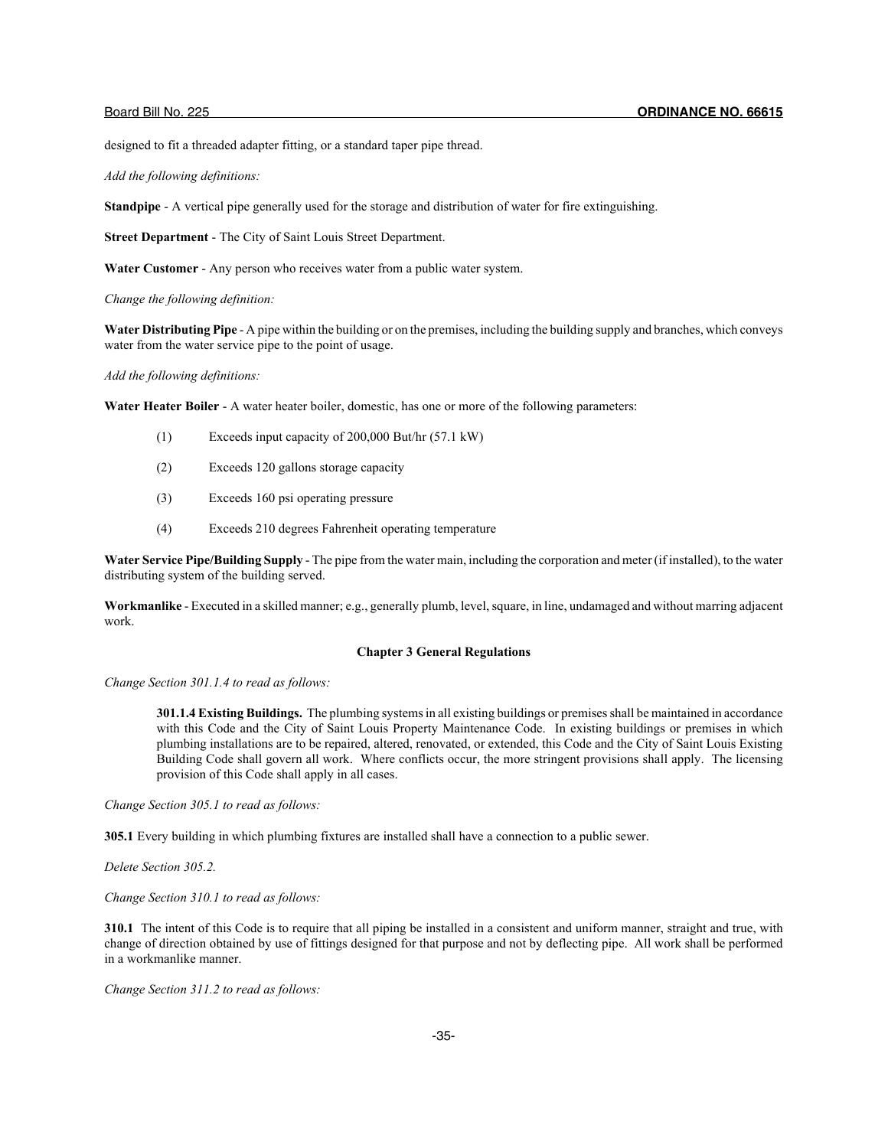designed to fit a threaded adapter fitting, or a standard taper pipe thread.

*Add the following definitions:*

**Standpipe** - A vertical pipe generally used for the storage and distribution of water for fire extinguishing.

**Street Department** - The City of Saint Louis Street Department.

**Water Customer** - Any person who receives water from a public water system.

*Change the following definition:*

**Water Distributing Pipe** - A pipe within the building or on the premises, including the building supply and branches, which conveys water from the water service pipe to the point of usage.

*Add the following definitions:*

**Water Heater Boiler** - A water heater boiler, domestic, has one or more of the following parameters:

- (1) Exceeds input capacity of 200,000 But/hr (57.1 kW)
- (2) Exceeds 120 gallons storage capacity
- (3) Exceeds 160 psi operating pressure
- (4) Exceeds 210 degrees Fahrenheit operating temperature

**Water Service Pipe/Building Supply** - The pipe from the water main, including the corporation and meter (if installed), to the water distributing system of the building served.

**Workmanlike** - Executed in a skilled manner; e.g., generally plumb, level, square, in line, undamaged and without marring adjacent work.

## **Chapter 3 General Regulations**

*Change Section 301.1.4 to read as follows:*

**301.1.4 Existing Buildings.** The plumbing systems in all existing buildings or premises shall be maintained in accordance with this Code and the City of Saint Louis Property Maintenance Code. In existing buildings or premises in which plumbing installations are to be repaired, altered, renovated, or extended, this Code and the City of Saint Louis Existing Building Code shall govern all work. Where conflicts occur, the more stringent provisions shall apply. The licensing provision of this Code shall apply in all cases.

*Change Section 305.1 to read as follows:*

**305.1** Every building in which plumbing fixtures are installed shall have a connection to a public sewer.

*Delete Section 305.2.*

*Change Section 310.1 to read as follows:*

**310.1** The intent of this Code is to require that all piping be installed in a consistent and uniform manner, straight and true, with change of direction obtained by use of fittings designed for that purpose and not by deflecting pipe. All work shall be performed in a workmanlike manner.

*Change Section 311.2 to read as follows:*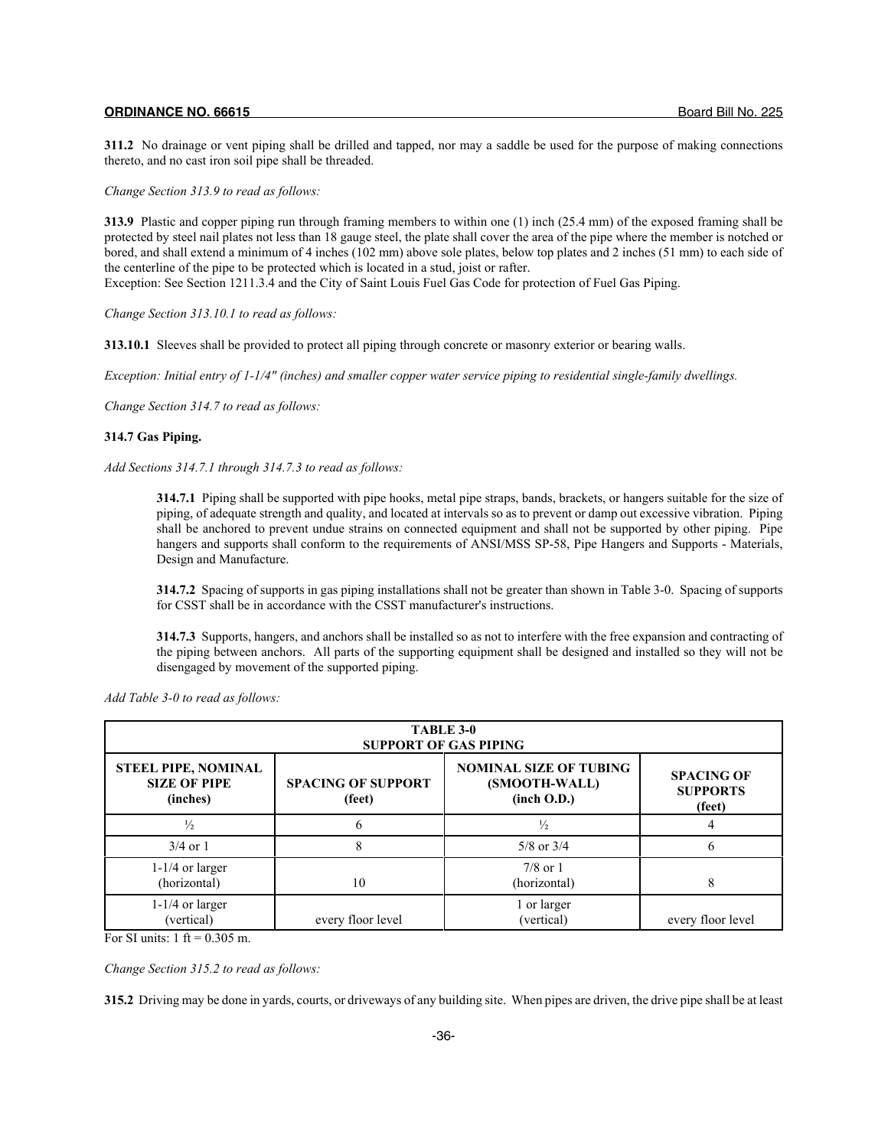**311.2** No drainage or vent piping shall be drilled and tapped, nor may a saddle be used for the purpose of making connections thereto, and no cast iron soil pipe shall be threaded.

*Change Section 313.9 to read as follows:*

**313.9** Plastic and copper piping run through framing members to within one (1) inch (25.4 mm) of the exposed framing shall be protected by steel nail plates not less than 18 gauge steel, the plate shall cover the area of the pipe where the member is notched or bored, and shall extend a minimum of 4 inches (102 mm) above sole plates, below top plates and 2 inches (51 mm) to each side of the centerline of the pipe to be protected which is located in a stud, joist or rafter.

Exception: See Section 1211.3.4 and the City of Saint Louis Fuel Gas Code for protection of Fuel Gas Piping.

*Change Section 313.10.1 to read as follows:*

**313.10.1** Sleeves shall be provided to protect all piping through concrete or masonry exterior or bearing walls.

*Exception: Initial entry of 1-1/4" (inches) and smaller copper water service piping to residential single-family dwellings.*

*Change Section 314.7 to read as follows:*

## **314.7 Gas Piping.**

*Add Sections 314.7.1 through 314.7.3 to read as follows:*

**314.7.1** Piping shall be supported with pipe hooks, metal pipe straps, bands, brackets, or hangers suitable for the size of piping, of adequate strength and quality, and located at intervals so as to prevent or damp out excessive vibration. Piping shall be anchored to prevent undue strains on connected equipment and shall not be supported by other piping. Pipe hangers and supports shall conform to the requirements of ANSI/MSS SP-58, Pipe Hangers and Supports - Materials, Design and Manufacture.

**314.7.2** Spacing of supports in gas piping installations shall not be greater than shown in Table 3-0. Spacing of supports for CSST shall be in accordance with the CSST manufacturer's instructions.

**314.7.3** Supports, hangers, and anchors shall be installed so as not to interfere with the free expansion and contracting of the piping between anchors. All parts of the supporting equipment shall be designed and installed so they will not be disengaged by movement of the supported piping.

|                                                               | TABLE 3-0<br><b>SUPPORT OF GAS PIPING</b> |                                                               |                                                |  |  |  |
|---------------------------------------------------------------|-------------------------------------------|---------------------------------------------------------------|------------------------------------------------|--|--|--|
| <b>STEEL PIPE, NOMINAL</b><br><b>SIZE OF PIPE</b><br>(inches) | <b>SPACING OF SUPPORT</b><br>(feet)       | <b>NOMINAL SIZE OF TUBING</b><br>(SMOOTH-WALL)<br>(inch O.D.) | <b>SPACING OF</b><br><b>SUPPORTS</b><br>(feet) |  |  |  |
| $\frac{1}{2}$                                                 |                                           | $\frac{1}{2}$                                                 |                                                |  |  |  |
| $3/4$ or 1                                                    |                                           | $5/8$ or $3/4$                                                |                                                |  |  |  |
| $1-1/4$ or larger<br>(horizontal)                             | 10                                        | $7/8$ or 1<br>(horizontal)                                    |                                                |  |  |  |
| $1-1/4$ or larger<br>(vertical)                               | every floor level                         | 1 or larger<br>(vertical)                                     | every floor level                              |  |  |  |

*Add Table 3-0 to read as follows:*

For SI units:  $1 \text{ ft} = 0.305 \text{ m}$ .

*Change Section 315.2 to read as follows:*

**315.2** Driving may be done in yards, courts, or driveways of any building site. When pipes are driven, the drive pipe shall be at least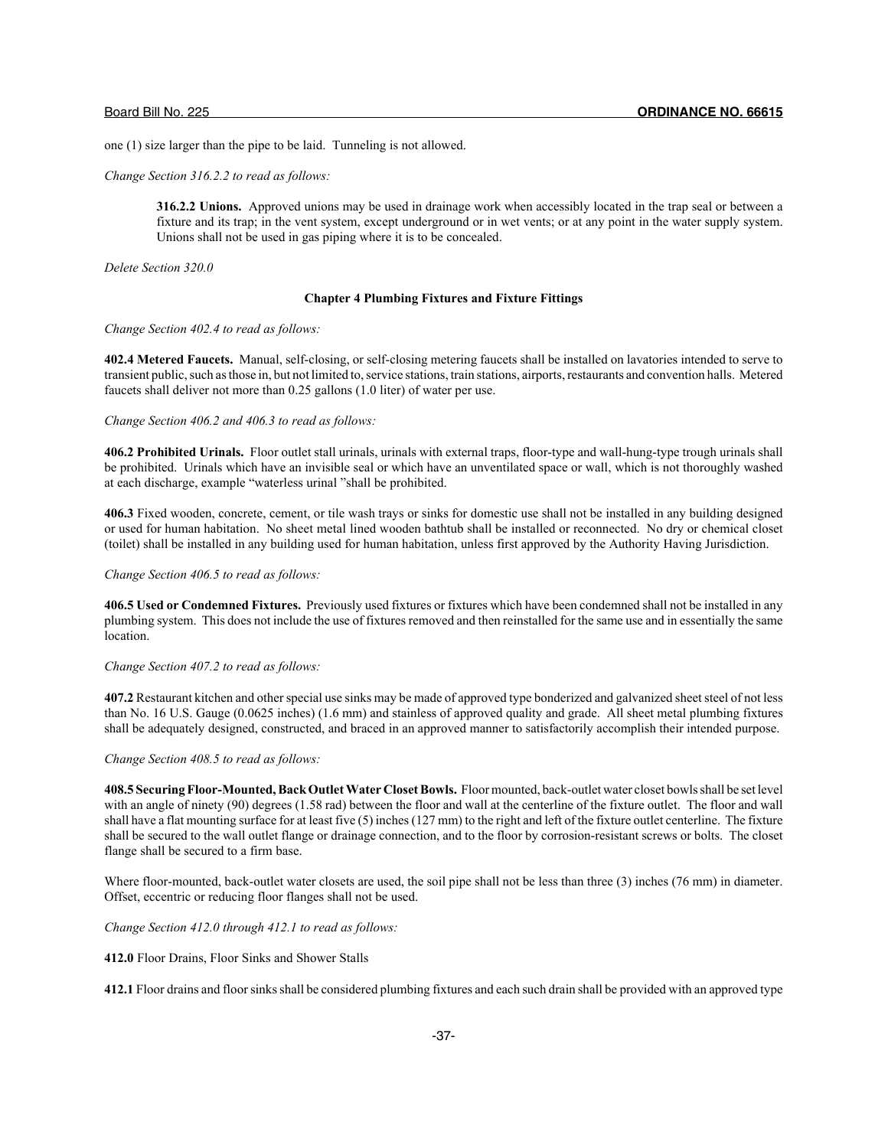one (1) size larger than the pipe to be laid. Tunneling is not allowed.

*Change Section 316.2.2 to read as follows:*

**316.2.2 Unions.** Approved unions may be used in drainage work when accessibly located in the trap seal or between a fixture and its trap; in the vent system, except underground or in wet vents; or at any point in the water supply system. Unions shall not be used in gas piping where it is to be concealed.

*Delete Section 320.0*

## **Chapter 4 Plumbing Fixtures and Fixture Fittings**

*Change Section 402.4 to read as follows:*

**402.4 Metered Faucets.** Manual, self-closing, or self-closing metering faucets shall be installed on lavatories intended to serve to transient public, such as those in, but not limited to, service stations, train stations, airports, restaurants and convention halls. Metered faucets shall deliver not more than 0.25 gallons (1.0 liter) of water per use.

## *Change Section 406.2 and 406.3 to read as follows:*

**406.2 Prohibited Urinals.** Floor outlet stall urinals, urinals with external traps, floor-type and wall-hung-type trough urinals shall be prohibited. Urinals which have an invisible seal or which have an unventilated space or wall, which is not thoroughly washed at each discharge, example "waterless urinal "shall be prohibited.

**406.3** Fixed wooden, concrete, cement, or tile wash trays or sinks for domestic use shall not be installed in any building designed or used for human habitation. No sheet metal lined wooden bathtub shall be installed or reconnected. No dry or chemical closet (toilet) shall be installed in any building used for human habitation, unless first approved by the Authority Having Jurisdiction.

## *Change Section 406.5 to read as follows:*

**406.5 Used or Condemned Fixtures.** Previously used fixtures or fixtures which have been condemned shall not be installed in any plumbing system. This does not include the use of fixtures removed and then reinstalled for the same use and in essentially the same location.

## *Change Section 407.2 to read as follows:*

**407.2** Restaurant kitchen and other special use sinks may be made of approved type bonderized and galvanized sheet steel of not less than No. 16 U.S. Gauge (0.0625 inches) (1.6 mm) and stainless of approved quality and grade. All sheet metal plumbing fixtures shall be adequately designed, constructed, and braced in an approved manner to satisfactorily accomplish their intended purpose.

## *Change Section 408.5 to read as follows:*

**408.5 Securing Floor-Mounted, Back Outlet Water Closet Bowls.** Floor mounted, back-outlet water closet bowls shall be set level with an angle of ninety (90) degrees (1.58 rad) between the floor and wall at the centerline of the fixture outlet. The floor and wall shall have a flat mounting surface for at least five (5) inches (127 mm) to the right and left of the fixture outlet centerline. The fixture shall be secured to the wall outlet flange or drainage connection, and to the floor by corrosion-resistant screws or bolts. The closet flange shall be secured to a firm base.

Where floor-mounted, back-outlet water closets are used, the soil pipe shall not be less than three (3) inches (76 mm) in diameter. Offset, eccentric or reducing floor flanges shall not be used.

*Change Section 412.0 through 412.1 to read as follows:*

**412.0** Floor Drains, Floor Sinks and Shower Stalls

**412.1** Floor drains and floor sinks shall be considered plumbing fixtures and each such drain shall be provided with an approved type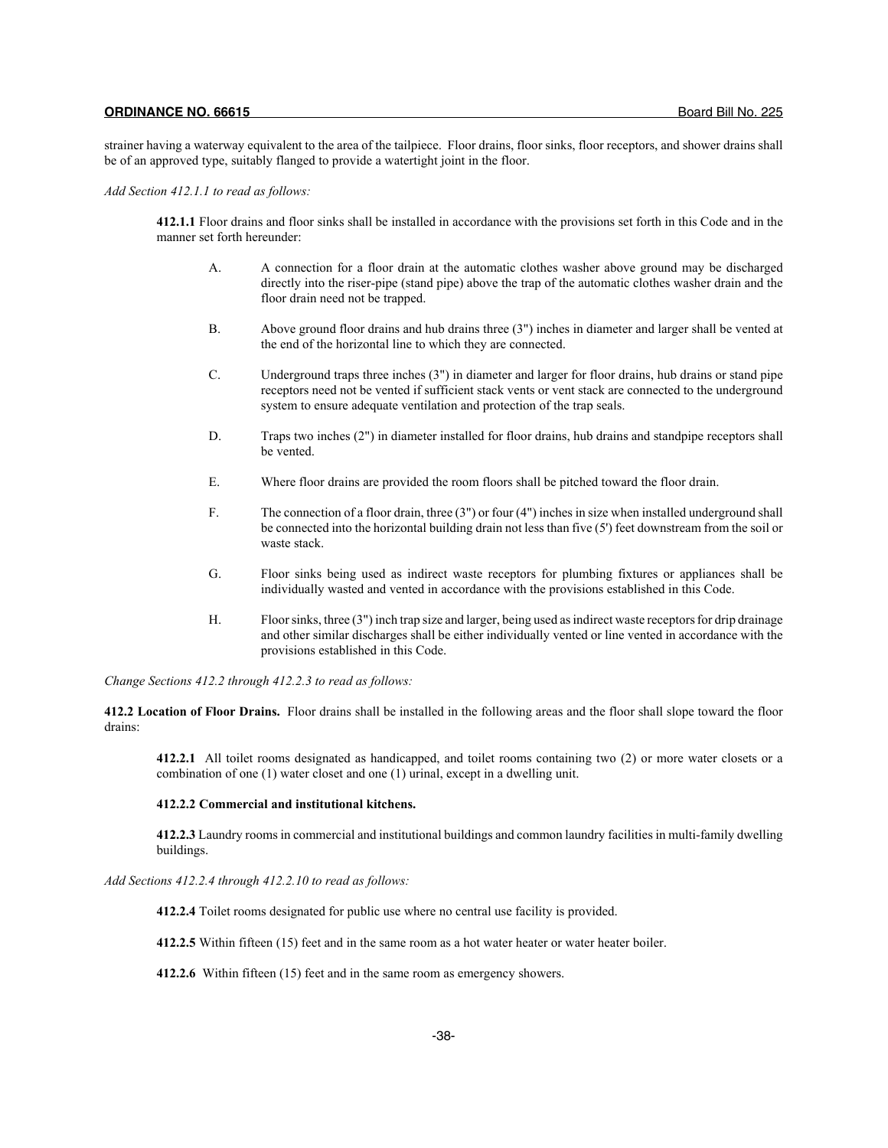strainer having a waterway equivalent to the area of the tailpiece. Floor drains, floor sinks, floor receptors, and shower drains shall be of an approved type, suitably flanged to provide a watertight joint in the floor.

*Add Section 412.1.1 to read as follows:*

**412.1.1** Floor drains and floor sinks shall be installed in accordance with the provisions set forth in this Code and in the manner set forth hereunder:

- A. A connection for a floor drain at the automatic clothes washer above ground may be discharged directly into the riser-pipe (stand pipe) above the trap of the automatic clothes washer drain and the floor drain need not be trapped.
- B. Above ground floor drains and hub drains three (3") inches in diameter and larger shall be vented at the end of the horizontal line to which they are connected.
- C. Underground traps three inches (3") in diameter and larger for floor drains, hub drains or stand pipe receptors need not be vented if sufficient stack vents or vent stack are connected to the underground system to ensure adequate ventilation and protection of the trap seals.
- D. Traps two inches (2") in diameter installed for floor drains, hub drains and standpipe receptors shall be vented.
- E. Where floor drains are provided the room floors shall be pitched toward the floor drain.
- F. The connection of a floor drain, three (3") or four (4") inches in size when installed underground shall be connected into the horizontal building drain not less than five (5') feet downstream from the soil or waste stack.
- G. Floor sinks being used as indirect waste receptors for plumbing fixtures or appliances shall be individually wasted and vented in accordance with the provisions established in this Code.
- H. Floor sinks, three (3") inch trap size and larger, being used as indirect waste receptors for drip drainage and other similar discharges shall be either individually vented or line vented in accordance with the provisions established in this Code.

*Change Sections 412.2 through 412.2.3 to read as follows:*

**412.2 Location of Floor Drains.** Floor drains shall be installed in the following areas and the floor shall slope toward the floor drains:

**412.2.1** All toilet rooms designated as handicapped, and toilet rooms containing two (2) or more water closets or a combination of one (1) water closet and one (1) urinal, except in a dwelling unit.

## **412.2.2 Commercial and institutional kitchens.**

**412.2.3** Laundry rooms in commercial and institutional buildings and common laundry facilities in multi-family dwelling buildings.

*Add Sections 412.2.4 through 412.2.10 to read as follows:*

**412.2.4** Toilet rooms designated for public use where no central use facility is provided.

**412.2.5** Within fifteen (15) feet and in the same room as a hot water heater or water heater boiler.

**412.2.6** Within fifteen (15) feet and in the same room as emergency showers.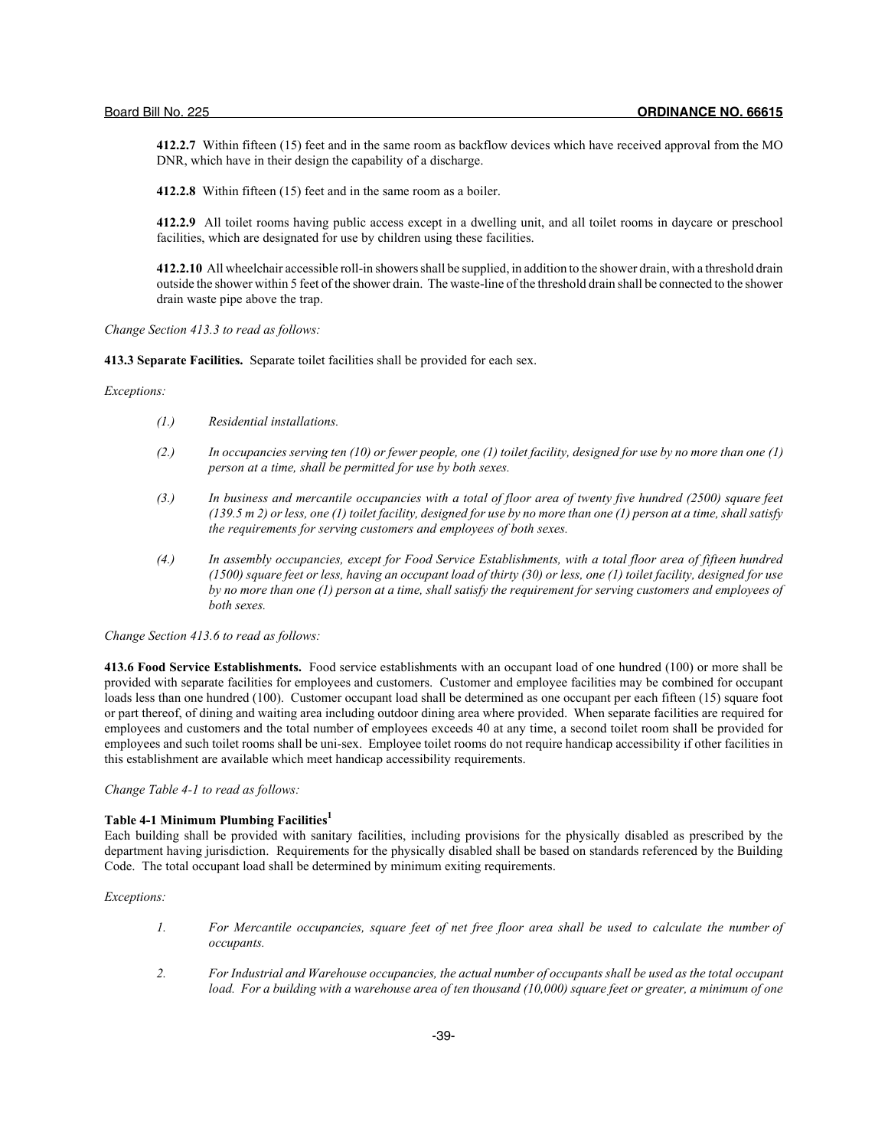**412.2.7** Within fifteen (15) feet and in the same room as backflow devices which have received approval from the MO DNR, which have in their design the capability of a discharge.

**412.2.8** Within fifteen (15) feet and in the same room as a boiler.

**412.2.9** All toilet rooms having public access except in a dwelling unit, and all toilet rooms in daycare or preschool facilities, which are designated for use by children using these facilities.

**412.2.10** All wheelchair accessible roll-in showers shall be supplied, in addition to the shower drain, with a threshold drain outside the shower within 5 feet of the shower drain. The waste-line of the threshold drain shall be connected to the shower drain waste pipe above the trap.

*Change Section 413.3 to read as follows:*

**413.3 Separate Facilities.** Separate toilet facilities shall be provided for each sex.

*Exceptions:*

- *(1.) Residential installations.*
- *(2.) In occupancies serving ten (10) or fewer people, one (1) toilet facility, designed for use by no more than one (1) person at a time, shall be permitted for use by both sexes.*
- *(3.) In business and mercantile occupancies with a total of floor area of twenty five hundred (2500) square feet (139.5 m 2) or less, one (1) toilet facility, designed for use by no more than one (1) person at a time, shall satisfy the requirements for serving customers and employees of both sexes.*
- *(4.) In assembly occupancies, except for Food Service Establishments, with a total floor area of fifteen hundred (1500) square feet or less, having an occupant load of thirty (30) or less, one (1) toilet facility, designed for use by no more than one (1) person at a time, shall satisfy the requirement for serving customers and employees of both sexes.*

*Change Section 413.6 to read as follows:*

**413.6 Food Service Establishments.** Food service establishments with an occupant load of one hundred (100) or more shall be provided with separate facilities for employees and customers. Customer and employee facilities may be combined for occupant loads less than one hundred (100). Customer occupant load shall be determined as one occupant per each fifteen (15) square foot or part thereof, of dining and waiting area including outdoor dining area where provided. When separate facilities are required for employees and customers and the total number of employees exceeds 40 at any time, a second toilet room shall be provided for employees and such toilet rooms shall be uni-sex. Employee toilet rooms do not require handicap accessibility if other facilities in this establishment are available which meet handicap accessibility requirements.

*Change Table 4-1 to read as follows:*

## **Table 4-1 Minimum Plumbing Facilities1**

Each building shall be provided with sanitary facilities, including provisions for the physically disabled as prescribed by the department having jurisdiction. Requirements for the physically disabled shall be based on standards referenced by the Building Code. The total occupant load shall be determined by minimum exiting requirements.

#### *Exceptions:*

- *1. For Mercantile occupancies, square feet of net free floor area shall be used to calculate the number of occupants.*
- *2. For Industrial and Warehouse occupancies, the actual number of occupants shall be used as the total occupant load. For a building with a warehouse area of ten thousand (10,000) square feet or greater, a minimum of one*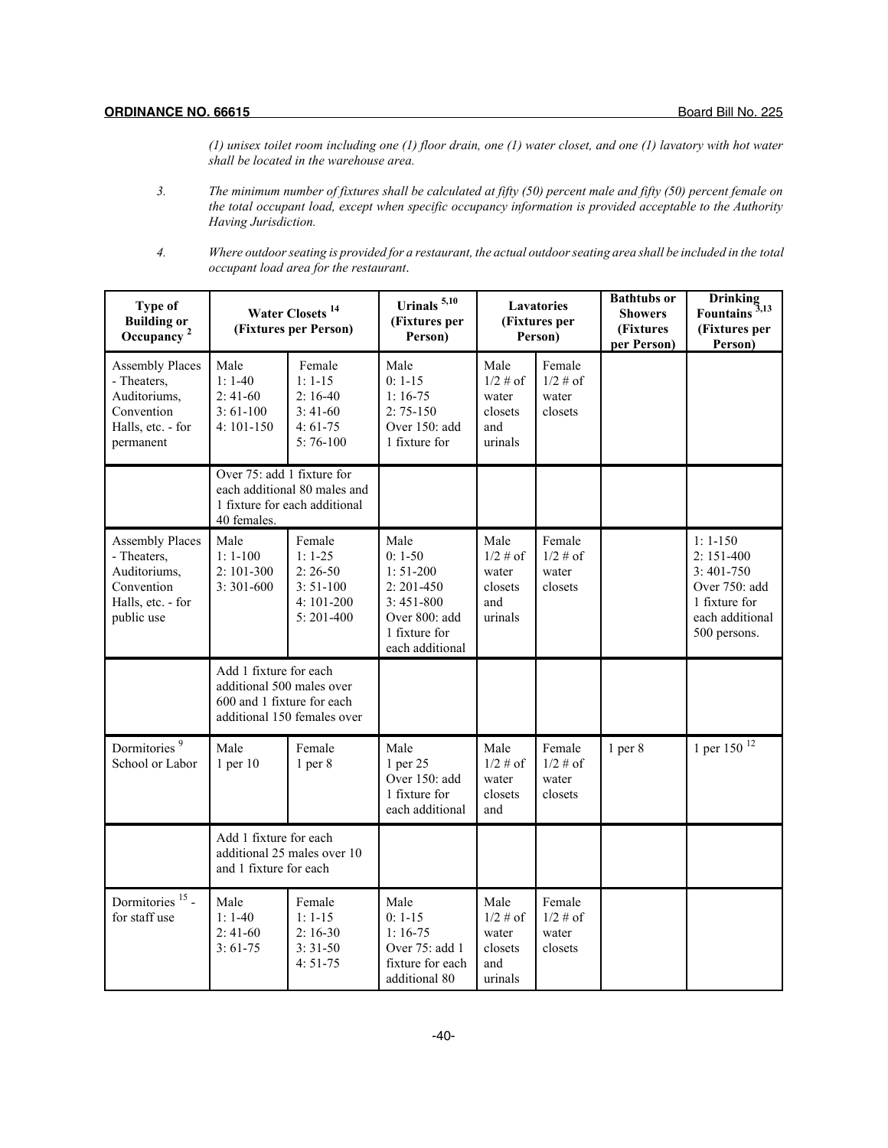*(1) unisex toilet room including one (1) floor drain, one (1) water closet, and one (1) lavatory with hot water shall be located in the warehouse area.*

- *3. The minimum number of fixtures shall be calculated at fifty (50) percent male and fifty (50) percent female on the total occupant load, except when specific occupancy information is provided acceptable to the Authority Having Jurisdiction.*
- *4. Where outdoor seating is provided for a restaurant, the actual outdoor seating area shall be included in the total occupant load area for the restaurant*.

| <b>Type of</b><br><b>Building or</b><br>Occupancy <sup>2</sup>                                         | Urinals <sup>5,10</sup><br>Water Closets <sup>14</sup><br>(Fixtures per<br>(Fixtures per Person)<br>Person) |                                                                                 |                                                                                                                      | Lavatories<br>(Fixtures per<br>Person)                    | <b>Bathtubs or</b><br><b>Showers</b><br>(Fixtures<br>per Person) | Drinking<br>Fountains <sup>3,13</sup><br>(Fixtures per<br>Person) |                                                                                                              |
|--------------------------------------------------------------------------------------------------------|-------------------------------------------------------------------------------------------------------------|---------------------------------------------------------------------------------|----------------------------------------------------------------------------------------------------------------------|-----------------------------------------------------------|------------------------------------------------------------------|-------------------------------------------------------------------|--------------------------------------------------------------------------------------------------------------|
| <b>Assembly Places</b><br>- Theaters,<br>Auditoriums,<br>Convention<br>Halls, etc. - for<br>permanent  | Male<br>$1:1-40$<br>$2:41-60$<br>$3:61-100$<br>$4:101-150$                                                  | Female<br>$1:1-15$<br>$2:16-40$<br>$3:41-60$<br>$4:61-75$<br>$5:76-100$         | Male<br>$0: 1-15$<br>$1:16-75$<br>$2:75-150$<br>Over 150: add<br>1 fixture for                                       | Male<br>$1/2 \#$ of<br>water<br>closets<br>and<br>urinals | Female<br>$1/2 \#$ of<br>water<br>closets                        |                                                                   |                                                                                                              |
|                                                                                                        | Over 75: add 1 fixture for<br>40 females.                                                                   | each additional 80 males and<br>1 fixture for each additional                   |                                                                                                                      |                                                           |                                                                  |                                                                   |                                                                                                              |
| <b>Assembly Places</b><br>- Theaters,<br>Auditoriums,<br>Convention<br>Halls, etc. - for<br>public use | Male<br>$1:1-100$<br>2:101-300<br>$3:301-600$                                                               | Female<br>$1: 1-25$<br>$2:26-50$<br>$3:51-100$<br>$4:101-200$<br>$5: 201 - 400$ | Male<br>$0:1-50$<br>$1:51-200$<br>$2: 201 - 450$<br>$3:451-800$<br>Over 800: add<br>1 fixture for<br>each additional | Male<br>$1/2 \# of$<br>water<br>closets<br>and<br>urinals | Female<br>$1/2$ # of<br>water<br>closets                         |                                                                   | $1:1-150$<br>$2:151-400$<br>$3:401-750$<br>Over 750: add<br>1 fixture for<br>each additional<br>500 persons. |
|                                                                                                        | Add 1 fixture for each<br>additional 500 males over<br>600 and 1 fixture for each                           | additional 150 females over                                                     |                                                                                                                      |                                                           |                                                                  |                                                                   |                                                                                                              |
| Dormitories <sup>9</sup><br>School or Labor                                                            | Male<br>$1$ per $10$                                                                                        | Female<br>$1$ per $8$                                                           | Male<br>1 per 25<br>Over 150: add<br>1 fixture for<br>each additional                                                | Male<br>$1/2 \#$ of<br>water<br>closets<br>and            | Female<br>$1/2$ # of<br>water<br>closets                         | $1$ per $8$                                                       | 1 per 150 $12$                                                                                               |
|                                                                                                        | Add 1 fixture for each<br>and 1 fixture for each                                                            | additional 25 males over 10                                                     |                                                                                                                      |                                                           |                                                                  |                                                                   |                                                                                                              |
| Dormitories <sup>15</sup> -<br>for staff use                                                           | Male<br>$1:1-40$<br>$2:41-60$<br>$3:61-75$                                                                  | Female<br>$1: 1 - 15$<br>$2:16-30$<br>$3:31-50$<br>$4:51-75$                    | Male<br>$0: 1-15$<br>$1:16-75$<br>Over 75: add 1<br>fixture for each<br>additional 80                                | Male<br>$1/2 \# of$<br>water<br>closets<br>and<br>urinals | Female<br>$1/2$ # of<br>water<br>closets                         |                                                                   |                                                                                                              |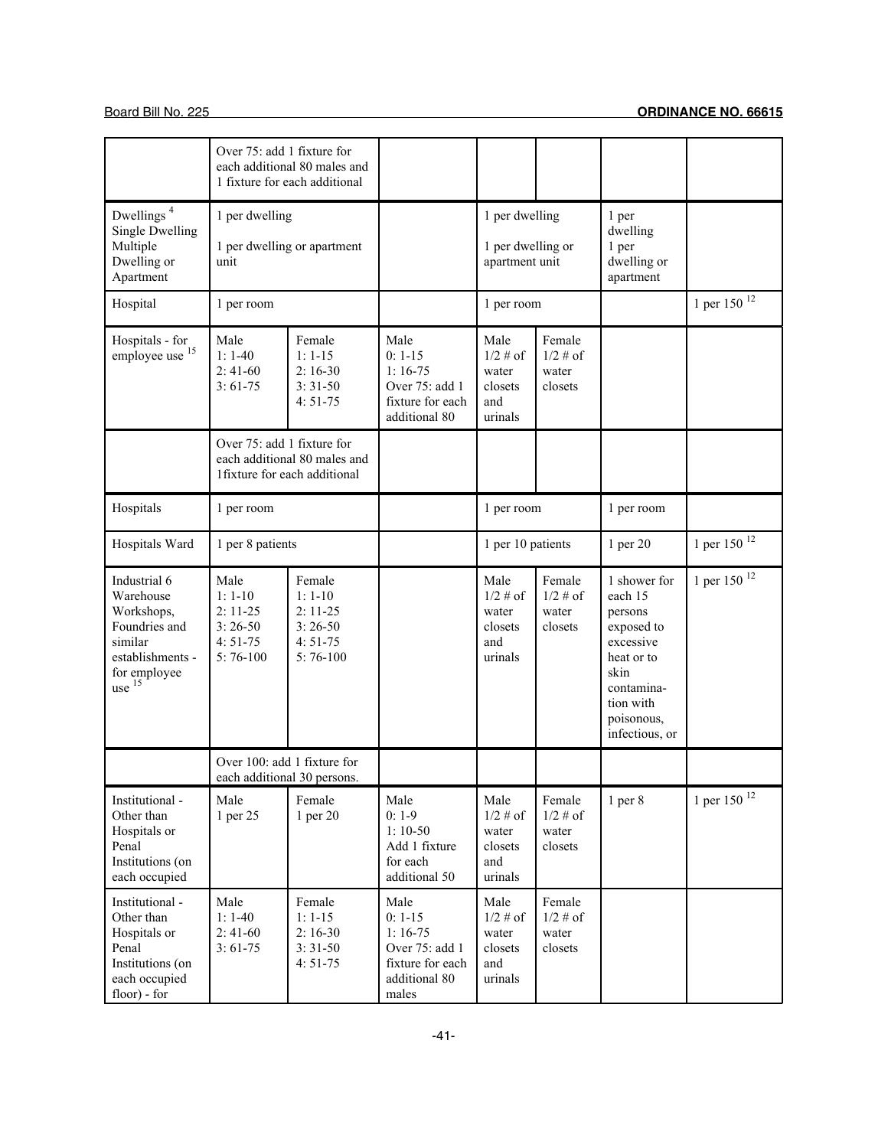|                                                                                                                     | Over 75: add 1 fixture for                                             | each additional 80 males and<br>1 fixture for each additional            |                                                                                                |                                                           |                                           |                                                                                                                                                |                         |
|---------------------------------------------------------------------------------------------------------------------|------------------------------------------------------------------------|--------------------------------------------------------------------------|------------------------------------------------------------------------------------------------|-----------------------------------------------------------|-------------------------------------------|------------------------------------------------------------------------------------------------------------------------------------------------|-------------------------|
| Dwellings $^{\rm 4}$<br><b>Single Dwelling</b><br>Multiple<br>Dwelling or<br>Apartment                              | 1 per dwelling<br>unit                                                 | 1 per dwelling or apartment                                              |                                                                                                | 1 per dwelling<br>1 per dwelling or<br>apartment unit     |                                           | 1 per<br>dwelling<br>1 per<br>dwelling or<br>apartment                                                                                         |                         |
| Hospital                                                                                                            | 1 per room                                                             |                                                                          |                                                                                                | 1 per room                                                |                                           |                                                                                                                                                | 1 per 150 <sup>12</sup> |
| Hospitals - for<br>employee use <sup>15</sup>                                                                       | Male<br>$1:1-40$<br>$2:41-60$<br>$3:61-75$                             | Female<br>$1:1-15$<br>$2:16-30$<br>$3:31-50$<br>$4:51-75$                | Male<br>$0: 1-15$<br>$1:16-75$<br>Over 75: add 1<br>fixture for each<br>additional 80          | Male<br>$1/2$ # of<br>water<br>closets<br>and<br>urinals  | Female<br>$1/2$ # of<br>water<br>closets  |                                                                                                                                                |                         |
|                                                                                                                     | Over 75: add 1 fixture for                                             | each additional 80 males and<br>1fixture for each additional             |                                                                                                |                                                           |                                           |                                                                                                                                                |                         |
| Hospitals                                                                                                           | 1 per room                                                             |                                                                          |                                                                                                | 1 per room                                                |                                           | 1 per room                                                                                                                                     |                         |
| Hospitals Ward                                                                                                      | 1 per 8 patients                                                       |                                                                          |                                                                                                | 1 per 10 patients                                         |                                           | 1 per 20                                                                                                                                       | 1 per 150 <sup>12</sup> |
| Industrial 6<br>Warehouse<br>Workshops,<br>Foundries and<br>similar<br>establishments -<br>for employee<br>use $15$ | Male<br>$1:1-10$<br>$2: 11-25$<br>$3:26-50$<br>$4:51-75$<br>$5:76-100$ | Female<br>$1:1-10$<br>$2: 11-25$<br>$3:26-50$<br>$4:51-75$<br>$5:76-100$ |                                                                                                | Male<br>$1/2 \#$ of<br>water<br>closets<br>and<br>urinals | Female<br>$1/2 \# of$<br>water<br>closets | 1 shower for<br>each 15<br>persons<br>exposed to<br>excessive<br>heat or to<br>skin<br>contamina-<br>tion with<br>poisonous,<br>infectious, or | 1 per 150 <sup>12</sup> |
|                                                                                                                     |                                                                        | Over 100: add 1 fixture for<br>each additional 30 persons.               |                                                                                                |                                                           |                                           |                                                                                                                                                |                         |
| Institutional -<br>Other than<br>Hospitals or<br>Penal<br>Institutions (on<br>each occupied                         | Male<br>1 per 25                                                       | Female<br>1 per 20                                                       | Male<br>$0:1-9$<br>$1:10-50$<br>Add 1 fixture<br>for each<br>additional 50                     | Male<br>$1/2 \# of$<br>water<br>closets<br>and<br>urinals | Female<br>$1/2 \# of$<br>water<br>closets | $1$ per $8$                                                                                                                                    | 1 per 150 $12$          |
| Institutional -<br>Other than<br>Hospitals or<br>Penal<br>Institutions (on<br>each occupied<br>$floor) - for$       | Male<br>$1:1-40$<br>$2:41-60$<br>$3:61-75$                             | Female<br>$1: 1-15$<br>$2:16-30$<br>$3:31-50$<br>$4:51-75$               | Male<br>$0: 1-15$<br>$1:16-75$<br>Over 75: add 1<br>fixture for each<br>additional 80<br>males | Male<br>$1/2$ # of<br>water<br>closets<br>and<br>urinals  | Female<br>$1/2 \# of$<br>water<br>closets |                                                                                                                                                |                         |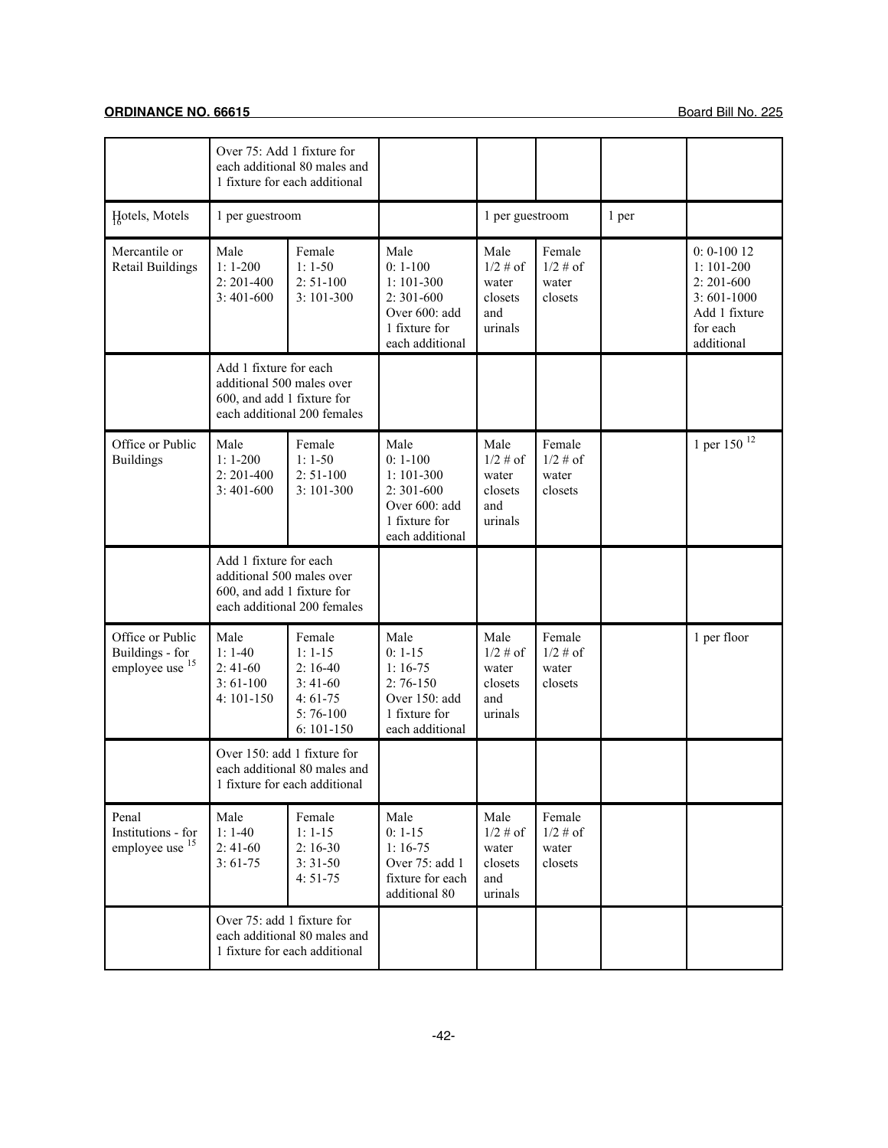|                                                           | Over 75: Add 1 fixture for                                                        | each additional 80 males and<br>1 fixture for each additional                           |                                                                                                       |                                                           |                                           |       |                                                                                                            |
|-----------------------------------------------------------|-----------------------------------------------------------------------------------|-----------------------------------------------------------------------------------------|-------------------------------------------------------------------------------------------------------|-----------------------------------------------------------|-------------------------------------------|-------|------------------------------------------------------------------------------------------------------------|
| Hotels, Motels                                            | 1 per guestroom                                                                   |                                                                                         |                                                                                                       | 1 per guestroom                                           |                                           | 1 per |                                                                                                            |
| Mercantile or<br><b>Retail Buildings</b>                  | Male<br>$1:1-200$<br>$2: 201 - 400$<br>$3:401-600$                                | Female<br>$1:1-50$<br>$2: 51-100$<br>$3:101-300$                                        | Male<br>$0: 1-100$<br>$1:101-300$<br>$2:301-600$<br>Over 600: add<br>1 fixture for<br>each additional | Male<br>$1/2 \# of$<br>water<br>closets<br>and<br>urinals | Female<br>$1/2 \#$ of<br>water<br>closets |       | $0: 0 - 10012$<br>$1:101-200$<br>$2: 201 - 600$<br>$3:601-1000$<br>Add 1 fixture<br>for each<br>additional |
|                                                           | Add 1 fixture for each<br>additional 500 males over<br>600, and add 1 fixture for | each additional 200 females                                                             |                                                                                                       |                                                           |                                           |       |                                                                                                            |
| Office or Public<br><b>Buildings</b>                      | Male<br>$1:1-200$<br>$2: 201 - 400$<br>$3:401-600$                                | Female<br>$1:1-50$<br>$2: 51-100$<br>$3:101-300$                                        | Male<br>$0: 1-100$<br>$1:101-300$<br>$2:301-600$<br>Over 600: add<br>1 fixture for<br>each additional | Male<br>$1/2 \#$ of<br>water<br>closets<br>and<br>urinals | Female<br>$1/2$ # of<br>water<br>closets  |       | 1 per 150 $12$                                                                                             |
|                                                           | Add 1 fixture for each<br>additional 500 males over<br>600, and add 1 fixture for | each additional 200 females                                                             |                                                                                                       |                                                           |                                           |       |                                                                                                            |
| Office or Public<br>Buildings - for<br>employee use $15$  | Male<br>$1:1-40$<br>$2:41-60$<br>$3:61-100$<br>$4:101-150$                        | Female<br>$1:1-15$<br>$2:16-40$<br>$3:41-60$<br>$4:61-75$<br>$5:76-100$<br>$6: 101-150$ | Male<br>$0: 1-15$<br>$1:16-75$<br>$2:76-150$<br>Over 150: add<br>1 fixture for<br>each additional     | Male<br>$1/2 \#$ of<br>water<br>closets<br>and<br>urinals | Female<br>$1/2 \# of$<br>water<br>closets |       | 1 per floor                                                                                                |
|                                                           | Over 150: add 1 fixture for                                                       | each additional 80 males and<br>1 fixture for each additional                           |                                                                                                       |                                                           |                                           |       |                                                                                                            |
| Penal<br>Institutions - for<br>employee use <sup>15</sup> | Male<br>$1:1-40$<br>$2:41-60$<br>$3:61-75$                                        | Female<br>$1: 1-15$<br>$2:16-30$<br>$3:31-50$<br>$4:51-75$                              | Male<br>$0: 1-15$<br>$1:16-75$<br>Over 75: add 1<br>fixture for each<br>additional 80                 | Male<br>$1/2 \# of$<br>water<br>closets<br>and<br>urinals | Female<br>$1/2 \#$ of<br>water<br>closets |       |                                                                                                            |
|                                                           | Over 75: add 1 fixture for                                                        | each additional 80 males and<br>1 fixture for each additional                           |                                                                                                       |                                                           |                                           |       |                                                                                                            |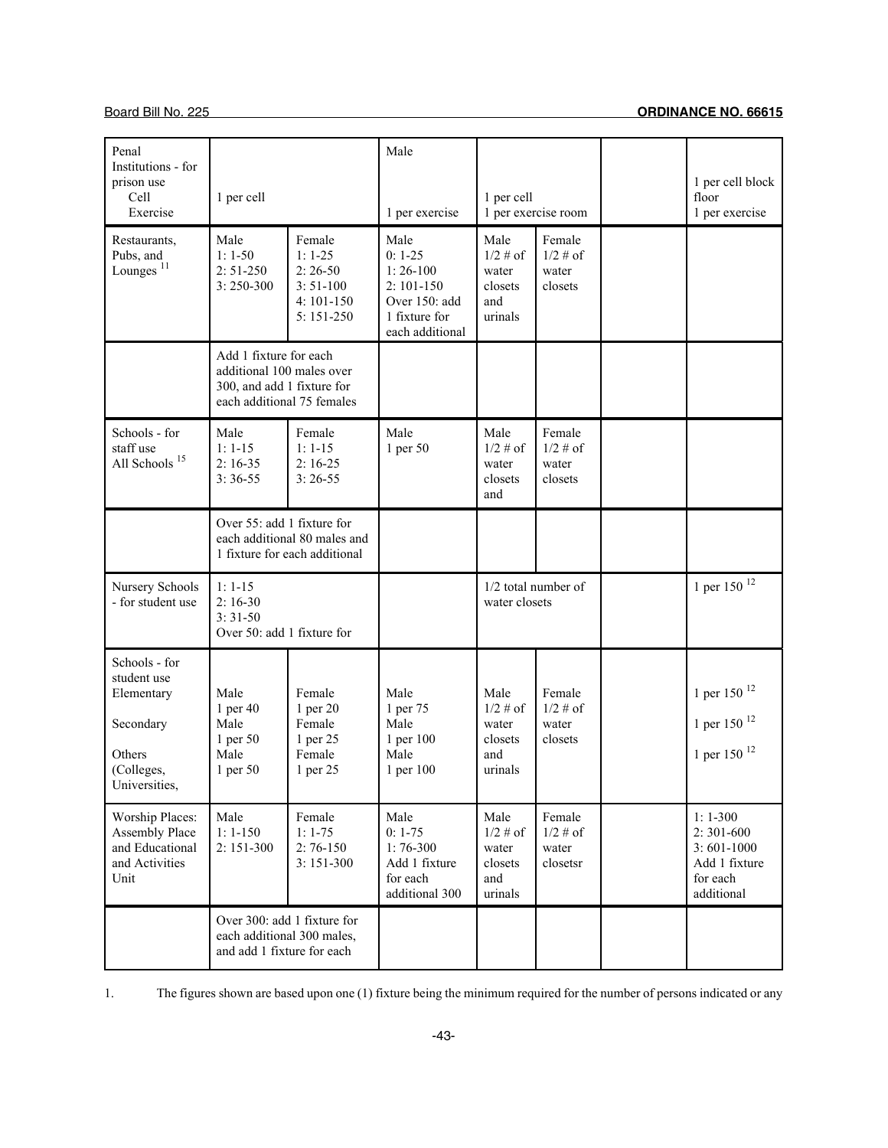| Penal<br>Institutions - for<br>prison use<br>Cell<br>Exercise                                                                                            | 1 per cell                                                                                                      |                                                                                                     | Male<br>1 per exercise                                                                              | 1 per cell                                                                       | 1 per exercise room                                                        | 1 per cell block<br>floor<br>1 per exercise                                        |
|----------------------------------------------------------------------------------------------------------------------------------------------------------|-----------------------------------------------------------------------------------------------------------------|-----------------------------------------------------------------------------------------------------|-----------------------------------------------------------------------------------------------------|----------------------------------------------------------------------------------|----------------------------------------------------------------------------|------------------------------------------------------------------------------------|
| Restaurants,<br>Pubs, and<br>Lounges <sup>11</sup>                                                                                                       | Male<br>$1:1-50$<br>$2: 51-250$<br>3:250-300                                                                    | Female<br>$1: 1-25$<br>$2:26-50$<br>$3:51-100$<br>$4:101-150$<br>$5:151-250$                        | Male<br>$0: 1-25$<br>$1:26-100$<br>$2:101-150$<br>Over 150: add<br>1 fixture for<br>each additional | Male<br>$1/2 \# of$<br>water<br>closets<br>and<br>urinals                        | Female<br>$1/2 \#$ of<br>water<br>closets                                  |                                                                                    |
|                                                                                                                                                          | Add 1 fixture for each<br>additional 100 males over<br>300, and add 1 fixture for<br>each additional 75 females |                                                                                                     |                                                                                                     |                                                                                  |                                                                            |                                                                                    |
| Schools - for<br>staff use<br>All Schools <sup>15</sup>                                                                                                  | Male<br>$1: 1 - 15$<br>$2:16-35$<br>$3:36-55$                                                                   | Female<br>$1: 1-15$<br>$2:16-25$<br>$3:26-55$                                                       | Male<br>1 per 50                                                                                    | Male<br>$1/2 \#$ of<br>water<br>closets<br>and                                   | Female<br>$1/2$ # of<br>water<br>closets                                   |                                                                                    |
|                                                                                                                                                          | Over 55: add 1 fixture for                                                                                      | each additional 80 males and<br>1 fixture for each additional                                       |                                                                                                     |                                                                                  |                                                                            |                                                                                    |
| Nursery Schools<br>- for student use                                                                                                                     | $1: 1 - 15$<br>$2:16-30$<br>$3:31-50$<br>Over 50: add 1 fixture for                                             |                                                                                                     |                                                                                                     | $1/2$ total number of<br>water closets                                           |                                                                            | 1 per 150 $^{12}$                                                                  |
| Schools - for<br>student use<br>Elementary<br>Secondary<br>Others<br>(Colleges,<br>Universities,<br>Worship Places:<br>Assembly Place<br>and Educational | Male<br>1 per 40<br>Male<br>1 per 50<br>Male<br>1 per 50<br>Male<br>$1: 1 - 150$                                | Female<br>1 per 20<br>Female<br>1 per 25<br>Female<br>1 per 25<br>Female<br>$1: 1-75$<br>$2:76-150$ | Male<br>1 per 75<br>Male<br>1 per 100<br>Male<br>1 per 100<br>Male<br>$0: 1-75$                     | Male<br>$1/2 \# of$<br>water<br>closets<br>and<br>urinals<br>Male<br>$1/2 \# of$ | Female<br>$1/2$ # of<br>water<br>closets<br>Female<br>$1/2 \# of$<br>water | 1 per 150 $12$<br>1 per 150 $^{12}$<br>1 per 150 $^{12}$<br>$1:1-300$<br>2:301-600 |
| and Activities<br>Unit                                                                                                                                   | 2:151-300                                                                                                       | $3:151-300$                                                                                         | $1:76-300$<br>Add 1 fixture<br>for each<br>additional 300                                           | water<br>closets<br>and<br>urinals                                               | closetsr                                                                   | $3:601-1000$<br>Add 1 fixture<br>for each<br>additional                            |
|                                                                                                                                                          | Over 300: add 1 fixture for<br>each additional 300 males,<br>and add 1 fixture for each                         |                                                                                                     |                                                                                                     |                                                                                  |                                                                            |                                                                                    |

1. The figures shown are based upon one (1) fixture being the minimum required for the number of persons indicated or any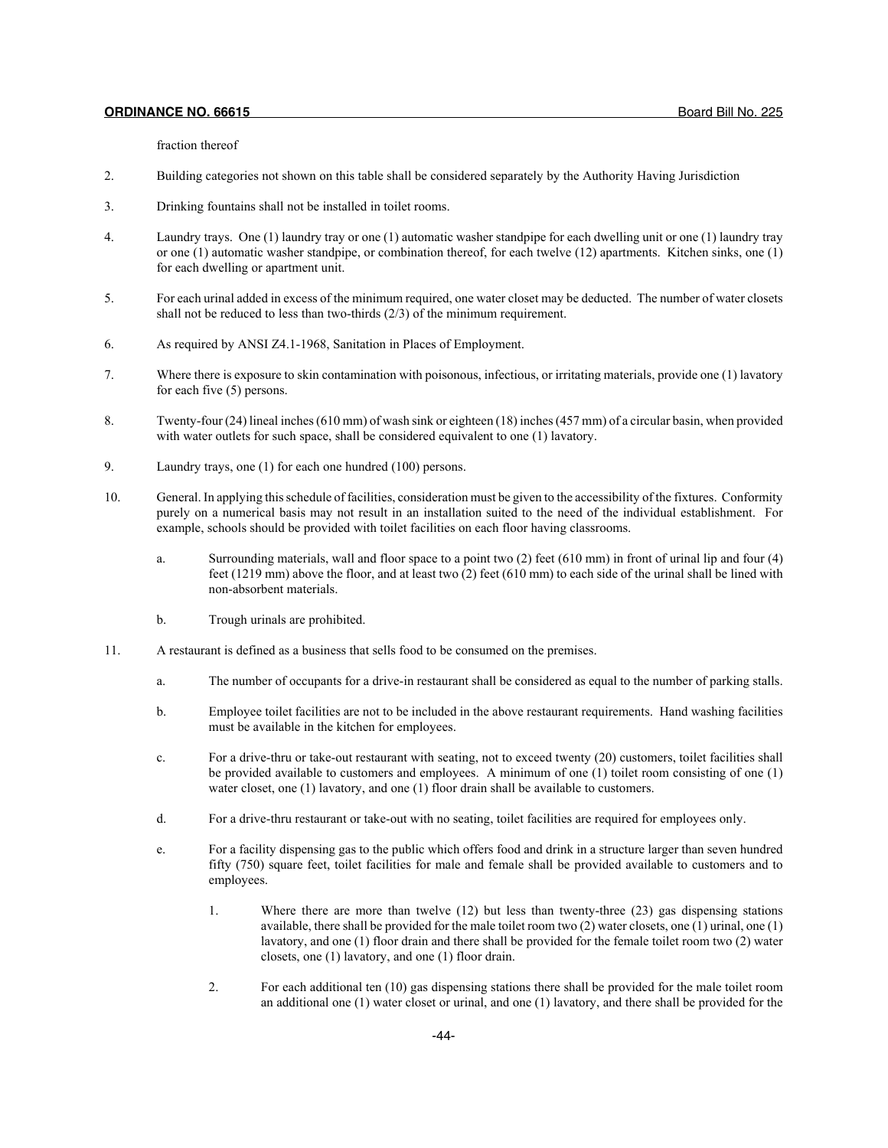fraction thereof

- 2. Building categories not shown on this table shall be considered separately by the Authority Having Jurisdiction
- 3. Drinking fountains shall not be installed in toilet rooms.
- 4. Laundry trays. One (1) laundry tray or one (1) automatic washer standpipe for each dwelling unit or one (1) laundry tray or one (1) automatic washer standpipe, or combination thereof, for each twelve (12) apartments. Kitchen sinks, one (1) for each dwelling or apartment unit.
- 5. For each urinal added in excess of the minimum required, one water closet may be deducted. The number of water closets shall not be reduced to less than two-thirds (2/3) of the minimum requirement.
- 6. As required by ANSI Z4.1-1968, Sanitation in Places of Employment.
- 7. Where there is exposure to skin contamination with poisonous, infectious, or irritating materials, provide one (1) lavatory for each five (5) persons.
- 8. Twenty-four (24) lineal inches (610 mm) of wash sink or eighteen (18) inches (457 mm) of a circular basin, when provided with water outlets for such space, shall be considered equivalent to one (1) lavatory.
- 9. Laundry trays, one (1) for each one hundred (100) persons.
- 10. General. In applying this schedule of facilities, consideration must be given to the accessibility of the fixtures. Conformity purely on a numerical basis may not result in an installation suited to the need of the individual establishment. For example, schools should be provided with toilet facilities on each floor having classrooms.
	- a. Surrounding materials, wall and floor space to a point two (2) feet (610 mm) in front of urinal lip and four (4) feet (1219 mm) above the floor, and at least two (2) feet (610 mm) to each side of the urinal shall be lined with non-absorbent materials.
	- b. Trough urinals are prohibited.
- 11. A restaurant is defined as a business that sells food to be consumed on the premises.
	- a. The number of occupants for a drive-in restaurant shall be considered as equal to the number of parking stalls.
	- b. Employee toilet facilities are not to be included in the above restaurant requirements. Hand washing facilities must be available in the kitchen for employees.
	- c. For a drive-thru or take-out restaurant with seating, not to exceed twenty (20) customers, toilet facilities shall be provided available to customers and employees. A minimum of one (1) toilet room consisting of one (1) water closet, one (1) lavatory, and one (1) floor drain shall be available to customers.
	- d. For a drive-thru restaurant or take-out with no seating, toilet facilities are required for employees only.
	- e. For a facility dispensing gas to the public which offers food and drink in a structure larger than seven hundred fifty (750) square feet, toilet facilities for male and female shall be provided available to customers and to employees.
		- 1. Where there are more than twelve (12) but less than twenty-three (23) gas dispensing stations available, there shall be provided for the male toilet room two (2) water closets, one (1) urinal, one (1) lavatory, and one (1) floor drain and there shall be provided for the female toilet room two (2) water closets, one (1) lavatory, and one (1) floor drain.
		- 2. For each additional ten (10) gas dispensing stations there shall be provided for the male toilet room an additional one (1) water closet or urinal, and one (1) lavatory, and there shall be provided for the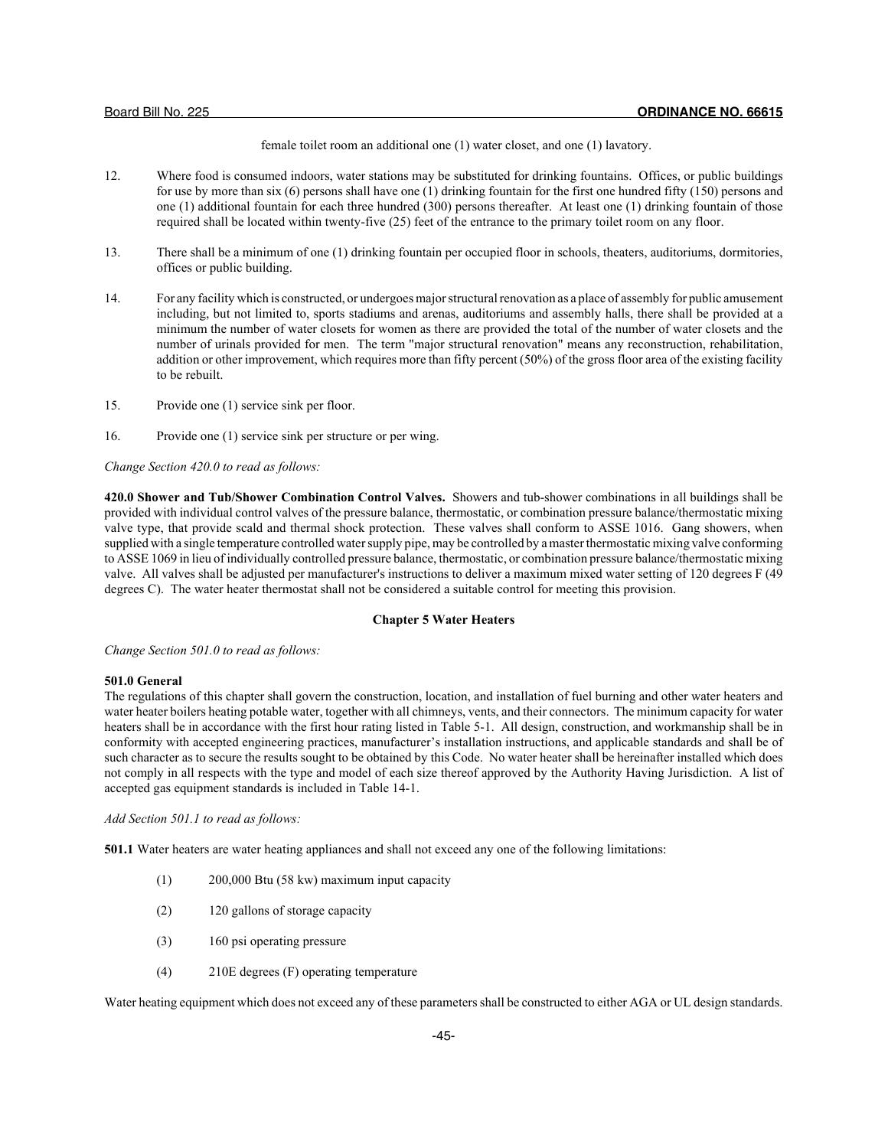female toilet room an additional one (1) water closet, and one (1) lavatory.

- 12. Where food is consumed indoors, water stations may be substituted for drinking fountains. Offices, or public buildings for use by more than six (6) persons shall have one (1) drinking fountain for the first one hundred fifty (150) persons and one (1) additional fountain for each three hundred (300) persons thereafter. At least one (1) drinking fountain of those required shall be located within twenty-five (25) feet of the entrance to the primary toilet room on any floor.
- 13. There shall be a minimum of one (1) drinking fountain per occupied floor in schools, theaters, auditoriums, dormitories, offices or public building.
- 14. For any facility which is constructed, or undergoes major structural renovation as a place of assembly for public amusement including, but not limited to, sports stadiums and arenas, auditoriums and assembly halls, there shall be provided at a minimum the number of water closets for women as there are provided the total of the number of water closets and the number of urinals provided for men. The term "major structural renovation" means any reconstruction, rehabilitation, addition or other improvement, which requires more than fifty percent (50%) of the gross floor area of the existing facility to be rebuilt.
- 15. Provide one (1) service sink per floor.
- 16. Provide one (1) service sink per structure or per wing.

*Change Section 420.0 to read as follows:*

**420.0 Shower and Tub/Shower Combination Control Valves.** Showers and tub-shower combinations in all buildings shall be provided with individual control valves of the pressure balance, thermostatic, or combination pressure balance/thermostatic mixing valve type, that provide scald and thermal shock protection. These valves shall conform to ASSE 1016. Gang showers, when supplied with a single temperature controlled water supply pipe, may be controlled by a master thermostatic mixing valve conforming to ASSE 1069 in lieu of individually controlled pressure balance, thermostatic, or combination pressure balance/thermostatic mixing valve. All valves shall be adjusted per manufacturer's instructions to deliver a maximum mixed water setting of 120 degrees F (49 degrees C). The water heater thermostat shall not be considered a suitable control for meeting this provision.

## **Chapter 5 Water Heaters**

*Change Section 501.0 to read as follows:*

#### **501.0 General**

The regulations of this chapter shall govern the construction, location, and installation of fuel burning and other water heaters and water heater boilers heating potable water, together with all chimneys, vents, and their connectors. The minimum capacity for water heaters shall be in accordance with the first hour rating listed in Table 5-1. All design, construction, and workmanship shall be in conformity with accepted engineering practices, manufacturer's installation instructions, and applicable standards and shall be of such character as to secure the results sought to be obtained by this Code. No water heater shall be hereinafter installed which does not comply in all respects with the type and model of each size thereof approved by the Authority Having Jurisdiction. A list of accepted gas equipment standards is included in Table 14-1.

*Add Section 501.1 to read as follows:*

**501.1** Water heaters are water heating appliances and shall not exceed any one of the following limitations:

- (1) 200,000 Btu (58 kw) maximum input capacity
- (2) 120 gallons of storage capacity
- (3) 160 psi operating pressure
- (4) 210E degrees (F) operating temperature

Water heating equipment which does not exceed any of these parameters shall be constructed to either AGA or UL design standards.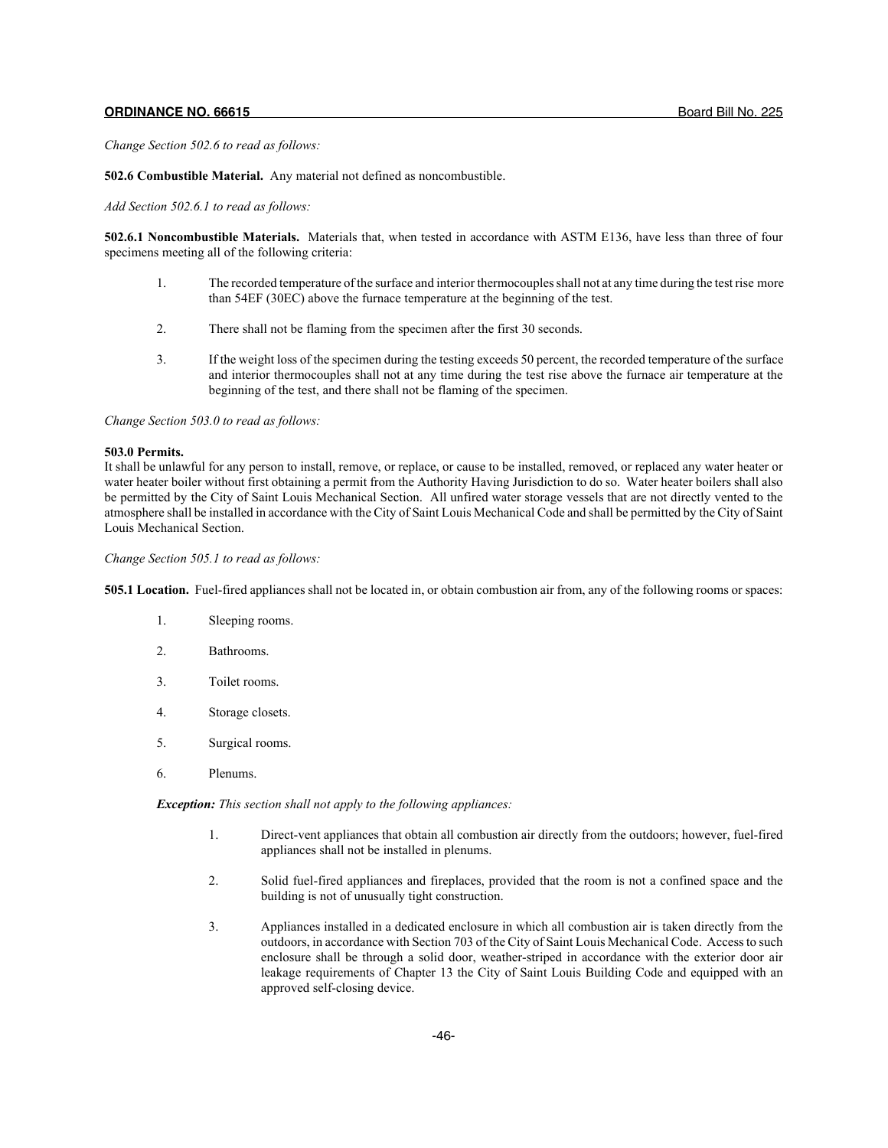*Change Section 502.6 to read as follows:*

**502.6 Combustible Material.** Any material not defined as noncombustible.

*Add Section 502.6.1 to read as follows:*

**502.6.1 Noncombustible Materials.** Materials that, when tested in accordance with ASTM E136, have less than three of four specimens meeting all of the following criteria:

- 1. The recorded temperature of the surface and interior thermocouples shall not at any time during the test rise more than 54EF (30EC) above the furnace temperature at the beginning of the test.
- 2. There shall not be flaming from the specimen after the first 30 seconds.
- 3. If the weight loss of the specimen during the testing exceeds 50 percent, the recorded temperature of the surface and interior thermocouples shall not at any time during the test rise above the furnace air temperature at the beginning of the test, and there shall not be flaming of the specimen.

*Change Section 503.0 to read as follows:*

#### **503.0 Permits.**

It shall be unlawful for any person to install, remove, or replace, or cause to be installed, removed, or replaced any water heater or water heater boiler without first obtaining a permit from the Authority Having Jurisdiction to do so. Water heater boilers shall also be permitted by the City of Saint Louis Mechanical Section. All unfired water storage vessels that are not directly vented to the atmosphere shall be installed in accordance with the City of Saint Louis Mechanical Code and shall be permitted by the City of Saint Louis Mechanical Section.

*Change Section 505.1 to read as follows:*

**505.1 Location.** Fuel-fired appliances shall not be located in, or obtain combustion air from, any of the following rooms or spaces:

- 1. Sleeping rooms.
- 2. Bathrooms.
- 3. Toilet rooms.
- 4. Storage closets.
- 5. Surgical rooms.
- 6. Plenums.

*Exception: This section shall not apply to the following appliances:*

- 1. Direct-vent appliances that obtain all combustion air directly from the outdoors; however, fuel-fired appliances shall not be installed in plenums.
- 2. Solid fuel-fired appliances and fireplaces, provided that the room is not a confined space and the building is not of unusually tight construction.
- 3. Appliances installed in a dedicated enclosure in which all combustion air is taken directly from the outdoors, in accordance with Section 703 of the City of Saint Louis Mechanical Code. Access to such enclosure shall be through a solid door, weather-striped in accordance with the exterior door air leakage requirements of Chapter 13 the City of Saint Louis Building Code and equipped with an approved self-closing device.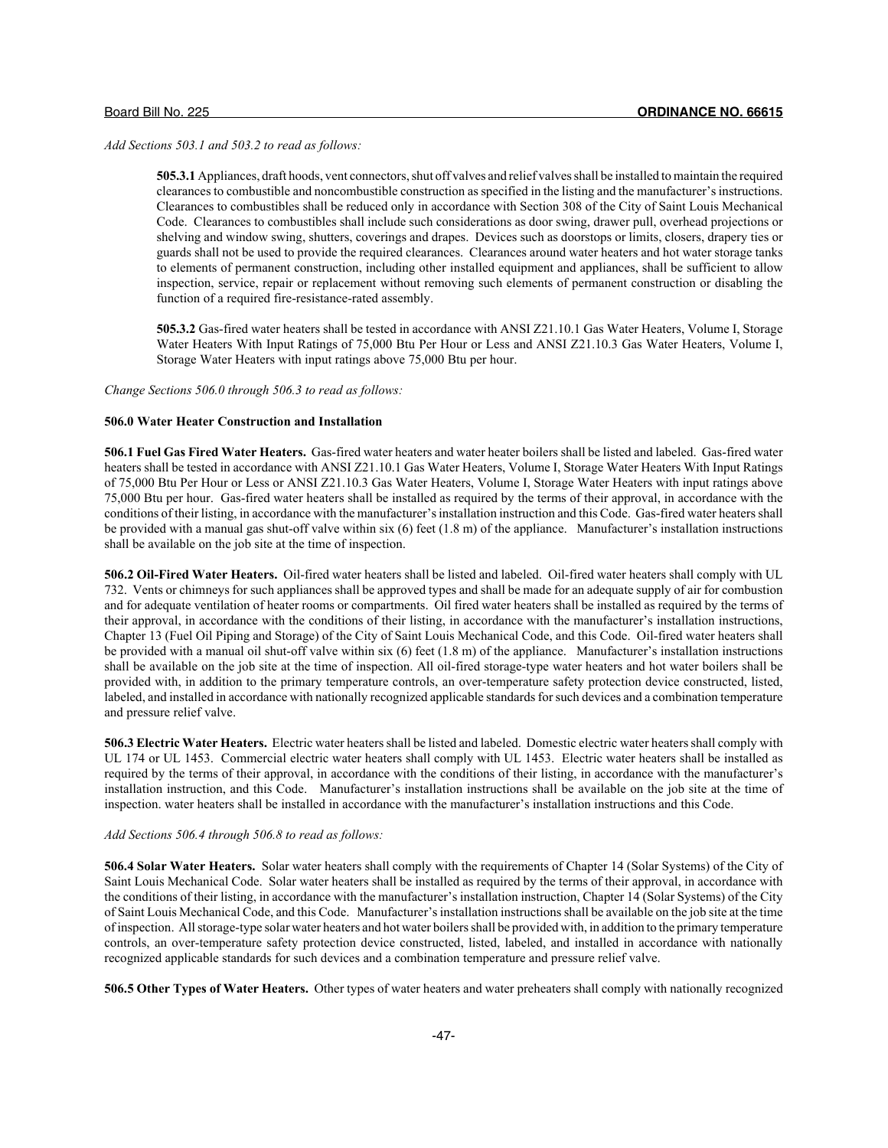*Add Sections 503.1 and 503.2 to read as follows:*

**505.3.1** Appliances, draft hoods, vent connectors, shut off valves and relief valves shall be installed to maintain the required clearances to combustible and noncombustible construction as specified in the listing and the manufacturer's instructions. Clearances to combustibles shall be reduced only in accordance with Section 308 of the City of Saint Louis Mechanical Code. Clearances to combustibles shall include such considerations as door swing, drawer pull, overhead projections or shelving and window swing, shutters, coverings and drapes. Devices such as doorstops or limits, closers, drapery ties or guards shall not be used to provide the required clearances. Clearances around water heaters and hot water storage tanks to elements of permanent construction, including other installed equipment and appliances, shall be sufficient to allow inspection, service, repair or replacement without removing such elements of permanent construction or disabling the function of a required fire-resistance-rated assembly.

**505.3.2** Gas-fired water heaters shall be tested in accordance with ANSI Z21.10.1 Gas Water Heaters, Volume I, Storage Water Heaters With Input Ratings of 75,000 Btu Per Hour or Less and ANSI Z21.10.3 Gas Water Heaters, Volume I, Storage Water Heaters with input ratings above 75,000 Btu per hour.

*Change Sections 506.0 through 506.3 to read as follows:*

## **506.0 Water Heater Construction and Installation**

**506.1 Fuel Gas Fired Water Heaters.** Gas-fired water heaters and water heater boilers shall be listed and labeled. Gas-fired water heaters shall be tested in accordance with ANSI Z21.10.1 Gas Water Heaters, Volume I, Storage Water Heaters With Input Ratings of 75,000 Btu Per Hour or Less or ANSI Z21.10.3 Gas Water Heaters, Volume I, Storage Water Heaters with input ratings above 75,000 Btu per hour. Gas-fired water heaters shall be installed as required by the terms of their approval, in accordance with the conditions of their listing, in accordance with the manufacturer's installation instruction and this Code. Gas-fired water heaters shall be provided with a manual gas shut-off valve within six  $(6)$  feet  $(1.8 \text{ m})$  of the appliance. Manufacturer's installation instructions shall be available on the job site at the time of inspection.

**506.2 Oil-Fired Water Heaters.** Oil-fired water heaters shall be listed and labeled. Oil-fired water heaters shall comply with UL 732. Vents or chimneys for such appliances shall be approved types and shall be made for an adequate supply of air for combustion and for adequate ventilation of heater rooms or compartments. Oil fired water heaters shall be installed as required by the terms of their approval, in accordance with the conditions of their listing, in accordance with the manufacturer's installation instructions, Chapter 13 (Fuel Oil Piping and Storage) of the City of Saint Louis Mechanical Code, and this Code. Oil-fired water heaters shall be provided with a manual oil shut-off valve within six  $(6)$  feet  $(1.8 \text{ m})$  of the appliance. Manufacturer's installation instructions shall be available on the job site at the time of inspection. All oil-fired storage-type water heaters and hot water boilers shall be provided with, in addition to the primary temperature controls, an over-temperature safety protection device constructed, listed, labeled, and installed in accordance with nationally recognized applicable standards for such devices and a combination temperature and pressure relief valve.

**506.3 Electric Water Heaters.** Electric water heaters shall be listed and labeled. Domestic electric water heaters shall comply with UL 174 or UL 1453. Commercial electric water heaters shall comply with UL 1453. Electric water heaters shall be installed as required by the terms of their approval, in accordance with the conditions of their listing, in accordance with the manufacturer's installation instruction, and this Code. Manufacturer's installation instructions shall be available on the job site at the time of inspection. water heaters shall be installed in accordance with the manufacturer's installation instructions and this Code.

## *Add Sections 506.4 through 506.8 to read as follows:*

**506.4 Solar Water Heaters.** Solar water heaters shall comply with the requirements of Chapter 14 (Solar Systems) of the City of Saint Louis Mechanical Code. Solar water heaters shall be installed as required by the terms of their approval, in accordance with the conditions of their listing, in accordance with the manufacturer's installation instruction, Chapter 14 (Solar Systems) of the City of Saint Louis Mechanical Code, and this Code. Manufacturer's installation instructions shall be available on the job site at the time of inspection. All storage-type solar water heaters and hot water boilers shall be provided with, in addition to the primary temperature controls, an over-temperature safety protection device constructed, listed, labeled, and installed in accordance with nationally recognized applicable standards for such devices and a combination temperature and pressure relief valve.

**506.5 Other Types of Water Heaters.** Other types of water heaters and water preheaters shall comply with nationally recognized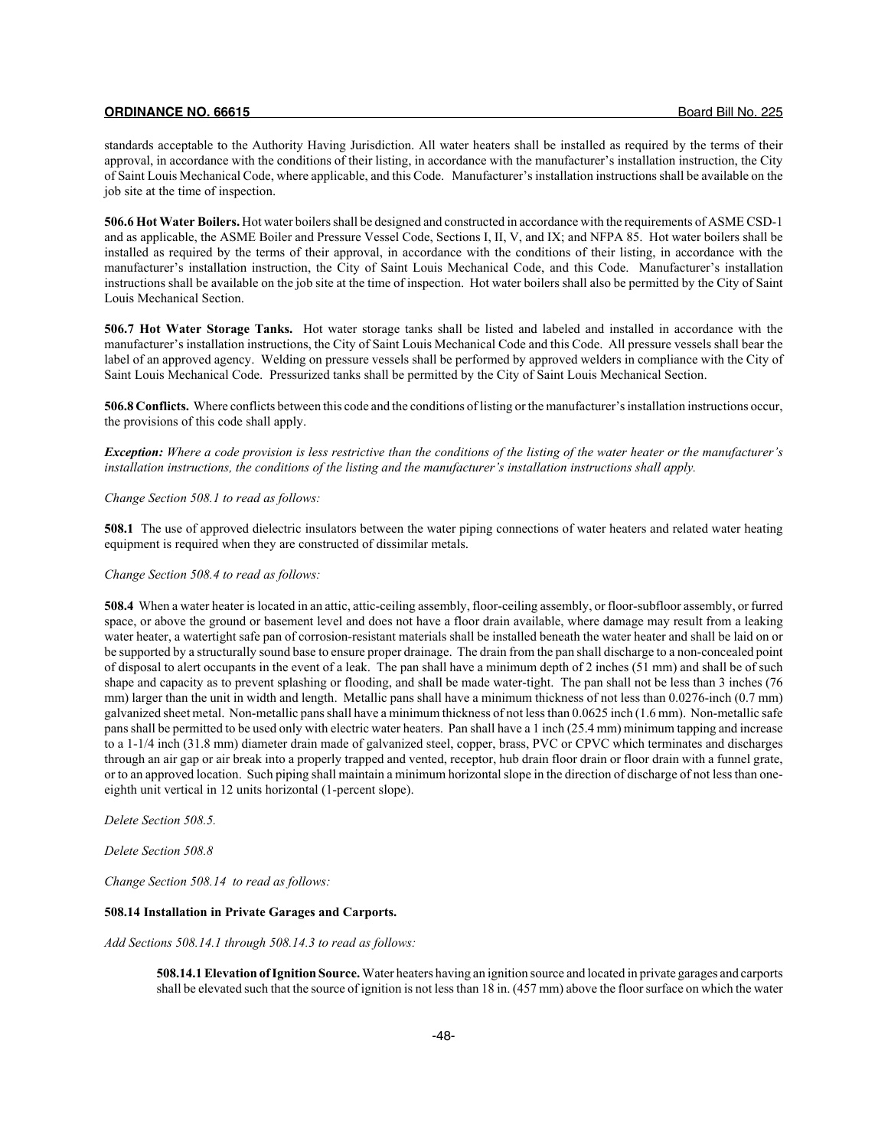standards acceptable to the Authority Having Jurisdiction. All water heaters shall be installed as required by the terms of their approval, in accordance with the conditions of their listing, in accordance with the manufacturer's installation instruction, the City of Saint Louis Mechanical Code, where applicable, and this Code. Manufacturer's installation instructions shall be available on the job site at the time of inspection.

**506.6 Hot Water Boilers.** Hot water boilers shall be designed and constructed in accordance with the requirements of ASME CSD-1 and as applicable, the ASME Boiler and Pressure Vessel Code, Sections I, II, V, and IX; and NFPA 85. Hot water boilers shall be installed as required by the terms of their approval, in accordance with the conditions of their listing, in accordance with the manufacturer's installation instruction, the City of Saint Louis Mechanical Code, and this Code. Manufacturer's installation instructions shall be available on the job site at the time of inspection. Hot water boilers shall also be permitted by the City of Saint Louis Mechanical Section.

**506.7 Hot Water Storage Tanks.** Hot water storage tanks shall be listed and labeled and installed in accordance with the manufacturer's installation instructions, the City of Saint Louis Mechanical Code and this Code. All pressure vessels shall bear the label of an approved agency. Welding on pressure vessels shall be performed by approved welders in compliance with the City of Saint Louis Mechanical Code. Pressurized tanks shall be permitted by the City of Saint Louis Mechanical Section.

**506.8 Conflicts.** Where conflicts between this code and the conditions of listing or the manufacturer's installation instructions occur, the provisions of this code shall apply.

*Exception: Where a code provision is less restrictive than the conditions of the listing of the water heater or the manufacturer's installation instructions, the conditions of the listing and the manufacturer's installation instructions shall apply.*

*Change Section 508.1 to read as follows:*

**508.1** The use of approved dielectric insulators between the water piping connections of water heaters and related water heating equipment is required when they are constructed of dissimilar metals.

*Change Section 508.4 to read as follows:*

**508.4** When a water heater is located in an attic, attic-ceiling assembly, floor-ceiling assembly, or floor-subfloor assembly, or furred space, or above the ground or basement level and does not have a floor drain available, where damage may result from a leaking water heater, a watertight safe pan of corrosion-resistant materials shall be installed beneath the water heater and shall be laid on or be supported by a structurally sound base to ensure proper drainage. The drain from the pan shall discharge to a non-concealed point of disposal to alert occupants in the event of a leak. The pan shall have a minimum depth of 2 inches (51 mm) and shall be of such shape and capacity as to prevent splashing or flooding, and shall be made water-tight. The pan shall not be less than 3 inches (76 mm) larger than the unit in width and length. Metallic pans shall have a minimum thickness of not less than 0.0276-inch (0.7 mm) galvanized sheet metal. Non-metallic pans shall have a minimum thickness of not less than 0.0625 inch (1.6 mm). Non-metallic safe pans shall be permitted to be used only with electric water heaters. Pan shall have a 1 inch (25.4 mm) minimum tapping and increase to a 1-1/4 inch (31.8 mm) diameter drain made of galvanized steel, copper, brass, PVC or CPVC which terminates and discharges through an air gap or air break into a properly trapped and vented, receptor, hub drain floor drain or floor drain with a funnel grate, or to an approved location. Such piping shall maintain a minimum horizontal slope in the direction of discharge of not less than oneeighth unit vertical in 12 units horizontal (1-percent slope).

*Delete Section 508.5.*

*Delete Section 508.8*

*Change Section 508.14 to read as follows:*

## **508.14 Installation in Private Garages and Carports.**

*Add Sections 508.14.1 through 508.14.3 to read as follows:*

**508.14.1 Elevation of Ignition Source.** Water heaters having an ignition source and located in private garages and carports shall be elevated such that the source of ignition is not less than 18 in. (457 mm) above the floor surface on which the water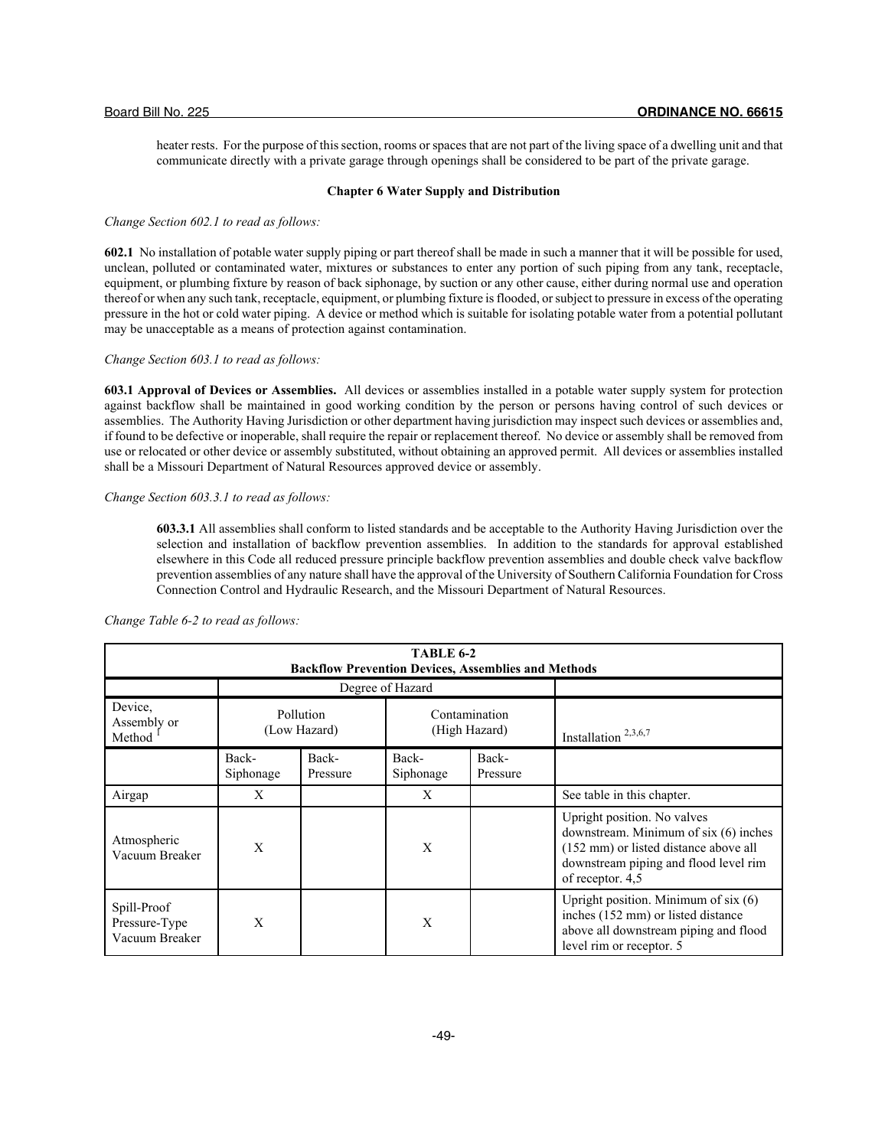heater rests. For the purpose of this section, rooms or spaces that are not part of the living space of a dwelling unit and that communicate directly with a private garage through openings shall be considered to be part of the private garage.

## **Chapter 6 Water Supply and Distribution**

#### *Change Section 602.1 to read as follows:*

**602.1** No installation of potable water supply piping or part thereof shall be made in such a manner that it will be possible for used, unclean, polluted or contaminated water, mixtures or substances to enter any portion of such piping from any tank, receptacle, equipment, or plumbing fixture by reason of back siphonage, by suction or any other cause, either during normal use and operation thereof or when any such tank, receptacle, equipment, or plumbing fixture is flooded, or subject to pressure in excess of the operating pressure in the hot or cold water piping. A device or method which is suitable for isolating potable water from a potential pollutant may be unacceptable as a means of protection against contamination.

*Change Section 603.1 to read as follows:*

**603.1 Approval of Devices or Assemblies.** All devices or assemblies installed in a potable water supply system for protection against backflow shall be maintained in good working condition by the person or persons having control of such devices or assemblies. The Authority Having Jurisdiction or other department having jurisdiction may inspect such devices or assemblies and, if found to be defective or inoperable, shall require the repair or replacement thereof. No device or assembly shall be removed from use or relocated or other device or assembly substituted, without obtaining an approved permit. All devices or assemblies installed shall be a Missouri Department of Natural Resources approved device or assembly.

## *Change Section 603.3.1 to read as follows:*

**603.3.1** All assemblies shall conform to listed standards and be acceptable to the Authority Having Jurisdiction over the selection and installation of backflow prevention assemblies. In addition to the standards for approval established elsewhere in this Code all reduced pressure principle backflow prevention assemblies and double check valve backflow prevention assemblies of any nature shall have the approval of the University of Southern California Foundation for Cross Connection Control and Hydraulic Research, and the Missouri Department of Natural Resources.

| <b>TABLE 6-2</b><br><b>Backflow Prevention Devices, Assemblies and Methods</b> |                                                             |                   |                    |                                 |                                                                                                                                                                            |  |
|--------------------------------------------------------------------------------|-------------------------------------------------------------|-------------------|--------------------|---------------------------------|----------------------------------------------------------------------------------------------------------------------------------------------------------------------------|--|
|                                                                                |                                                             |                   | Degree of Hazard   |                                 |                                                                                                                                                                            |  |
| Device.<br>Assembly or<br>Method                                               | Pollution<br>Contamination<br>(High Hazard)<br>(Low Hazard) |                   |                    | Installation <sup>2,3,6,7</sup> |                                                                                                                                                                            |  |
|                                                                                | Back-<br>Siphonage                                          | Back-<br>Pressure | Back-<br>Siphonage | Back-<br>Pressure               |                                                                                                                                                                            |  |
| Airgap                                                                         | X                                                           |                   | X                  |                                 | See table in this chapter.                                                                                                                                                 |  |
| Atmospheric<br>Vacuum Breaker                                                  | $\mathbf{X}$                                                |                   | X                  |                                 | Upright position. No valves<br>downstream. Minimum of six (6) inches<br>(152 mm) or listed distance above all<br>downstream piping and flood level rim<br>of receptor. 4,5 |  |
| Spill-Proof<br>Pressure-Type<br>Vacuum Breaker                                 | X                                                           |                   | X                  |                                 | Upright position. Minimum of $six(6)$<br>inches (152 mm) or listed distance<br>above all downstream piping and flood<br>level rim or receptor. 5                           |  |

*Change Table 6-2 to read as follows:*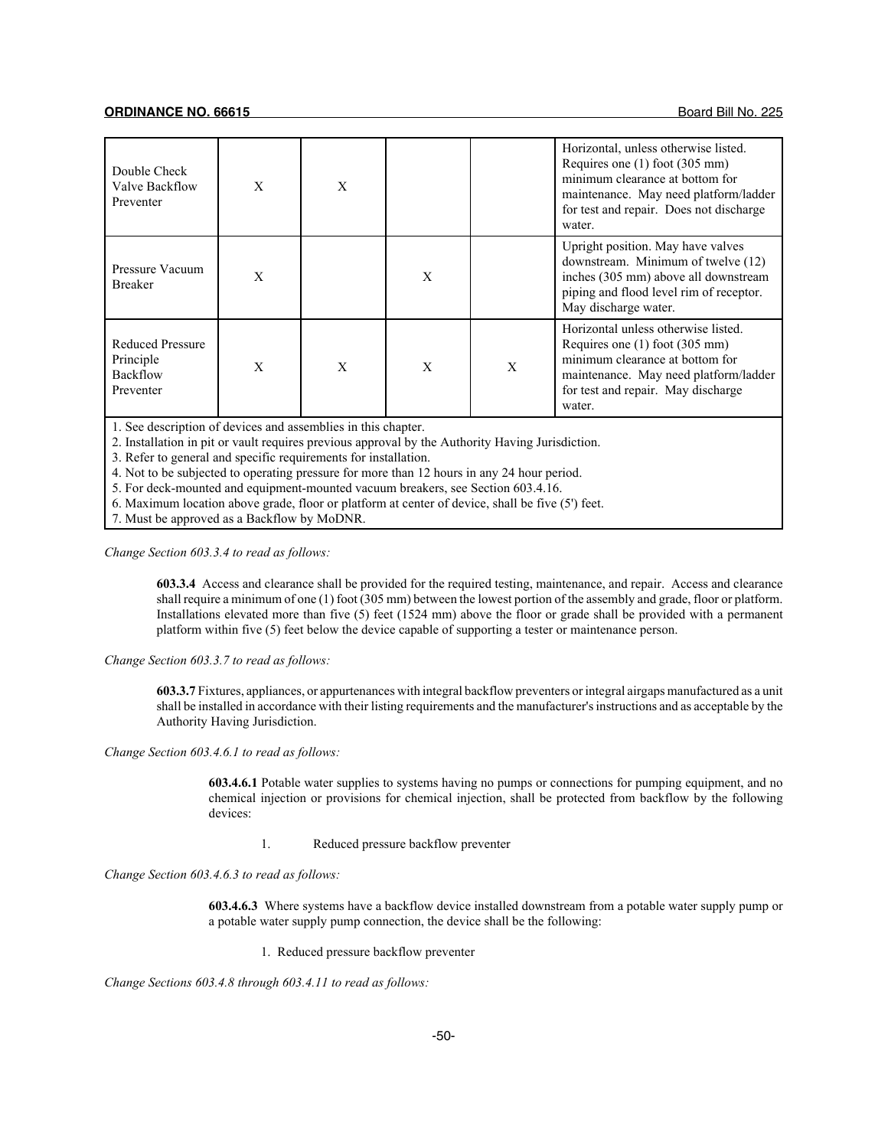| Double Check<br>Valve Backflow<br>Preventer                   | X | X |   |   | Horizontal, unless otherwise listed.<br>Requires one $(1)$ foot $(305 \text{ mm})$<br>minimum clearance at bottom for<br>maintenance. May need platform/ladder<br>for test and repair. Does not discharge<br>water. |
|---------------------------------------------------------------|---|---|---|---|---------------------------------------------------------------------------------------------------------------------------------------------------------------------------------------------------------------------|
| Pressure Vacuum<br><b>Breaker</b>                             | X |   | X |   | Upright position. May have valves<br>downstream. Minimum of twelve (12)<br>inches (305 mm) above all downstream<br>piping and flood level rim of receptor.<br>May discharge water.                                  |
| <b>Reduced Pressure</b><br>Principle<br>Backflow<br>Preventer | X | X | X | X | Horizontal unless otherwise listed.<br>Requires one $(1)$ foot $(305 \text{ mm})$<br>minimum clearance at bottom for<br>maintenance. May need platform/ladder<br>for test and repair. May discharge<br>water.       |

1. See description of devices and assemblies in this chapter.

2. Installation in pit or vault requires previous approval by the Authority Having Jurisdiction.

3. Refer to general and specific requirements for installation.

4. Not to be subjected to operating pressure for more than 12 hours in any 24 hour period.

5. For deck-mounted and equipment-mounted vacuum breakers, see Section 603.4.16.

6. Maximum location above grade, floor or platform at center of device, shall be five (5') feet.

7. Must be approved as a Backflow by MoDNR.

*Change Section 603.3.4 to read as follows:*

**603.3.4** Access and clearance shall be provided for the required testing, maintenance, and repair. Access and clearance shall require a minimum of one (1) foot (305 mm) between the lowest portion of the assembly and grade, floor or platform. Installations elevated more than five (5) feet (1524 mm) above the floor or grade shall be provided with a permanent platform within five (5) feet below the device capable of supporting a tester or maintenance person.

*Change Section 603.3.7 to read as follows:*

**603.3.7** Fixtures, appliances, or appurtenances with integral backflow preventers or integral airgaps manufactured as a unit shall be installed in accordance with their listing requirements and the manufacturer's instructions and as acceptable by the Authority Having Jurisdiction.

*Change Section 603.4.6.1 to read as follows:*

**603.4.6.1** Potable water supplies to systems having no pumps or connections for pumping equipment, and no chemical injection or provisions for chemical injection, shall be protected from backflow by the following devices:

1. Reduced pressure backflow preventer

*Change Section 603.4.6.3 to read as follows:*

**603.4.6.3** Where systems have a backflow device installed downstream from a potable water supply pump or a potable water supply pump connection, the device shall be the following:

1. Reduced pressure backflow preventer

*Change Sections 603.4.8 through 603.4.11 to read as follows:*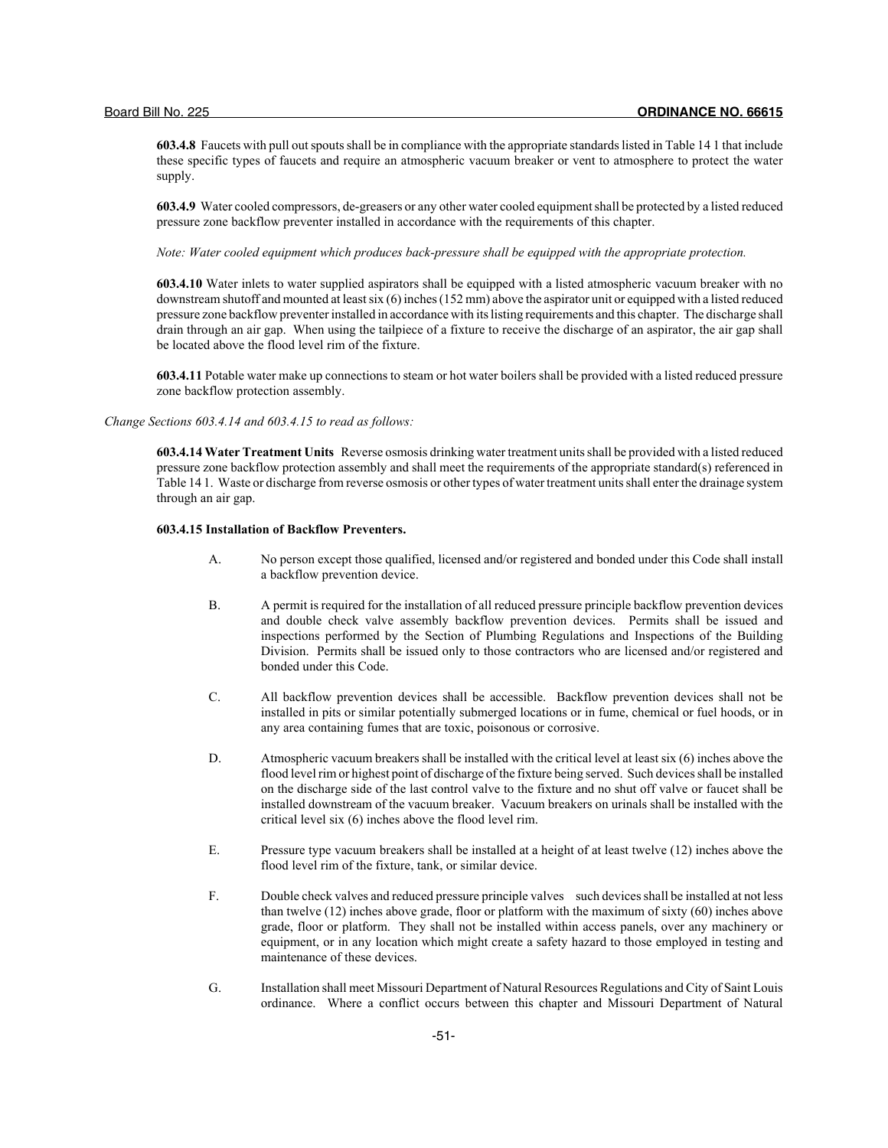**603.4.8** Faucets with pull out spouts shall be in compliance with the appropriate standards listed in Table 14 1 that include these specific types of faucets and require an atmospheric vacuum breaker or vent to atmosphere to protect the water supply.

**603.4.9** Water cooled compressors, de-greasers or any other water cooled equipment shall be protected by a listed reduced pressure zone backflow preventer installed in accordance with the requirements of this chapter.

*Note: Water cooled equipment which produces back-pressure shall be equipped with the appropriate protection.*

**603.4.10** Water inlets to water supplied aspirators shall be equipped with a listed atmospheric vacuum breaker with no downstream shutoff and mounted at least six (6) inches (152 mm) above the aspirator unit or equipped with a listed reduced pressure zone backflow preventer installed in accordance with its listing requirements and this chapter. The discharge shall drain through an air gap. When using the tailpiece of a fixture to receive the discharge of an aspirator, the air gap shall be located above the flood level rim of the fixture.

**603.4.11** Potable water make up connections to steam or hot water boilers shall be provided with a listed reduced pressure zone backflow protection assembly.

*Change Sections 603.4.14 and 603.4.15 to read as follows:*

**603.4.14 Water Treatment Units** Reverse osmosis drinking water treatment units shall be provided with a listed reduced pressure zone backflow protection assembly and shall meet the requirements of the appropriate standard(s) referenced in Table 14 1. Waste or discharge from reverse osmosis or other types of water treatment units shall enter the drainage system through an air gap.

## **603.4.15 Installation of Backflow Preventers.**

- A. No person except those qualified, licensed and/or registered and bonded under this Code shall install a backflow prevention device.
- B. A permit is required for the installation of all reduced pressure principle backflow prevention devices and double check valve assembly backflow prevention devices. Permits shall be issued and inspections performed by the Section of Plumbing Regulations and Inspections of the Building Division. Permits shall be issued only to those contractors who are licensed and/or registered and bonded under this Code.
- C. All backflow prevention devices shall be accessible. Backflow prevention devices shall not be installed in pits or similar potentially submerged locations or in fume, chemical or fuel hoods, or in any area containing fumes that are toxic, poisonous or corrosive.
- D. Atmospheric vacuum breakers shall be installed with the critical level at least six (6) inches above the flood level rim or highest point of discharge of the fixture being served. Such devices shall be installed on the discharge side of the last control valve to the fixture and no shut off valve or faucet shall be installed downstream of the vacuum breaker. Vacuum breakers on urinals shall be installed with the critical level six (6) inches above the flood level rim.
- E. Pressure type vacuum breakers shall be installed at a height of at least twelve (12) inches above the flood level rim of the fixture, tank, or similar device.
- F. Double check valves and reduced pressure principle valves such devices shall be installed at not less than twelve (12) inches above grade, floor or platform with the maximum of sixty (60) inches above grade, floor or platform. They shall not be installed within access panels, over any machinery or equipment, or in any location which might create a safety hazard to those employed in testing and maintenance of these devices.
- G. Installation shall meet Missouri Department of Natural Resources Regulations and City of Saint Louis ordinance. Where a conflict occurs between this chapter and Missouri Department of Natural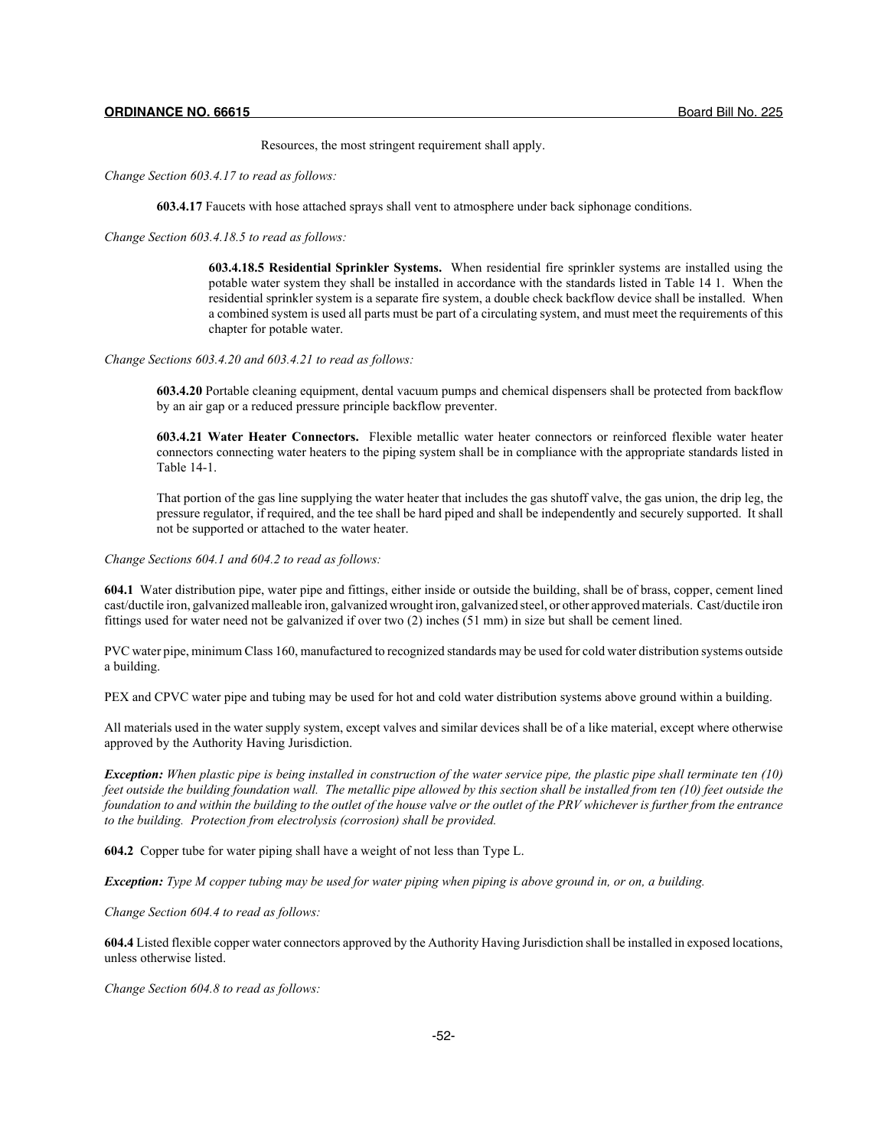Resources, the most stringent requirement shall apply.

*Change Section 603.4.17 to read as follows:*

**603.4.17** Faucets with hose attached sprays shall vent to atmosphere under back siphonage conditions.

*Change Section 603.4.18.5 to read as follows:*

**603.4.18.5 Residential Sprinkler Systems.** When residential fire sprinkler systems are installed using the potable water system they shall be installed in accordance with the standards listed in Table 14 1. When the residential sprinkler system is a separate fire system, a double check backflow device shall be installed. When a combined system is used all parts must be part of a circulating system, and must meet the requirements of this chapter for potable water.

*Change Sections 603.4.20 and 603.4.21 to read as follows:*

**603.4.20** Portable cleaning equipment, dental vacuum pumps and chemical dispensers shall be protected from backflow by an air gap or a reduced pressure principle backflow preventer.

**603.4.21 Water Heater Connectors.** Flexible metallic water heater connectors or reinforced flexible water heater connectors connecting water heaters to the piping system shall be in compliance with the appropriate standards listed in Table 14-1.

That portion of the gas line supplying the water heater that includes the gas shutoff valve, the gas union, the drip leg, the pressure regulator, if required, and the tee shall be hard piped and shall be independently and securely supported. It shall not be supported or attached to the water heater.

*Change Sections 604.1 and 604.2 to read as follows:*

**604.1** Water distribution pipe, water pipe and fittings, either inside or outside the building, shall be of brass, copper, cement lined cast/ductile iron, galvanized malleable iron, galvanized wrought iron, galvanized steel, or other approved materials. Cast/ductile iron fittings used for water need not be galvanized if over two (2) inches (51 mm) in size but shall be cement lined.

PVC water pipe, minimum Class 160, manufactured to recognized standards may be used for cold water distribution systems outside a building.

PEX and CPVC water pipe and tubing may be used for hot and cold water distribution systems above ground within a building.

All materials used in the water supply system, except valves and similar devices shall be of a like material, except where otherwise approved by the Authority Having Jurisdiction.

*Exception: When plastic pipe is being installed in construction of the water service pipe, the plastic pipe shall terminate ten (10) feet outside the building foundation wall. The metallic pipe allowed by this section shall be installed from ten (10) feet outside the foundation to and within the building to the outlet of the house valve or the outlet of the PRV whichever is further from the entrance to the building. Protection from electrolysis (corrosion) shall be provided.*

**604.2** Copper tube for water piping shall have a weight of not less than Type L.

*Exception: Type M copper tubing may be used for water piping when piping is above ground in, or on, a building.*

*Change Section 604.4 to read as follows:*

**604.4** Listed flexible copper water connectors approved by the Authority Having Jurisdiction shall be installed in exposed locations, unless otherwise listed.

*Change Section 604.8 to read as follows:*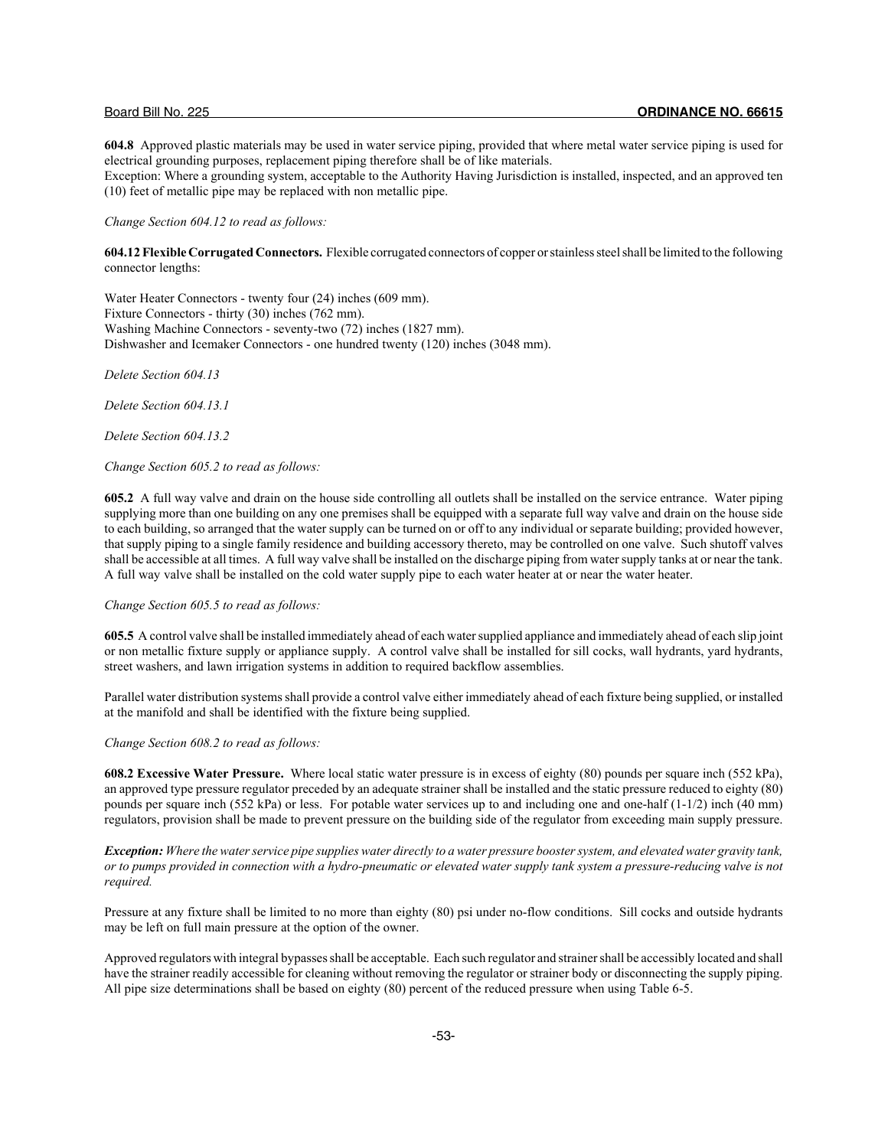**604.8** Approved plastic materials may be used in water service piping, provided that where metal water service piping is used for electrical grounding purposes, replacement piping therefore shall be of like materials.

Exception: Where a grounding system, acceptable to the Authority Having Jurisdiction is installed, inspected, and an approved ten (10) feet of metallic pipe may be replaced with non metallic pipe.

*Change Section 604.12 to read as follows:*

**604.12 Flexible Corrugated Connectors.** Flexible corrugated connectors of copper or stainless steel shall be limited to the following connector lengths:

Water Heater Connectors - twenty four (24) inches (609 mm). Fixture Connectors - thirty (30) inches (762 mm). Washing Machine Connectors - seventy-two (72) inches (1827 mm). Dishwasher and Icemaker Connectors - one hundred twenty (120) inches (3048 mm).

*Delete Section 604.13*

*Delete Section 604.13.1*

*Delete Section 604.13.2*

*Change Section 605.2 to read as follows:*

**605.2** A full way valve and drain on the house side controlling all outlets shall be installed on the service entrance. Water piping supplying more than one building on any one premises shall be equipped with a separate full way valve and drain on the house side to each building, so arranged that the water supply can be turned on or off to any individual or separate building; provided however, that supply piping to a single family residence and building accessory thereto, may be controlled on one valve. Such shutoff valves shall be accessible at all times. A full way valve shall be installed on the discharge piping from water supply tanks at or near the tank. A full way valve shall be installed on the cold water supply pipe to each water heater at or near the water heater.

## *Change Section 605.5 to read as follows:*

**605.5** A control valve shall be installed immediately ahead of each water supplied appliance and immediately ahead of each slip joint or non metallic fixture supply or appliance supply. A control valve shall be installed for sill cocks, wall hydrants, yard hydrants, street washers, and lawn irrigation systems in addition to required backflow assemblies.

Parallel water distribution systems shall provide a control valve either immediately ahead of each fixture being supplied, or installed at the manifold and shall be identified with the fixture being supplied.

*Change Section 608.2 to read as follows:*

**608.2 Excessive Water Pressure.** Where local static water pressure is in excess of eighty (80) pounds per square inch (552 kPa), an approved type pressure regulator preceded by an adequate strainer shall be installed and the static pressure reduced to eighty (80) pounds per square inch (552 kPa) or less. For potable water services up to and including one and one-half (1-1/2) inch (40 mm) regulators, provision shall be made to prevent pressure on the building side of the regulator from exceeding main supply pressure.

*Exception: Where the water service pipe supplies water directly to a water pressure booster system, and elevated water gravity tank, or to pumps provided in connection with a hydro-pneumatic or elevated water supply tank system a pressure-reducing valve is not required.*

Pressure at any fixture shall be limited to no more than eighty (80) psi under no-flow conditions. Sill cocks and outside hydrants may be left on full main pressure at the option of the owner.

Approved regulators with integral bypasses shall be acceptable. Each such regulator and strainer shall be accessibly located and shall have the strainer readily accessible for cleaning without removing the regulator or strainer body or disconnecting the supply piping. All pipe size determinations shall be based on eighty (80) percent of the reduced pressure when using Table 6-5.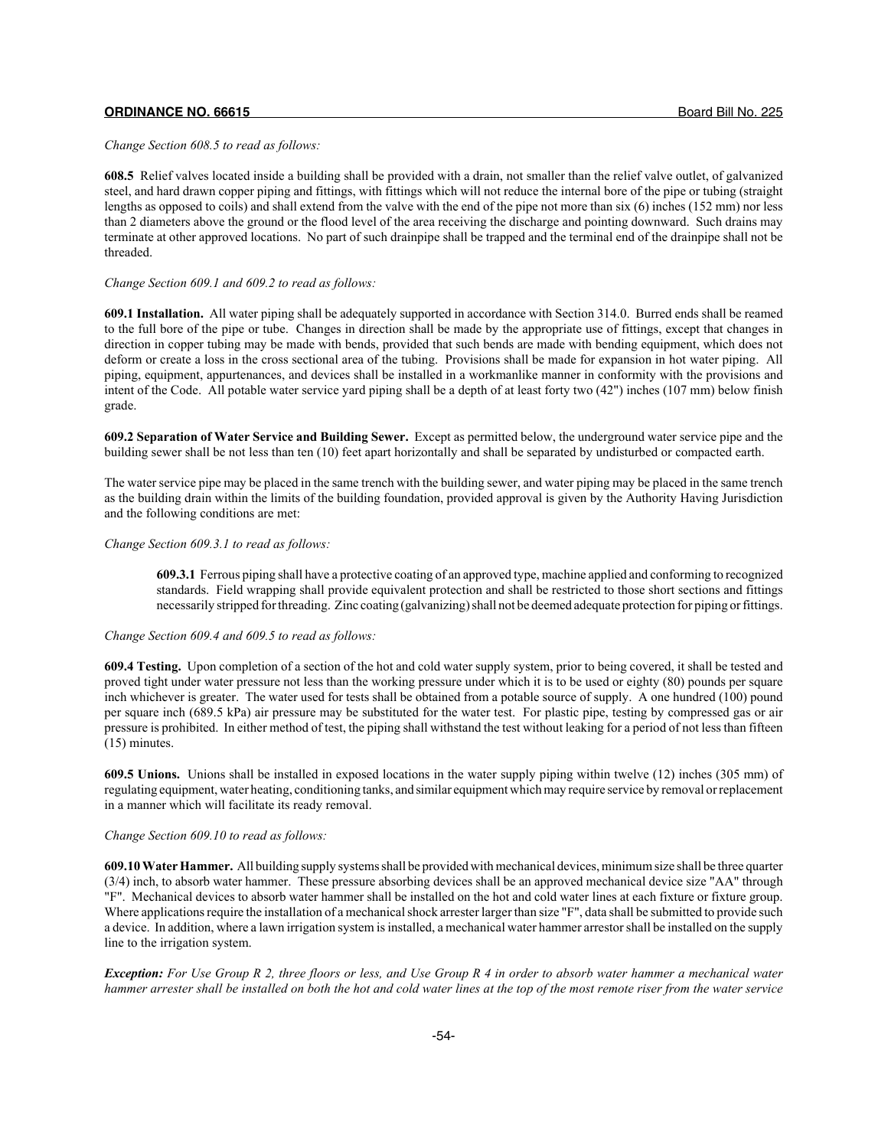*Change Section 608.5 to read as follows:*

**608.5** Relief valves located inside a building shall be provided with a drain, not smaller than the relief valve outlet, of galvanized steel, and hard drawn copper piping and fittings, with fittings which will not reduce the internal bore of the pipe or tubing (straight lengths as opposed to coils) and shall extend from the valve with the end of the pipe not more than six (6) inches (152 mm) nor less than 2 diameters above the ground or the flood level of the area receiving the discharge and pointing downward. Such drains may terminate at other approved locations. No part of such drainpipe shall be trapped and the terminal end of the drainpipe shall not be threaded.

#### *Change Section 609.1 and 609.2 to read as follows:*

**609.1 Installation.** All water piping shall be adequately supported in accordance with Section 314.0. Burred ends shall be reamed to the full bore of the pipe or tube. Changes in direction shall be made by the appropriate use of fittings, except that changes in direction in copper tubing may be made with bends, provided that such bends are made with bending equipment, which does not deform or create a loss in the cross sectional area of the tubing. Provisions shall be made for expansion in hot water piping. All piping, equipment, appurtenances, and devices shall be installed in a workmanlike manner in conformity with the provisions and intent of the Code. All potable water service yard piping shall be a depth of at least forty two (42") inches (107 mm) below finish grade.

**609.2 Separation of Water Service and Building Sewer.** Except as permitted below, the underground water service pipe and the building sewer shall be not less than ten (10) feet apart horizontally and shall be separated by undisturbed or compacted earth.

The water service pipe may be placed in the same trench with the building sewer, and water piping may be placed in the same trench as the building drain within the limits of the building foundation, provided approval is given by the Authority Having Jurisdiction and the following conditions are met:

## *Change Section 609.3.1 to read as follows:*

**609.3.1** Ferrous piping shall have a protective coating of an approved type, machine applied and conforming to recognized standards. Field wrapping shall provide equivalent protection and shall be restricted to those short sections and fittings necessarily stripped for threading. Zinc coating (galvanizing) shall not be deemed adequate protection for piping or fittings.

## *Change Section 609.4 and 609.5 to read as follows:*

**609.4 Testing.** Upon completion of a section of the hot and cold water supply system, prior to being covered, it shall be tested and proved tight under water pressure not less than the working pressure under which it is to be used or eighty (80) pounds per square inch whichever is greater. The water used for tests shall be obtained from a potable source of supply. A one hundred (100) pound per square inch (689.5 kPa) air pressure may be substituted for the water test. For plastic pipe, testing by compressed gas or air pressure is prohibited. In either method of test, the piping shall withstand the test without leaking for a period of not less than fifteen (15) minutes.

**609.5 Unions.** Unions shall be installed in exposed locations in the water supply piping within twelve (12) inches (305 mm) of regulating equipment, water heating, conditioning tanks, and similar equipment which may require service by removal or replacement in a manner which will facilitate its ready removal.

## *Change Section 609.10 to read as follows:*

**609.10 Water Hammer.** All building supply systems shall be provided with mechanical devices, minimum size shall be three quarter (3/4) inch, to absorb water hammer. These pressure absorbing devices shall be an approved mechanical device size "AA" through "F". Mechanical devices to absorb water hammer shall be installed on the hot and cold water lines at each fixture or fixture group. Where applications require the installation of a mechanical shock arrester larger than size "F", data shall be submitted to provide such a device. In addition, where a lawn irrigation system is installed, a mechanical water hammer arrestor shall be installed on the supply line to the irrigation system.

*Exception: For Use Group R 2, three floors or less, and Use Group R 4 in order to absorb water hammer a mechanical water hammer arrester shall be installed on both the hot and cold water lines at the top of the most remote riser from the water service*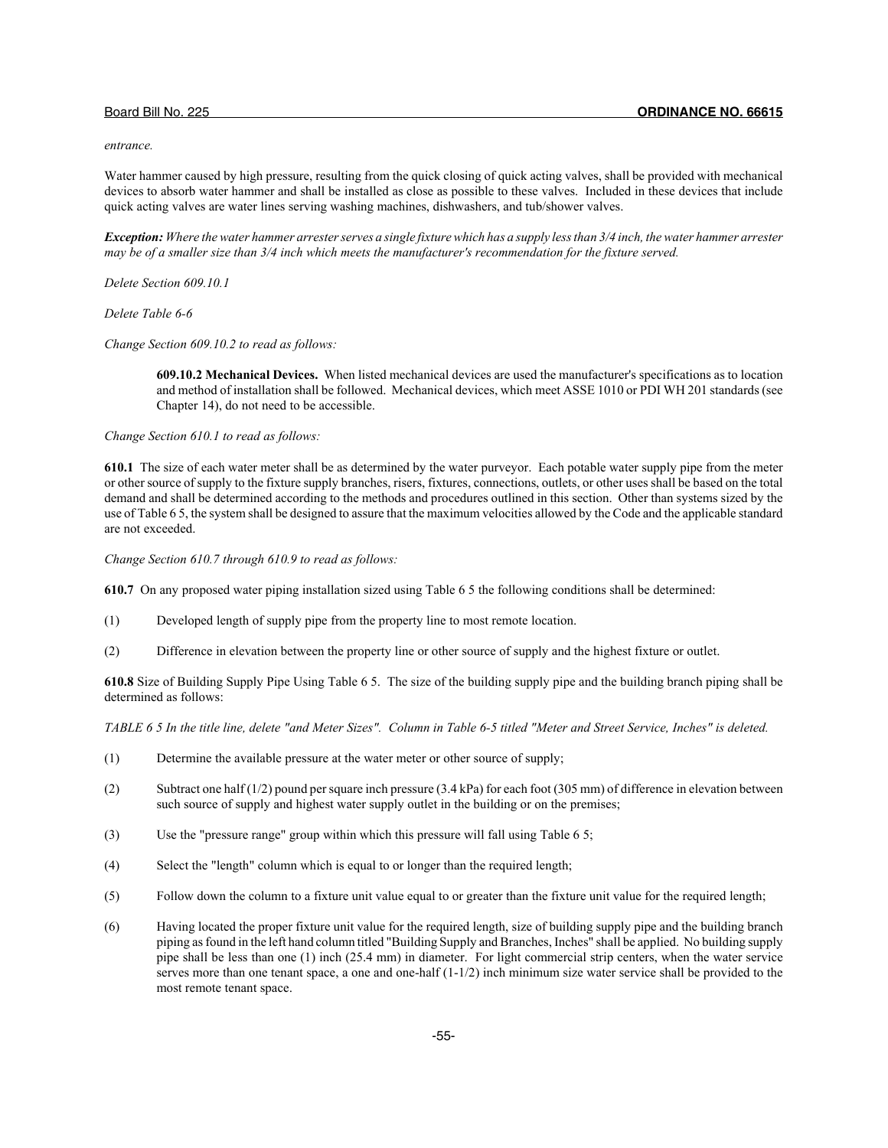#### *entrance.*

Water hammer caused by high pressure, resulting from the quick closing of quick acting valves, shall be provided with mechanical devices to absorb water hammer and shall be installed as close as possible to these valves. Included in these devices that include quick acting valves are water lines serving washing machines, dishwashers, and tub/shower valves.

*Exception: Where the water hammer arrester serves a single fixture which has a supply less than 3/4 inch, the water hammer arrester may be of a smaller size than 3/4 inch which meets the manufacturer's recommendation for the fixture served.*

*Delete Section 609.10.1*

*Delete Table 6-6*

*Change Section 609.10.2 to read as follows:*

**609.10.2 Mechanical Devices.** When listed mechanical devices are used the manufacturer's specifications as to location and method of installation shall be followed. Mechanical devices, which meet ASSE 1010 or PDI WH 201 standards (see Chapter 14), do not need to be accessible.

*Change Section 610.1 to read as follows:*

**610.1** The size of each water meter shall be as determined by the water purveyor. Each potable water supply pipe from the meter or other source of supply to the fixture supply branches, risers, fixtures, connections, outlets, or other uses shall be based on the total demand and shall be determined according to the methods and procedures outlined in this section. Other than systems sized by the use of Table 6 5, the system shall be designed to assure that the maximum velocities allowed by the Code and the applicable standard are not exceeded.

*Change Section 610.7 through 610.9 to read as follows:*

**610.7** On any proposed water piping installation sized using Table 6 5 the following conditions shall be determined:

- (1) Developed length of supply pipe from the property line to most remote location.
- (2) Difference in elevation between the property line or other source of supply and the highest fixture or outlet.

**610.8** Size of Building Supply Pipe Using Table 6 5. The size of the building supply pipe and the building branch piping shall be determined as follows:

*TABLE 6 5 In the title line, delete "and Meter Sizes". Column in Table 6-5 titled "Meter and Street Service, Inches" is deleted.*

- (1) Determine the available pressure at the water meter or other source of supply;
- (2) Subtract one half (1/2) pound per square inch pressure (3.4 kPa) for each foot (305 mm) of difference in elevation between such source of supply and highest water supply outlet in the building or on the premises;
- (3) Use the "pressure range" group within which this pressure will fall using Table 6 5;
- (4) Select the "length" column which is equal to or longer than the required length;
- (5) Follow down the column to a fixture unit value equal to or greater than the fixture unit value for the required length;
- (6) Having located the proper fixture unit value for the required length, size of building supply pipe and the building branch piping as found in the left hand column titled "Building Supply and Branches, Inches" shall be applied. No building supply pipe shall be less than one (1) inch (25.4 mm) in diameter. For light commercial strip centers, when the water service serves more than one tenant space, a one and one-half (1-1/2) inch minimum size water service shall be provided to the most remote tenant space.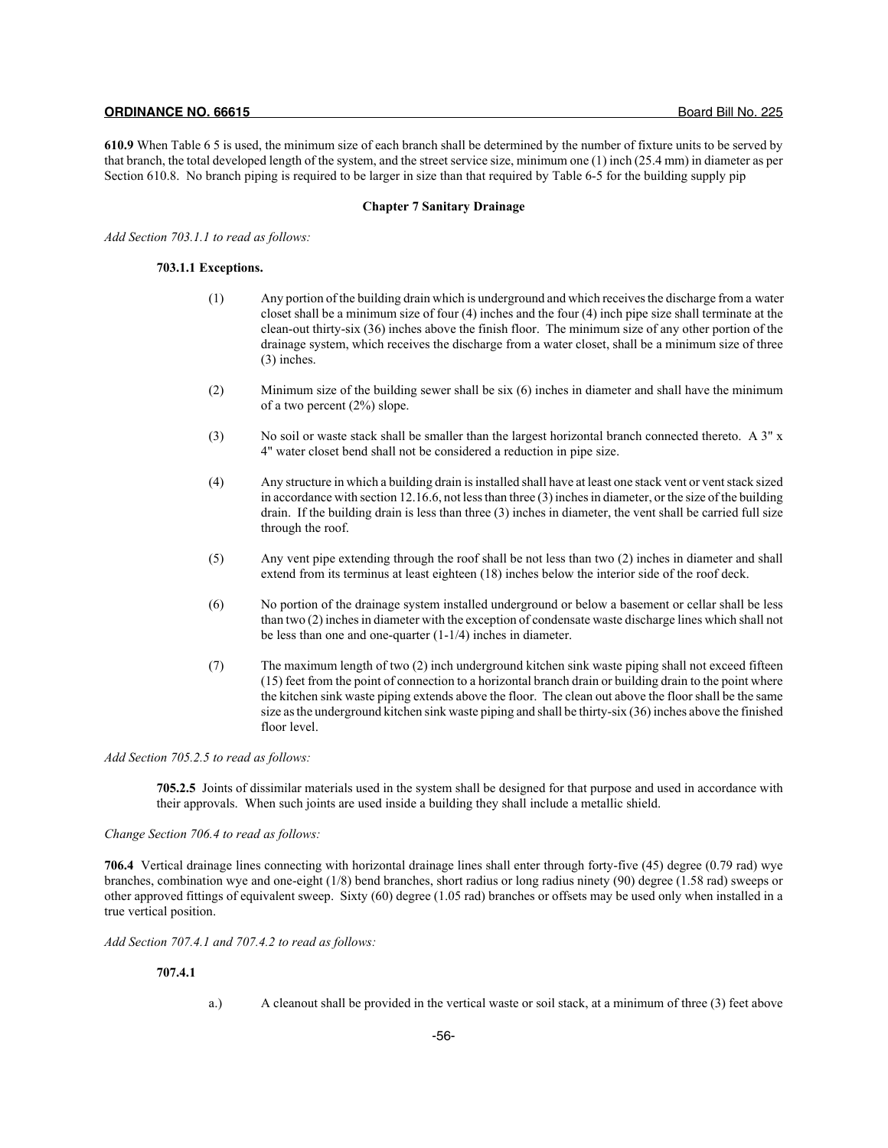**610.9** When Table 6 5 is used, the minimum size of each branch shall be determined by the number of fixture units to be served by that branch, the total developed length of the system, and the street service size, minimum one (1) inch (25.4 mm) in diameter as per Section 610.8. No branch piping is required to be larger in size than that required by Table 6-5 for the building supply pip

### **Chapter 7 Sanitary Drainage**

*Add Section 703.1.1 to read as follows:*

## **703.1.1 Exceptions.**

- (1) Any portion of the building drain which is underground and which receives the discharge from a water closet shall be a minimum size of four (4) inches and the four (4) inch pipe size shall terminate at the clean-out thirty-six (36) inches above the finish floor. The minimum size of any other portion of the drainage system, which receives the discharge from a water closet, shall be a minimum size of three (3) inches.
- (2) Minimum size of the building sewer shall be six (6) inches in diameter and shall have the minimum of a two percent (2%) slope.
- (3) No soil or waste stack shall be smaller than the largest horizontal branch connected thereto. A 3" x 4" water closet bend shall not be considered a reduction in pipe size.
- (4) Any structure in which a building drain is installed shall have at least one stack vent or vent stack sized in accordance with section 12.16.6, not less than three (3) inches in diameter, or the size of the building drain. If the building drain is less than three (3) inches in diameter, the vent shall be carried full size through the roof.
- (5) Any vent pipe extending through the roof shall be not less than two (2) inches in diameter and shall extend from its terminus at least eighteen (18) inches below the interior side of the roof deck.
- (6) No portion of the drainage system installed underground or below a basement or cellar shall be less than two (2) inches in diameter with the exception of condensate waste discharge lines which shall not be less than one and one-quarter (1-1/4) inches in diameter.
- (7) The maximum length of two (2) inch underground kitchen sink waste piping shall not exceed fifteen (15) feet from the point of connection to a horizontal branch drain or building drain to the point where the kitchen sink waste piping extends above the floor. The clean out above the floor shall be the same size as the underground kitchen sink waste piping and shall be thirty-six (36) inches above the finished floor level.

## *Add Section 705.2.5 to read as follows:*

**705.2.5** Joints of dissimilar materials used in the system shall be designed for that purpose and used in accordance with their approvals. When such joints are used inside a building they shall include a metallic shield.

## *Change Section 706.4 to read as follows:*

**706.4** Vertical drainage lines connecting with horizontal drainage lines shall enter through forty-five (45) degree (0.79 rad) wye branches, combination wye and one-eight (1/8) bend branches, short radius or long radius ninety (90) degree (1.58 rad) sweeps or other approved fittings of equivalent sweep. Sixty (60) degree (1.05 rad) branches or offsets may be used only when installed in a true vertical position.

*Add Section 707.4.1 and 707.4.2 to read as follows:*

## **707.4.1**

a.) A cleanout shall be provided in the vertical waste or soil stack, at a minimum of three (3) feet above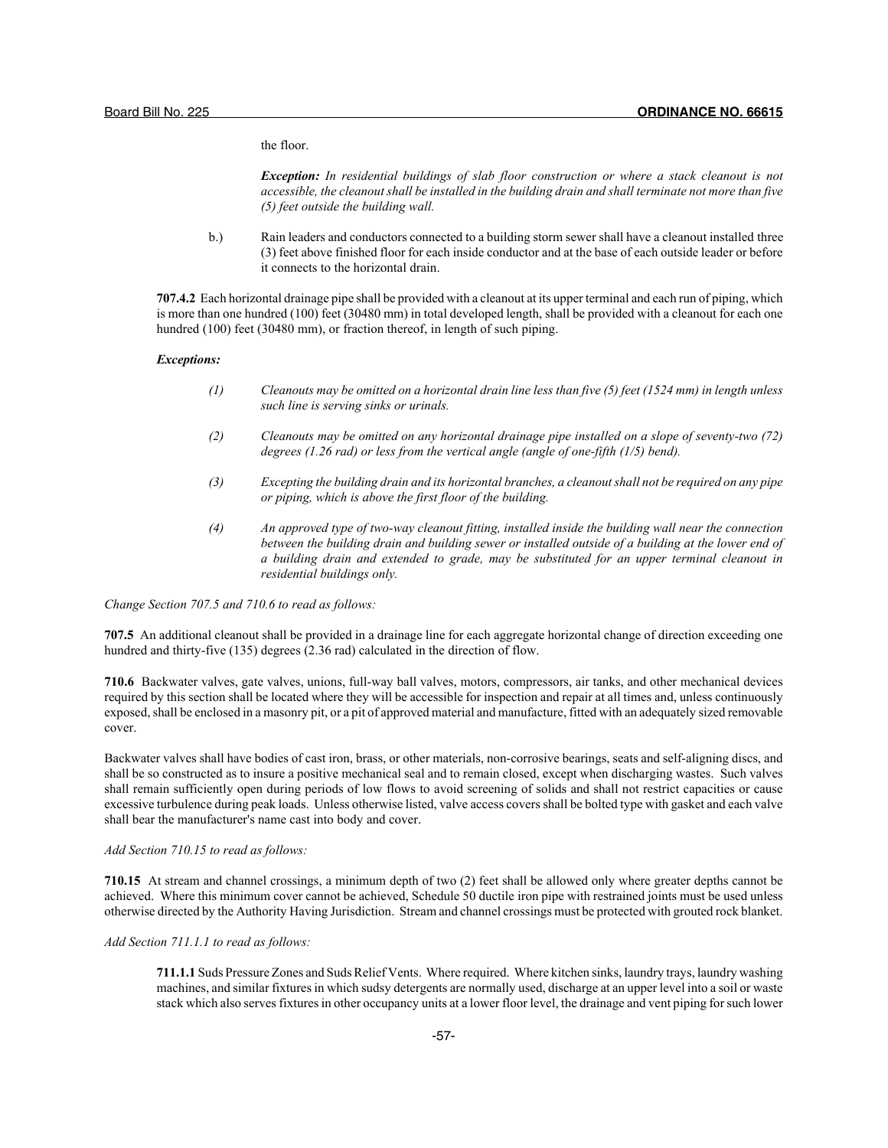the floor.

*Exception: In residential buildings of slab floor construction or where a stack cleanout is not accessible, the cleanout shall be installed in the building drain and shall terminate not more than five (5) feet outside the building wall.*

b.) Rain leaders and conductors connected to a building storm sewer shall have a cleanout installed three (3) feet above finished floor for each inside conductor and at the base of each outside leader or before it connects to the horizontal drain.

**707.4.2** Each horizontal drainage pipe shall be provided with a cleanout at its upper terminal and each run of piping, which is more than one hundred (100) feet (30480 mm) in total developed length, shall be provided with a cleanout for each one hundred (100) feet (30480 mm), or fraction thereof, in length of such piping.

## *Exceptions:*

- *(1) Cleanouts may be omitted on a horizontal drain line less than five (5) feet (1524 mm) in length unless such line is serving sinks or urinals.*
- *(2) Cleanouts may be omitted on any horizontal drainage pipe installed on a slope of seventy-two (72) degrees (1.26 rad) or less from the vertical angle (angle of one-fifth (1/5) bend).*
- *(3) Excepting the building drain and its horizontal branches, a cleanout shall not be required on any pipe or piping, which is above the first floor of the building.*
- *(4) An approved type of two-way cleanout fitting, installed inside the building wall near the connection between the building drain and building sewer or installed outside of a building at the lower end of a building drain and extended to grade, may be substituted for an upper terminal cleanout in residential buildings only.*

*Change Section 707.5 and 710.6 to read as follows:*

**707.5** An additional cleanout shall be provided in a drainage line for each aggregate horizontal change of direction exceeding one hundred and thirty-five (135) degrees (2.36 rad) calculated in the direction of flow.

**710.6** Backwater valves, gate valves, unions, full-way ball valves, motors, compressors, air tanks, and other mechanical devices required by this section shall be located where they will be accessible for inspection and repair at all times and, unless continuously exposed, shall be enclosed in a masonry pit, or a pit of approved material and manufacture, fitted with an adequately sized removable cover.

Backwater valves shall have bodies of cast iron, brass, or other materials, non-corrosive bearings, seats and self-aligning discs, and shall be so constructed as to insure a positive mechanical seal and to remain closed, except when discharging wastes. Such valves shall remain sufficiently open during periods of low flows to avoid screening of solids and shall not restrict capacities or cause excessive turbulence during peak loads. Unless otherwise listed, valve access covers shall be bolted type with gasket and each valve shall bear the manufacturer's name cast into body and cover.

## *Add Section 710.15 to read as follows:*

**710.15** At stream and channel crossings, a minimum depth of two (2) feet shall be allowed only where greater depths cannot be achieved. Where this minimum cover cannot be achieved, Schedule 50 ductile iron pipe with restrained joints must be used unless otherwise directed by the Authority Having Jurisdiction. Stream and channel crossings must be protected with grouted rock blanket.

## *Add Section 711.1.1 to read as follows:*

**711.1.1** Suds Pressure Zones and Suds Relief Vents. Where required. Where kitchen sinks, laundry trays, laundry washing machines, and similar fixtures in which sudsy detergents are normally used, discharge at an upper level into a soil or waste stack which also serves fixtures in other occupancy units at a lower floor level, the drainage and vent piping for such lower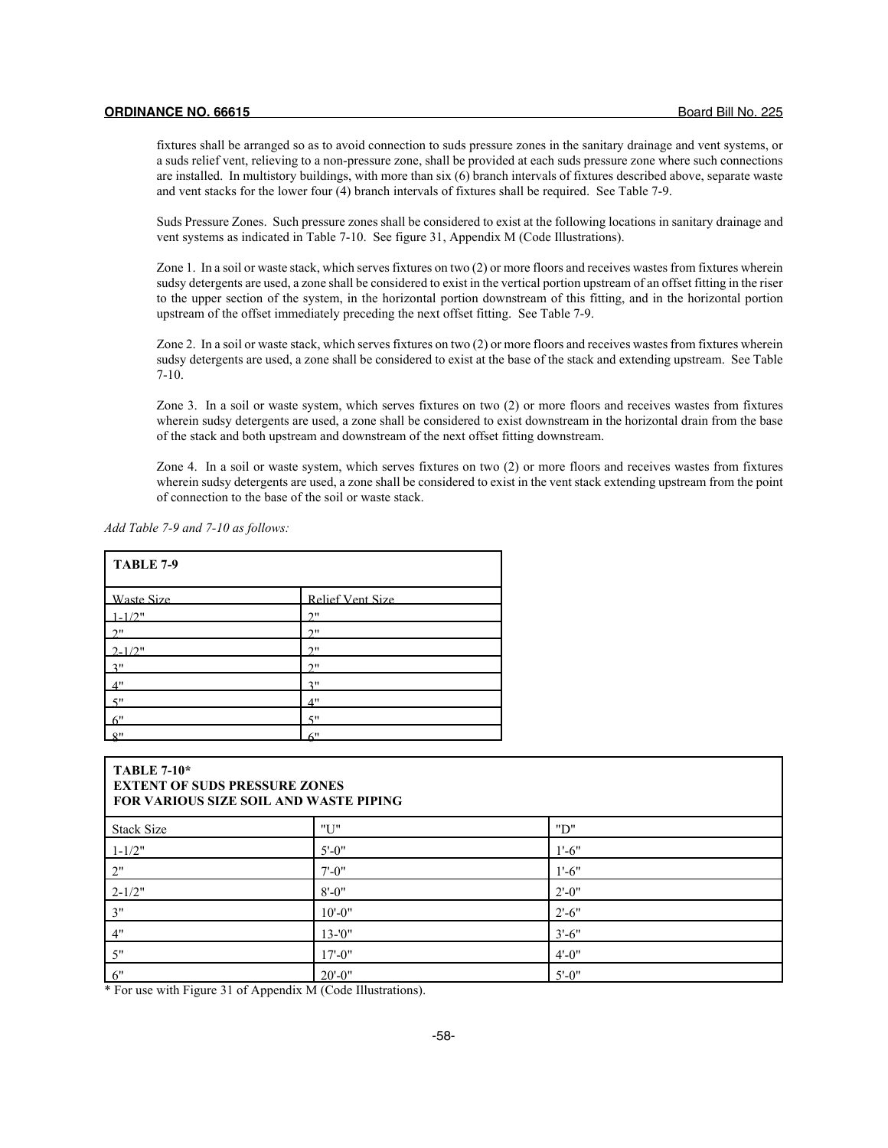fixtures shall be arranged so as to avoid connection to suds pressure zones in the sanitary drainage and vent systems, or a suds relief vent, relieving to a non-pressure zone, shall be provided at each suds pressure zone where such connections are installed. In multistory buildings, with more than six (6) branch intervals of fixtures described above, separate waste and vent stacks for the lower four (4) branch intervals of fixtures shall be required. See Table 7-9.

Suds Pressure Zones. Such pressure zones shall be considered to exist at the following locations in sanitary drainage and vent systems as indicated in Table 7-10. See figure 31, Appendix M (Code Illustrations).

Zone 1. In a soil or waste stack, which serves fixtures on two (2) or more floors and receives wastes from fixtures wherein sudsy detergents are used, a zone shall be considered to exist in the vertical portion upstream of an offset fitting in the riser to the upper section of the system, in the horizontal portion downstream of this fitting, and in the horizontal portion upstream of the offset immediately preceding the next offset fitting. See Table 7-9.

Zone 2. In a soil or waste stack, which serves fixtures on two (2) or more floors and receives wastes from fixtures wherein sudsy detergents are used, a zone shall be considered to exist at the base of the stack and extending upstream. See Table 7-10.

Zone 3. In a soil or waste system, which serves fixtures on two (2) or more floors and receives wastes from fixtures wherein sudsy detergents are used, a zone shall be considered to exist downstream in the horizontal drain from the base of the stack and both upstream and downstream of the next offset fitting downstream.

Zone 4. In a soil or waste system, which serves fixtures on two (2) or more floors and receives wastes from fixtures wherein sudsy detergents are used, a zone shall be considered to exist in the vent stack extending upstream from the point of connection to the base of the soil or waste stack.

|  |  |  |  |  |  | Add Table 7-9 and 7-10 as follows: |
|--|--|--|--|--|--|------------------------------------|
|--|--|--|--|--|--|------------------------------------|

| TABLE 7-9   |                  |  |  |  |  |
|-------------|------------------|--|--|--|--|
| Waste Size  | Relief Vent Size |  |  |  |  |
| $1 - 1/2$ " | 2"               |  |  |  |  |
| 2"          | 2"               |  |  |  |  |
| $2 - 1/2"$  | 2"               |  |  |  |  |
| 3"          | 2"               |  |  |  |  |
| 4"          | 3"               |  |  |  |  |
| 5"          | 4"               |  |  |  |  |
| 6"          | 5"               |  |  |  |  |
| 8"          | 6"               |  |  |  |  |

| <b>TABLE 7-10*</b><br><b>EXTENT OF SUDS PRESSURE ZONES</b><br>FOR VARIOUS SIZE SOIL AND WASTE PIPING |             |            |  |  |
|------------------------------------------------------------------------------------------------------|-------------|------------|--|--|
| <b>Stack Size</b>                                                                                    | "U"         | "D"        |  |  |
| $1 - 1/2"$                                                                                           | $5' - 0''$  | $1' - 6''$ |  |  |
| 2"                                                                                                   | $7' - 0''$  | $1' - 6''$ |  |  |
| $2 - 1/2"$                                                                                           | $8' - 0''$  | $2' - 0''$ |  |  |
| 3"                                                                                                   | $10' - 0''$ | $2' - 6''$ |  |  |
| 4"                                                                                                   | $13 - 0$ "  | $3' - 6''$ |  |  |
| 5"                                                                                                   | $17 - 0$ "  | $4' - 0''$ |  |  |
| 6"                                                                                                   | $20' - 0''$ | $5'$ -0"   |  |  |

\* For use with Figure 31 of Appendix M (Code Illustrations).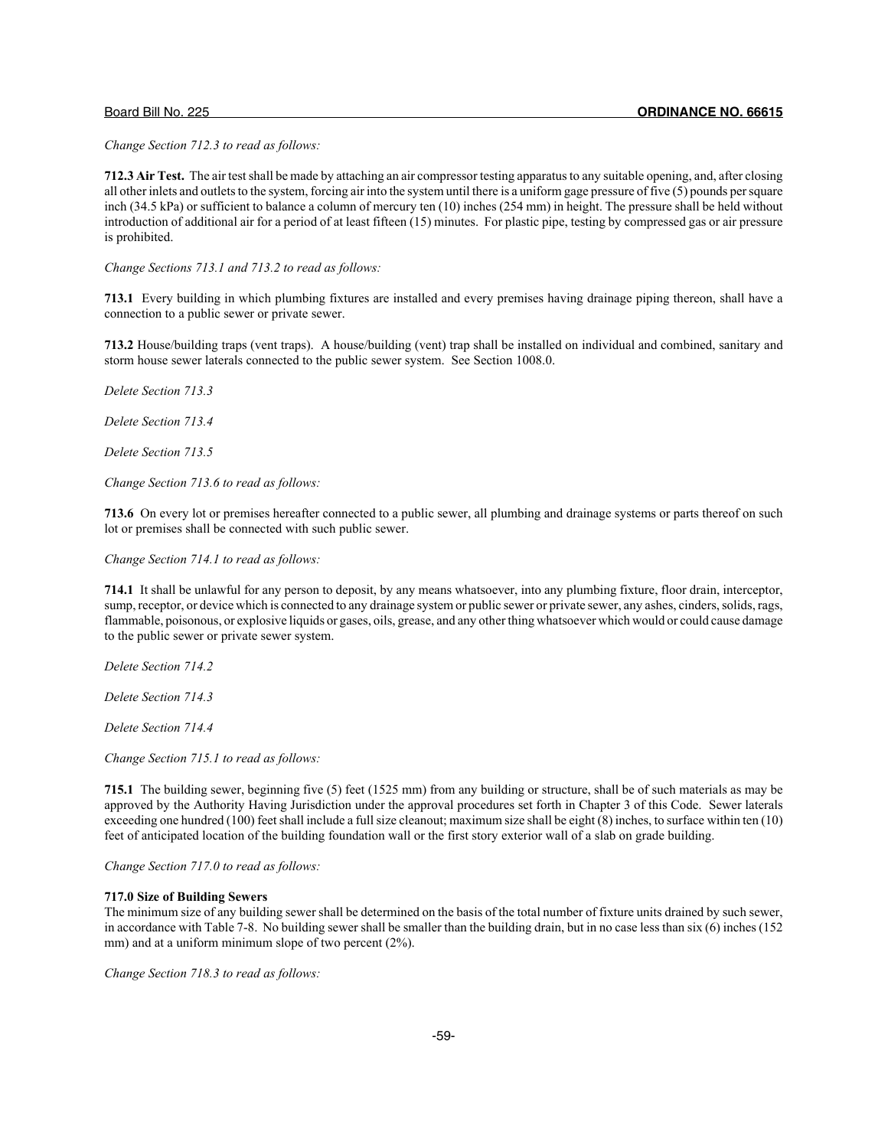*Change Section 712.3 to read as follows:*

**712.3 Air Test.** The air test shall be made by attaching an air compressor testing apparatus to any suitable opening, and, after closing all other inlets and outlets to the system, forcing air into the system until there is a uniform gage pressure of five (5) pounds per square inch (34.5 kPa) or sufficient to balance a column of mercury ten (10) inches (254 mm) in height. The pressure shall be held without introduction of additional air for a period of at least fifteen (15) minutes. For plastic pipe, testing by compressed gas or air pressure is prohibited.

*Change Sections 713.1 and 713.2 to read as follows:*

**713.1** Every building in which plumbing fixtures are installed and every premises having drainage piping thereon, shall have a connection to a public sewer or private sewer.

**713.2** House/building traps (vent traps). A house/building (vent) trap shall be installed on individual and combined, sanitary and storm house sewer laterals connected to the public sewer system. See Section 1008.0.

*Delete Section 713.3*

*Delete Section 713.4*

*Delete Section 713.5*

*Change Section 713.6 to read as follows:*

**713.6** On every lot or premises hereafter connected to a public sewer, all plumbing and drainage systems or parts thereof on such lot or premises shall be connected with such public sewer.

*Change Section 714.1 to read as follows:*

**714.1** It shall be unlawful for any person to deposit, by any means whatsoever, into any plumbing fixture, floor drain, interceptor, sump, receptor, or device which is connected to any drainage system or public sewer or private sewer, any ashes, cinders, solids, rags, flammable, poisonous, or explosive liquids or gases, oils, grease, and any other thing whatsoever which would or could cause damage to the public sewer or private sewer system.

*Delete Section 714.2*

*Delete Section 714.3*

*Delete Section 714.4*

*Change Section 715.1 to read as follows:*

**715.1** The building sewer, beginning five (5) feet (1525 mm) from any building or structure, shall be of such materials as may be approved by the Authority Having Jurisdiction under the approval procedures set forth in Chapter 3 of this Code. Sewer laterals exceeding one hundred (100) feet shall include a full size cleanout; maximum size shall be eight (8) inches, to surface within ten (10) feet of anticipated location of the building foundation wall or the first story exterior wall of a slab on grade building.

*Change Section 717.0 to read as follows:*

#### **717.0 Size of Building Sewers**

The minimum size of any building sewer shall be determined on the basis of the total number of fixture units drained by such sewer, in accordance with Table 7-8. No building sewer shall be smaller than the building drain, but in no case less than six (6) inches (152 mm) and at a uniform minimum slope of two percent (2%).

*Change Section 718.3 to read as follows:*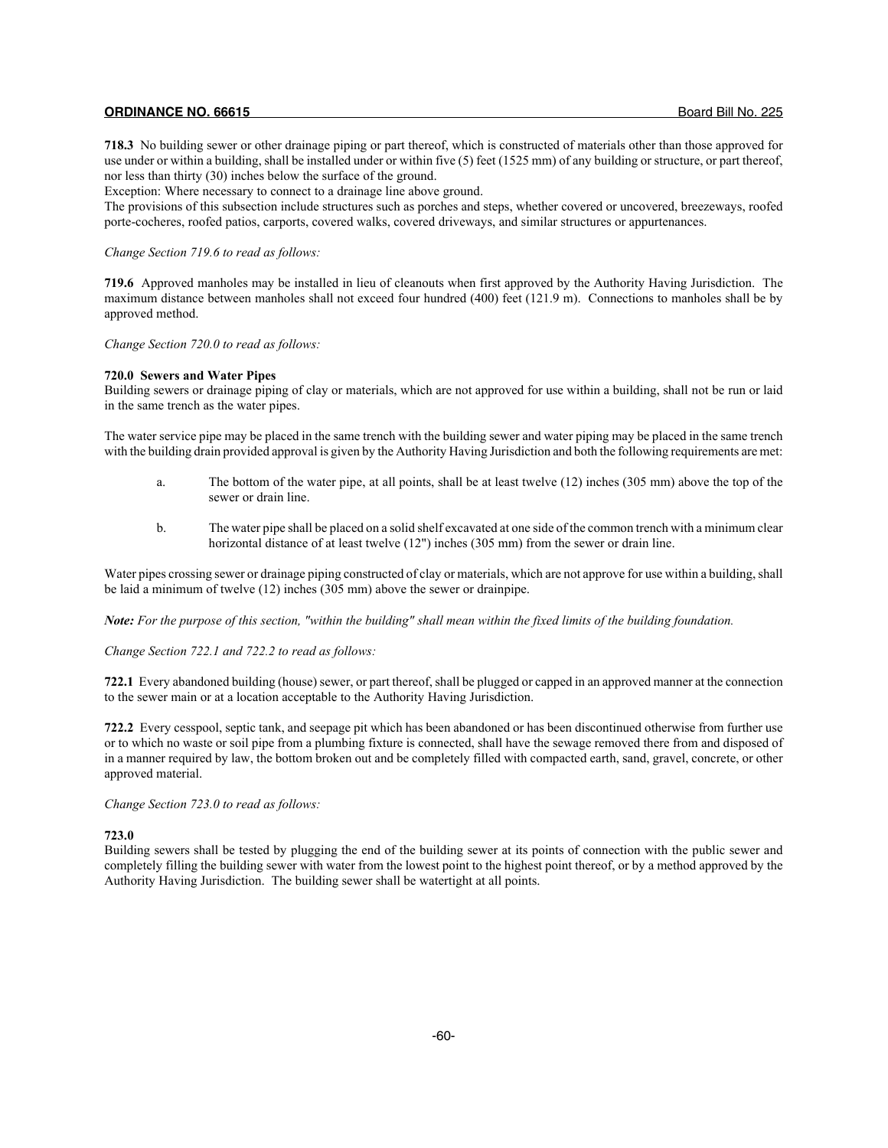**718.3** No building sewer or other drainage piping or part thereof, which is constructed of materials other than those approved for use under or within a building, shall be installed under or within five (5) feet (1525 mm) of any building or structure, or part thereof, nor less than thirty (30) inches below the surface of the ground.

Exception: Where necessary to connect to a drainage line above ground.

The provisions of this subsection include structures such as porches and steps, whether covered or uncovered, breezeways, roofed porte-cocheres, roofed patios, carports, covered walks, covered driveways, and similar structures or appurtenances.

#### *Change Section 719.6 to read as follows:*

**719.6** Approved manholes may be installed in lieu of cleanouts when first approved by the Authority Having Jurisdiction. The maximum distance between manholes shall not exceed four hundred (400) feet (121.9 m). Connections to manholes shall be by approved method.

*Change Section 720.0 to read as follows:*

## **720.0 Sewers and Water Pipes**

Building sewers or drainage piping of clay or materials, which are not approved for use within a building, shall not be run or laid in the same trench as the water pipes.

The water service pipe may be placed in the same trench with the building sewer and water piping may be placed in the same trench with the building drain provided approval is given by the Authority Having Jurisdiction and both the following requirements are met:

- a. The bottom of the water pipe, at all points, shall be at least twelve (12) inches (305 mm) above the top of the sewer or drain line.
- b. The water pipe shall be placed on a solid shelf excavated at one side of the common trench with a minimum clear horizontal distance of at least twelve (12") inches (305 mm) from the sewer or drain line.

Water pipes crossing sewer or drainage piping constructed of clay or materials, which are not approve for use within a building, shall be laid a minimum of twelve (12) inches (305 mm) above the sewer or drainpipe.

*Note: For the purpose of this section, "within the building" shall mean within the fixed limits of the building foundation.*

*Change Section 722.1 and 722.2 to read as follows:*

**722.1** Every abandoned building (house) sewer, or part thereof, shall be plugged or capped in an approved manner at the connection to the sewer main or at a location acceptable to the Authority Having Jurisdiction.

**722.2** Every cesspool, septic tank, and seepage pit which has been abandoned or has been discontinued otherwise from further use or to which no waste or soil pipe from a plumbing fixture is connected, shall have the sewage removed there from and disposed of in a manner required by law, the bottom broken out and be completely filled with compacted earth, sand, gravel, concrete, or other approved material.

*Change Section 723.0 to read as follows:*

## **723.0**

Building sewers shall be tested by plugging the end of the building sewer at its points of connection with the public sewer and completely filling the building sewer with water from the lowest point to the highest point thereof, or by a method approved by the Authority Having Jurisdiction. The building sewer shall be watertight at all points.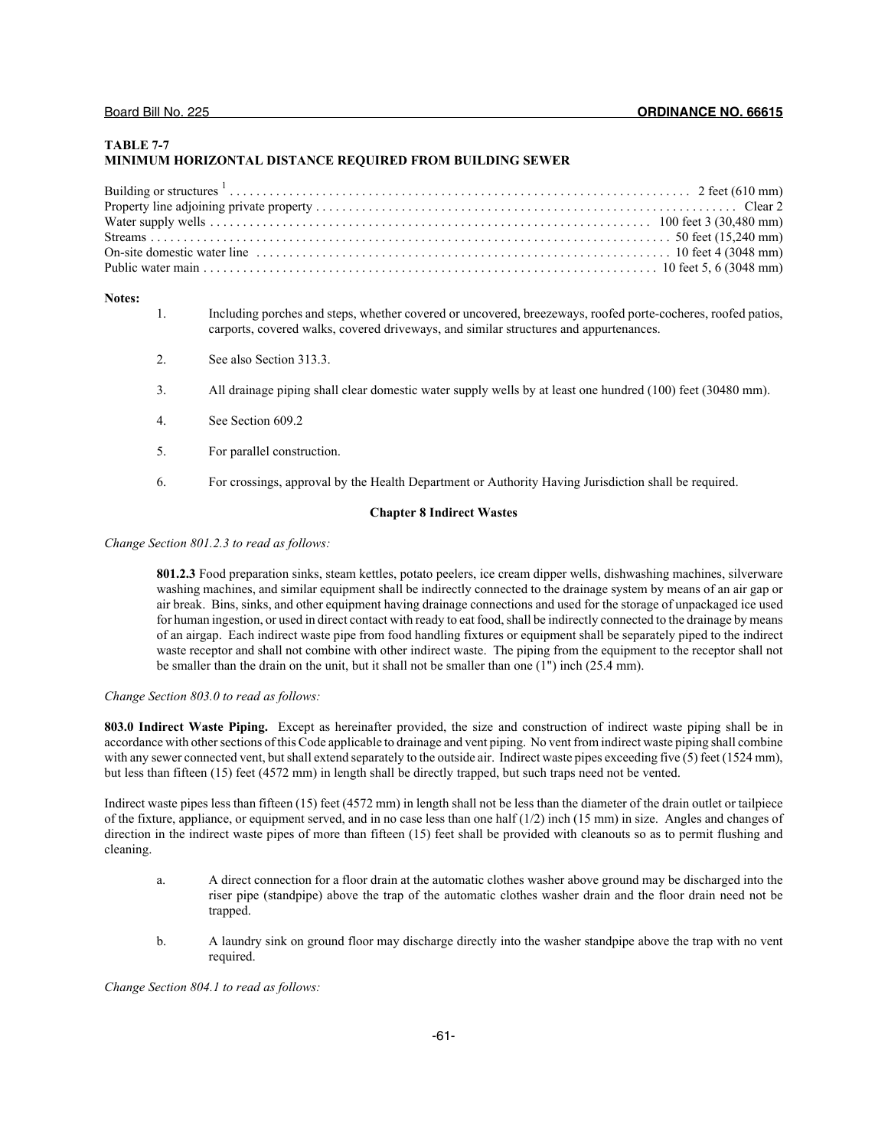## **TABLE 7-7 MINIMUM HORIZONTAL DISTANCE REQUIRED FROM BUILDING SEWER**

#### **Notes:**

- 1. Including porches and steps, whether covered or uncovered, breezeways, roofed porte-cocheres, roofed patios, carports, covered walks, covered driveways, and similar structures and appurtenances.
- 2. See also Section 313.3.
- 3. All drainage piping shall clear domestic water supply wells by at least one hundred (100) feet (30480 mm).
- 4. See Section 609.2
- 5. For parallel construction.
- 6. For crossings, approval by the Health Department or Authority Having Jurisdiction shall be required.

## **Chapter 8 Indirect Wastes**

*Change Section 801.2.3 to read as follows:*

**801.2.3** Food preparation sinks, steam kettles, potato peelers, ice cream dipper wells, dishwashing machines, silverware washing machines, and similar equipment shall be indirectly connected to the drainage system by means of an air gap or air break. Bins, sinks, and other equipment having drainage connections and used for the storage of unpackaged ice used for human ingestion, or used in direct contact with ready to eat food, shall be indirectly connected to the drainage by means of an airgap. Each indirect waste pipe from food handling fixtures or equipment shall be separately piped to the indirect waste receptor and shall not combine with other indirect waste. The piping from the equipment to the receptor shall not be smaller than the drain on the unit, but it shall not be smaller than one (1") inch (25.4 mm).

## *Change Section 803.0 to read as follows:*

**803.0 Indirect Waste Piping.** Except as hereinafter provided, the size and construction of indirect waste piping shall be in accordance with other sections of this Code applicable to drainage and vent piping. No vent from indirect waste piping shall combine with any sewer connected vent, but shall extend separately to the outside air. Indirect waste pipes exceeding five (5) feet (1524 mm), but less than fifteen (15) feet (4572 mm) in length shall be directly trapped, but such traps need not be vented.

Indirect waste pipes less than fifteen (15) feet (4572 mm) in length shall not be less than the diameter of the drain outlet or tailpiece of the fixture, appliance, or equipment served, and in no case less than one half  $(1/2)$  inch  $(15 \text{ mm})$  in size. Angles and changes of direction in the indirect waste pipes of more than fifteen (15) feet shall be provided with cleanouts so as to permit flushing and cleaning.

- a. A direct connection for a floor drain at the automatic clothes washer above ground may be discharged into the riser pipe (standpipe) above the trap of the automatic clothes washer drain and the floor drain need not be trapped.
- b. A laundry sink on ground floor may discharge directly into the washer standpipe above the trap with no vent required.

*Change Section 804.1 to read as follows:*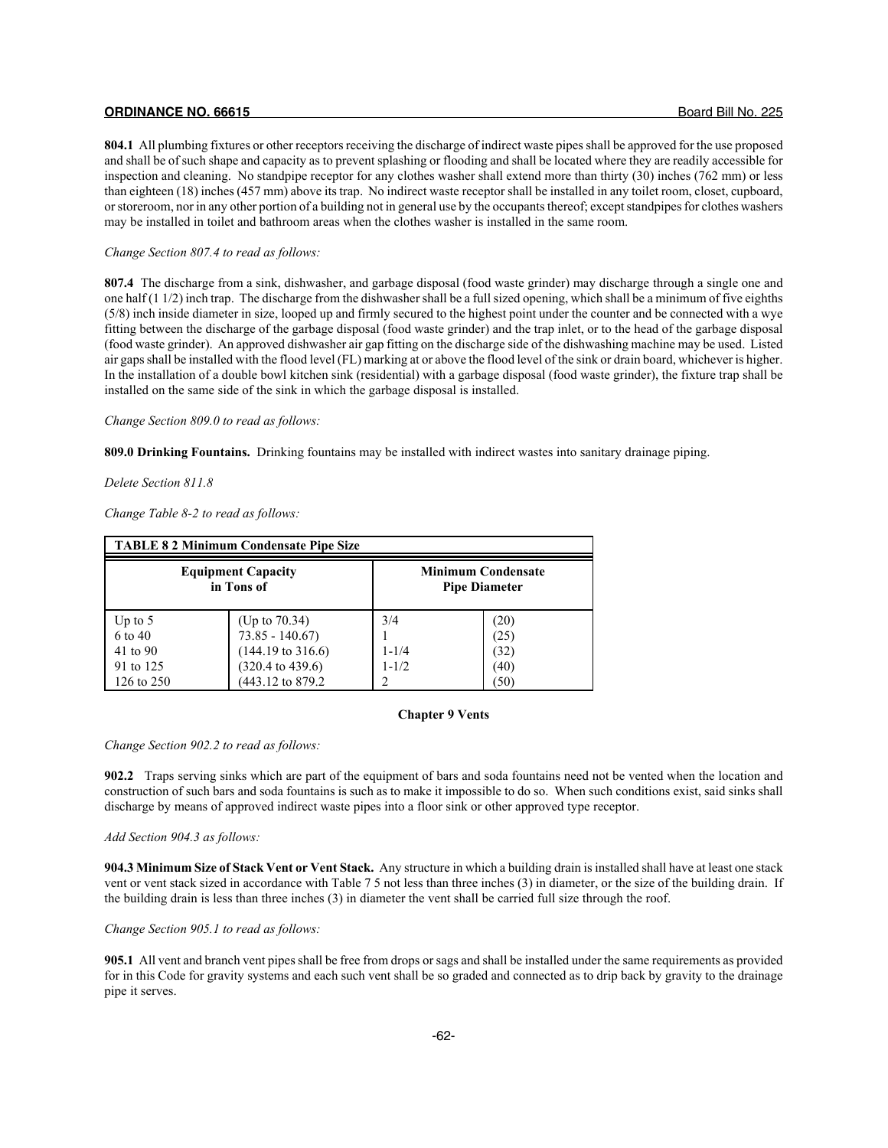**804.1** All plumbing fixtures or other receptors receiving the discharge of indirect waste pipes shall be approved for the use proposed and shall be of such shape and capacity as to prevent splashing or flooding and shall be located where they are readily accessible for inspection and cleaning. No standpipe receptor for any clothes washer shall extend more than thirty (30) inches (762 mm) or less than eighteen (18) inches (457 mm) above its trap. No indirect waste receptor shall be installed in any toilet room, closet, cupboard, or storeroom, nor in any other portion of a building not in general use by the occupants thereof; except standpipes for clothes washers may be installed in toilet and bathroom areas when the clothes washer is installed in the same room.

#### *Change Section 807.4 to read as follows:*

**807.4** The discharge from a sink, dishwasher, and garbage disposal (food waste grinder) may discharge through a single one and one half (1 1/2) inch trap. The discharge from the dishwasher shall be a full sized opening, which shall be a minimum of five eighths (5/8) inch inside diameter in size, looped up and firmly secured to the highest point under the counter and be connected with a wye fitting between the discharge of the garbage disposal (food waste grinder) and the trap inlet, or to the head of the garbage disposal (food waste grinder). An approved dishwasher air gap fitting on the discharge side of the dishwashing machine may be used. Listed air gaps shall be installed with the flood level (FL) marking at or above the flood level of the sink or drain board, whichever is higher. In the installation of a double bowl kitchen sink (residential) with a garbage disposal (food waste grinder), the fixture trap shall be installed on the same side of the sink in which the garbage disposal is installed.

## *Change Section 809.0 to read as follows:*

**809.0 Drinking Fountains.** Drinking fountains may be installed with indirect wastes into sanitary drainage piping.

#### *Delete Section 811.8*

*Change Table 8-2 to read as follows:*

| <b>TABLE 8 2 Minimum Condensate Pipe Size</b> |                              |           |                                                   |  |  |  |  |
|-----------------------------------------------|------------------------------|-----------|---------------------------------------------------|--|--|--|--|
| <b>Equipment Capacity</b><br>in Tons of       |                              |           | <b>Minimum Condensate</b><br><b>Pipe Diameter</b> |  |  |  |  |
| Up to $5$                                     | (Up to 70.34)                | 3/4       | (20)                                              |  |  |  |  |
| 6 to 40                                       | $73.85 - 140.67$             |           | (25)                                              |  |  |  |  |
| 41 to 90                                      | $(144.19 \text{ to } 316.6)$ | $1 - 1/4$ | (32)                                              |  |  |  |  |
| 91 to 125                                     | $(320.4 \text{ to } 439.6)$  | $1 - 1/2$ | (40)                                              |  |  |  |  |
| 126 to 250                                    | (443.12 to 879.2)            |           | (50)                                              |  |  |  |  |

#### **Chapter 9 Vents**

*Change Section 902.2 to read as follows:*

**902.2** Traps serving sinks which are part of the equipment of bars and soda fountains need not be vented when the location and construction of such bars and soda fountains is such as to make it impossible to do so. When such conditions exist, said sinks shall discharge by means of approved indirect waste pipes into a floor sink or other approved type receptor.

## *Add Section 904.3 as follows:*

**904.3 Minimum Size of Stack Vent or Vent Stack.** Any structure in which a building drain is installed shall have at least one stack vent or vent stack sized in accordance with Table 7 5 not less than three inches (3) in diameter, or the size of the building drain. If the building drain is less than three inches (3) in diameter the vent shall be carried full size through the roof.

#### *Change Section 905.1 to read as follows:*

**905.1** All vent and branch vent pipes shall be free from drops or sags and shall be installed under the same requirements as provided for in this Code for gravity systems and each such vent shall be so graded and connected as to drip back by gravity to the drainage pipe it serves.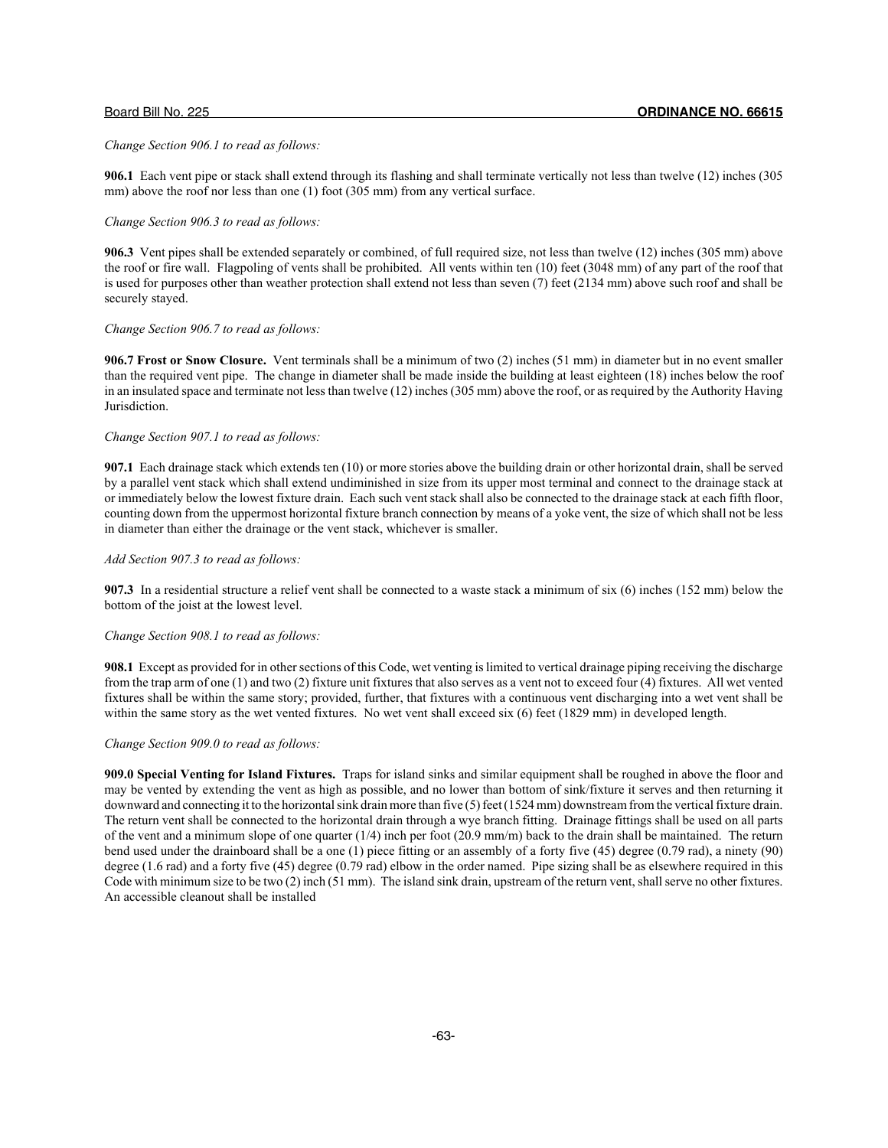#### *Change Section 906.1 to read as follows:*

**906.1** Each vent pipe or stack shall extend through its flashing and shall terminate vertically not less than twelve (12) inches (305 mm) above the roof nor less than one (1) foot (305 mm) from any vertical surface.

## *Change Section 906.3 to read as follows:*

**906.3** Vent pipes shall be extended separately or combined, of full required size, not less than twelve (12) inches (305 mm) above the roof or fire wall. Flagpoling of vents shall be prohibited. All vents within ten (10) feet (3048 mm) of any part of the roof that is used for purposes other than weather protection shall extend not less than seven (7) feet (2134 mm) above such roof and shall be securely stayed.

### *Change Section 906.7 to read as follows:*

**906.7 Frost or Snow Closure.** Vent terminals shall be a minimum of two (2) inches (51 mm) in diameter but in no event smaller than the required vent pipe. The change in diameter shall be made inside the building at least eighteen (18) inches below the roof in an insulated space and terminate not less than twelve (12) inches (305 mm) above the roof, or as required by the Authority Having Jurisdiction.

## *Change Section 907.1 to read as follows:*

**907.1** Each drainage stack which extends ten (10) or more stories above the building drain or other horizontal drain, shall be served by a parallel vent stack which shall extend undiminished in size from its upper most terminal and connect to the drainage stack at or immediately below the lowest fixture drain. Each such vent stack shall also be connected to the drainage stack at each fifth floor, counting down from the uppermost horizontal fixture branch connection by means of a yoke vent, the size of which shall not be less in diameter than either the drainage or the vent stack, whichever is smaller.

## *Add Section 907.3 to read as follows:*

**907.3** In a residential structure a relief vent shall be connected to a waste stack a minimum of six (6) inches (152 mm) below the bottom of the joist at the lowest level.

## *Change Section 908.1 to read as follows:*

**908.1** Except as provided for in other sections of this Code, wet venting is limited to vertical drainage piping receiving the discharge from the trap arm of one (1) and two (2) fixture unit fixtures that also serves as a vent not to exceed four (4) fixtures. All wet vented fixtures shall be within the same story; provided, further, that fixtures with a continuous vent discharging into a wet vent shall be within the same story as the wet vented fixtures. No wet vent shall exceed six (6) feet (1829 mm) in developed length.

## *Change Section 909.0 to read as follows:*

**909.0 Special Venting for Island Fixtures.** Traps for island sinks and similar equipment shall be roughed in above the floor and may be vented by extending the vent as high as possible, and no lower than bottom of sink/fixture it serves and then returning it downward and connecting it to the horizontal sink drain more than five (5) feet (1524 mm) downstream from the vertical fixture drain. The return vent shall be connected to the horizontal drain through a wye branch fitting. Drainage fittings shall be used on all parts of the vent and a minimum slope of one quarter (1/4) inch per foot (20.9 mm/m) back to the drain shall be maintained. The return bend used under the drainboard shall be a one (1) piece fitting or an assembly of a forty five (45) degree (0.79 rad), a ninety (90) degree (1.6 rad) and a forty five (45) degree (0.79 rad) elbow in the order named. Pipe sizing shall be as elsewhere required in this Code with minimum size to be two (2) inch (51 mm). The island sink drain, upstream of the return vent, shall serve no other fixtures. An accessible cleanout shall be installed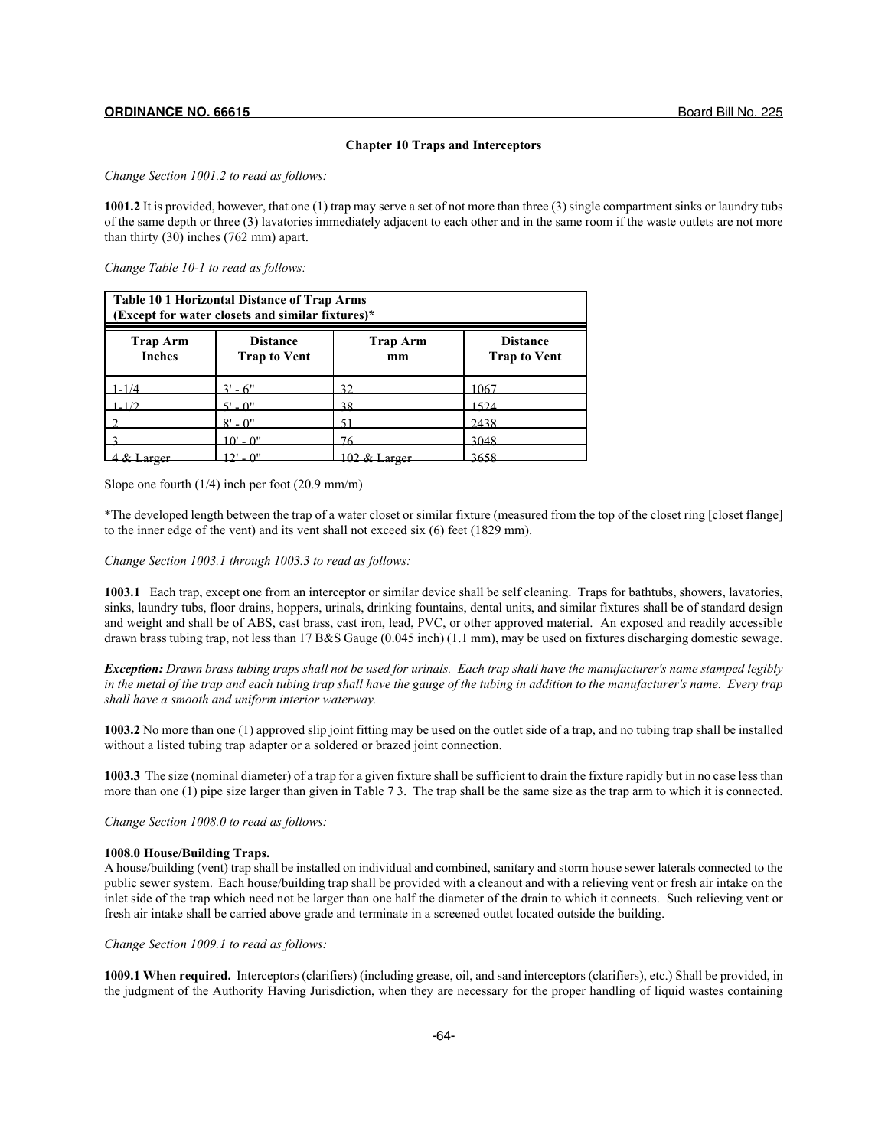### **Chapter 10 Traps and Interceptors**

*Change Section 1001.2 to read as follows:*

**1001.2** It is provided, however, that one (1) trap may serve a set of not more than three (3) single compartment sinks or laundry tubs of the same depth or three (3) lavatories immediately adjacent to each other and in the same room if the waste outlets are not more than thirty (30) inches (762 mm) apart.

*Change Table 10-1 to read as follows:*

| Table 10 1 Horizontal Distance of Trap Arms<br>(Except for water closets and similar fixtures)* |                                        |                       |                                        |  |  |
|-------------------------------------------------------------------------------------------------|----------------------------------------|-----------------------|----------------------------------------|--|--|
| <b>Trap Arm</b><br><b>Inches</b>                                                                | <b>Distance</b><br><b>Trap to Vent</b> | <b>Trap Arm</b><br>mm | <b>Distance</b><br><b>Trap to Vent</b> |  |  |
| $1 - 1/4$                                                                                       | $3' - 6''$                             | 32                    | 1067                                   |  |  |
| $1 - 1/2$                                                                                       | $5' - 0''$                             | 38                    | 1524                                   |  |  |
|                                                                                                 | $8' - 0''$                             | 51                    | 2438                                   |  |  |
|                                                                                                 | $10' - 0''$                            | 76                    | 3048                                   |  |  |
|                                                                                                 | $2! \theta$                            |                       | 3658                                   |  |  |

Slope one fourth (1/4) inch per foot (20.9 mm/m)

\*The developed length between the trap of a water closet or similar fixture (measured from the top of the closet ring [closet flange] to the inner edge of the vent) and its vent shall not exceed six (6) feet (1829 mm).

## *Change Section 1003.1 through 1003.3 to read as follows:*

**1003.1** Each trap, except one from an interceptor or similar device shall be self cleaning. Traps for bathtubs, showers, lavatories, sinks, laundry tubs, floor drains, hoppers, urinals, drinking fountains, dental units, and similar fixtures shall be of standard design and weight and shall be of ABS, cast brass, cast iron, lead, PVC, or other approved material. An exposed and readily accessible drawn brass tubing trap, not less than 17 B&S Gauge (0.045 inch) (1.1 mm), may be used on fixtures discharging domestic sewage.

*Exception: Drawn brass tubing traps shall not be used for urinals. Each trap shall have the manufacturer's name stamped legibly in the metal of the trap and each tubing trap shall have the gauge of the tubing in addition to the manufacturer's name. Every trap shall have a smooth and uniform interior waterway.*

**1003.2** No more than one (1) approved slip joint fitting may be used on the outlet side of a trap, and no tubing trap shall be installed without a listed tubing trap adapter or a soldered or brazed joint connection.

**1003.3** The size (nominal diameter) of a trap for a given fixture shall be sufficient to drain the fixture rapidly but in no case less than more than one (1) pipe size larger than given in Table 7 3. The trap shall be the same size as the trap arm to which it is connected.

*Change Section 1008.0 to read as follows:*

## **1008.0 House/Building Traps.**

A house/building (vent) trap shall be installed on individual and combined, sanitary and storm house sewer laterals connected to the public sewer system. Each house/building trap shall be provided with a cleanout and with a relieving vent or fresh air intake on the inlet side of the trap which need not be larger than one half the diameter of the drain to which it connects. Such relieving vent or fresh air intake shall be carried above grade and terminate in a screened outlet located outside the building.

*Change Section 1009.1 to read as follows:*

**1009.1 When required.** Interceptors (clarifiers) (including grease, oil, and sand interceptors (clarifiers), etc.) Shall be provided, in the judgment of the Authority Having Jurisdiction, when they are necessary for the proper handling of liquid wastes containing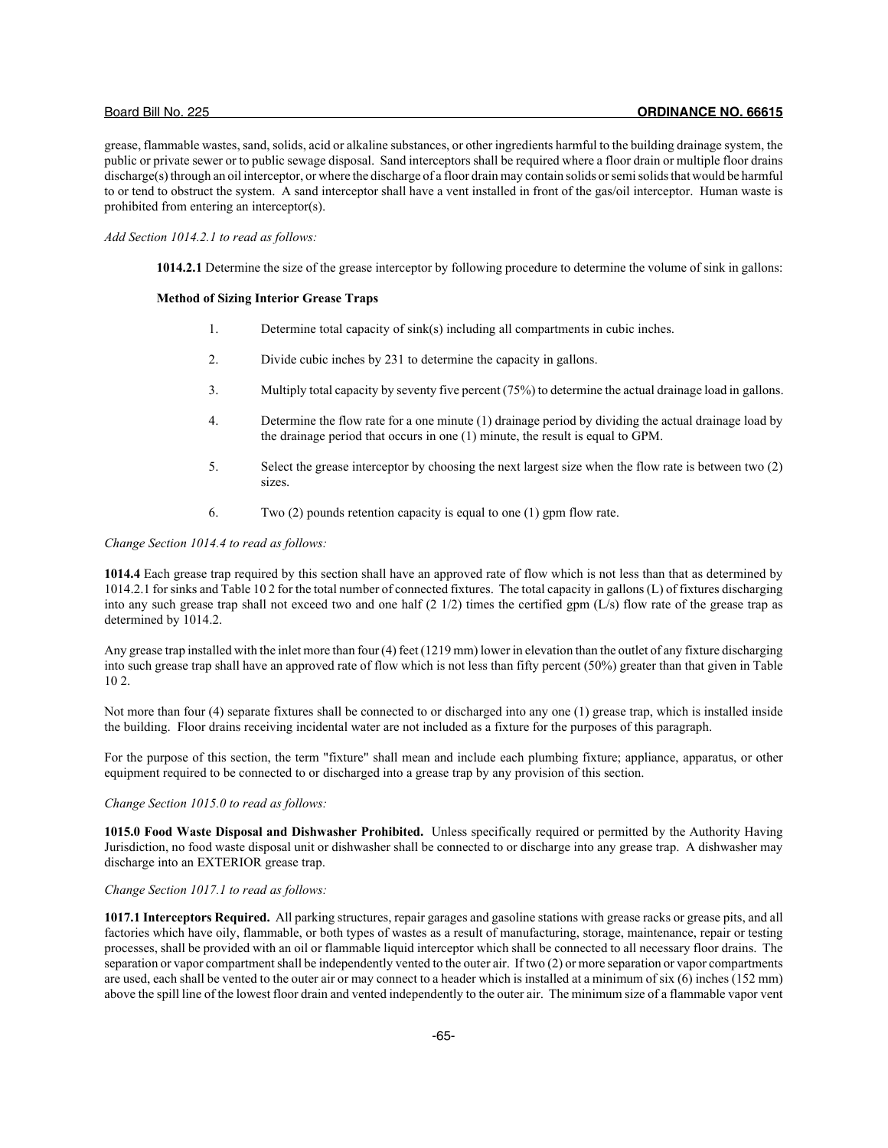grease, flammable wastes, sand, solids, acid or alkaline substances, or other ingredients harmful to the building drainage system, the public or private sewer or to public sewage disposal. Sand interceptors shall be required where a floor drain or multiple floor drains discharge(s) through an oil interceptor, or where the discharge of a floor drain may contain solids or semi solids that would be harmful to or tend to obstruct the system. A sand interceptor shall have a vent installed in front of the gas/oil interceptor. Human waste is prohibited from entering an interceptor(s).

## *Add Section 1014.2.1 to read as follows:*

**1014.2.1** Determine the size of the grease interceptor by following procedure to determine the volume of sink in gallons:

#### **Method of Sizing Interior Grease Traps**

- 1. Determine total capacity of sink(s) including all compartments in cubic inches.
- 2. Divide cubic inches by 231 to determine the capacity in gallons.
- 3. Multiply total capacity by seventy five percent (75%) to determine the actual drainage load in gallons.
- 4. Determine the flow rate for a one minute (1) drainage period by dividing the actual drainage load by the drainage period that occurs in one (1) minute, the result is equal to GPM.
- 5. Select the grease interceptor by choosing the next largest size when the flow rate is between two (2) sizes.
- 6. Two (2) pounds retention capacity is equal to one (1) gpm flow rate.

## *Change Section 1014.4 to read as follows:*

**1014.4** Each grease trap required by this section shall have an approved rate of flow which is not less than that as determined by 1014.2.1 for sinks and Table 10 2 for the total number of connected fixtures. The total capacity in gallons (L) of fixtures discharging into any such grease trap shall not exceed two and one half (2 1/2) times the certified gpm (L/s) flow rate of the grease trap as determined by 1014.2.

Any grease trap installed with the inlet more than four (4) feet (1219 mm) lower in elevation than the outlet of any fixture discharging into such grease trap shall have an approved rate of flow which is not less than fifty percent (50%) greater than that given in Table 10 2.

Not more than four (4) separate fixtures shall be connected to or discharged into any one (1) grease trap, which is installed inside the building. Floor drains receiving incidental water are not included as a fixture for the purposes of this paragraph.

For the purpose of this section, the term "fixture" shall mean and include each plumbing fixture; appliance, apparatus, or other equipment required to be connected to or discharged into a grease trap by any provision of this section.

## *Change Section 1015.0 to read as follows:*

**1015.0 Food Waste Disposal and Dishwasher Prohibited.** Unless specifically required or permitted by the Authority Having Jurisdiction, no food waste disposal unit or dishwasher shall be connected to or discharge into any grease trap. A dishwasher may discharge into an EXTERIOR grease trap.

## *Change Section 1017.1 to read as follows:*

**1017.1 Interceptors Required.** All parking structures, repair garages and gasoline stations with grease racks or grease pits, and all factories which have oily, flammable, or both types of wastes as a result of manufacturing, storage, maintenance, repair or testing processes, shall be provided with an oil or flammable liquid interceptor which shall be connected to all necessary floor drains. The separation or vapor compartment shall be independently vented to the outer air. If two (2) or more separation or vapor compartments are used, each shall be vented to the outer air or may connect to a header which is installed at a minimum of six (6) inches (152 mm) above the spill line of the lowest floor drain and vented independently to the outer air. The minimum size of a flammable vapor vent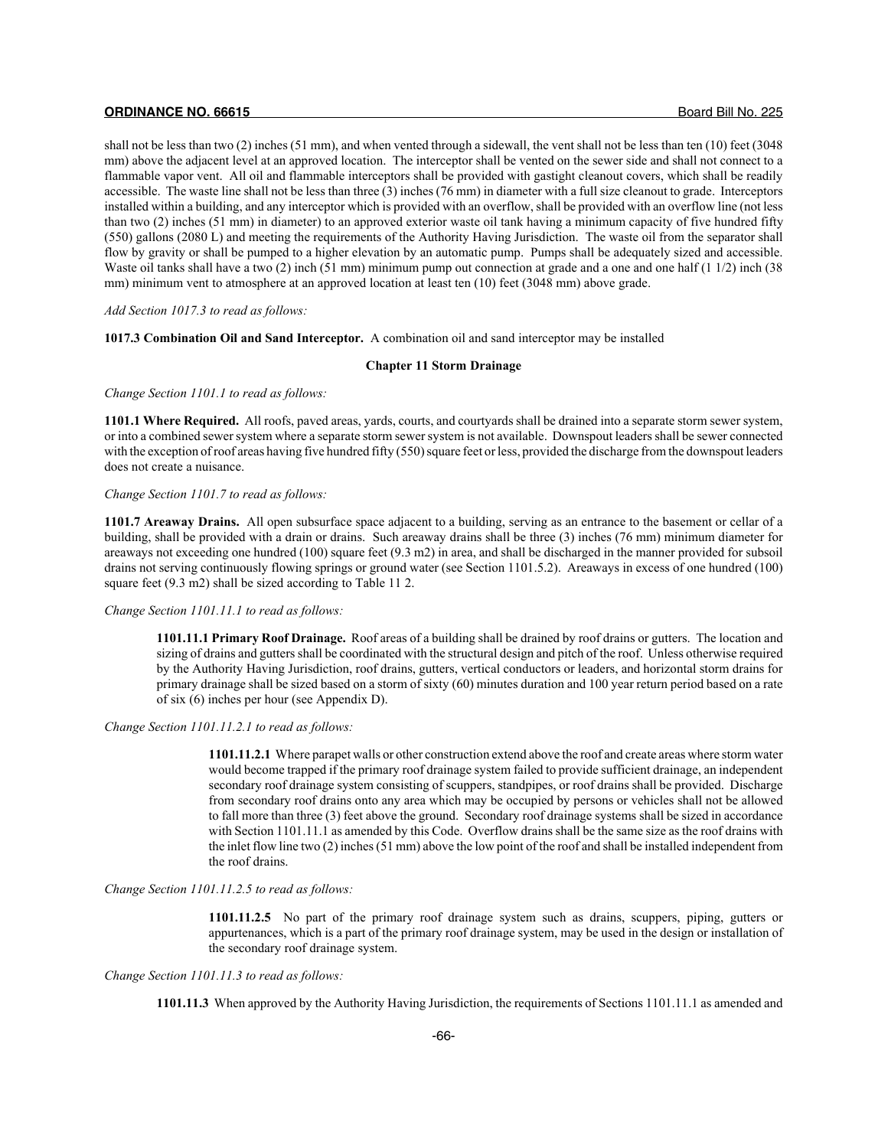shall not be less than two (2) inches (51 mm), and when vented through a sidewall, the vent shall not be less than ten (10) feet (3048 mm) above the adjacent level at an approved location. The interceptor shall be vented on the sewer side and shall not connect to a flammable vapor vent. All oil and flammable interceptors shall be provided with gastight cleanout covers, which shall be readily accessible. The waste line shall not be less than three (3) inches (76 mm) in diameter with a full size cleanout to grade. Interceptors installed within a building, and any interceptor which is provided with an overflow, shall be provided with an overflow line (not less than two (2) inches (51 mm) in diameter) to an approved exterior waste oil tank having a minimum capacity of five hundred fifty (550) gallons (2080 L) and meeting the requirements of the Authority Having Jurisdiction. The waste oil from the separator shall flow by gravity or shall be pumped to a higher elevation by an automatic pump. Pumps shall be adequately sized and accessible. Waste oil tanks shall have a two (2) inch (51 mm) minimum pump out connection at grade and a one and one half (1 1/2) inch (38 mm) minimum vent to atmosphere at an approved location at least ten (10) feet (3048 mm) above grade.

*Add Section 1017.3 to read as follows:*

**1017.3 Combination Oil and Sand Interceptor.** A combination oil and sand interceptor may be installed

## **Chapter 11 Storm Drainage**

*Change Section 1101.1 to read as follows:*

**1101.1 Where Required.** All roofs, paved areas, yards, courts, and courtyards shall be drained into a separate storm sewer system, or into a combined sewer system where a separate storm sewer system is not available. Downspout leaders shall be sewer connected with the exception of roof areas having five hundred fifty (550) square feet or less, provided the discharge from the downspout leaders does not create a nuisance.

## *Change Section 1101.7 to read as follows:*

**1101.7 Areaway Drains.** All open subsurface space adjacent to a building, serving as an entrance to the basement or cellar of a building, shall be provided with a drain or drains. Such areaway drains shall be three (3) inches (76 mm) minimum diameter for areaways not exceeding one hundred (100) square feet (9.3 m2) in area, and shall be discharged in the manner provided for subsoil drains not serving continuously flowing springs or ground water (see Section 1101.5.2). Areaways in excess of one hundred (100) square feet (9.3 m2) shall be sized according to Table 11 2.

#### *Change Section 1101.11.1 to read as follows:*

**1101.11.1 Primary Roof Drainage.** Roof areas of a building shall be drained by roof drains or gutters. The location and sizing of drains and gutters shall be coordinated with the structural design and pitch of the roof. Unless otherwise required by the Authority Having Jurisdiction, roof drains, gutters, vertical conductors or leaders, and horizontal storm drains for primary drainage shall be sized based on a storm of sixty (60) minutes duration and 100 year return period based on a rate of six (6) inches per hour (see Appendix D).

## *Change Section 1101.11.2.1 to read as follows:*

**1101.11.2.1** Where parapet walls or other construction extend above the roof and create areas where storm water would become trapped if the primary roof drainage system failed to provide sufficient drainage, an independent secondary roof drainage system consisting of scuppers, standpipes, or roof drains shall be provided. Discharge from secondary roof drains onto any area which may be occupied by persons or vehicles shall not be allowed to fall more than three (3) feet above the ground. Secondary roof drainage systems shall be sized in accordance with Section 1101.11.1 as amended by this Code. Overflow drains shall be the same size as the roof drains with the inlet flow line two (2) inches (51 mm) above the low point of the roof and shall be installed independent from the roof drains.

## *Change Section 1101.11.2.5 to read as follows:*

**1101.11.2.5** No part of the primary roof drainage system such as drains, scuppers, piping, gutters or appurtenances, which is a part of the primary roof drainage system, may be used in the design or installation of the secondary roof drainage system.

#### *Change Section 1101.11.3 to read as follows:*

**1101.11.3** When approved by the Authority Having Jurisdiction, the requirements of Sections 1101.11.1 as amended and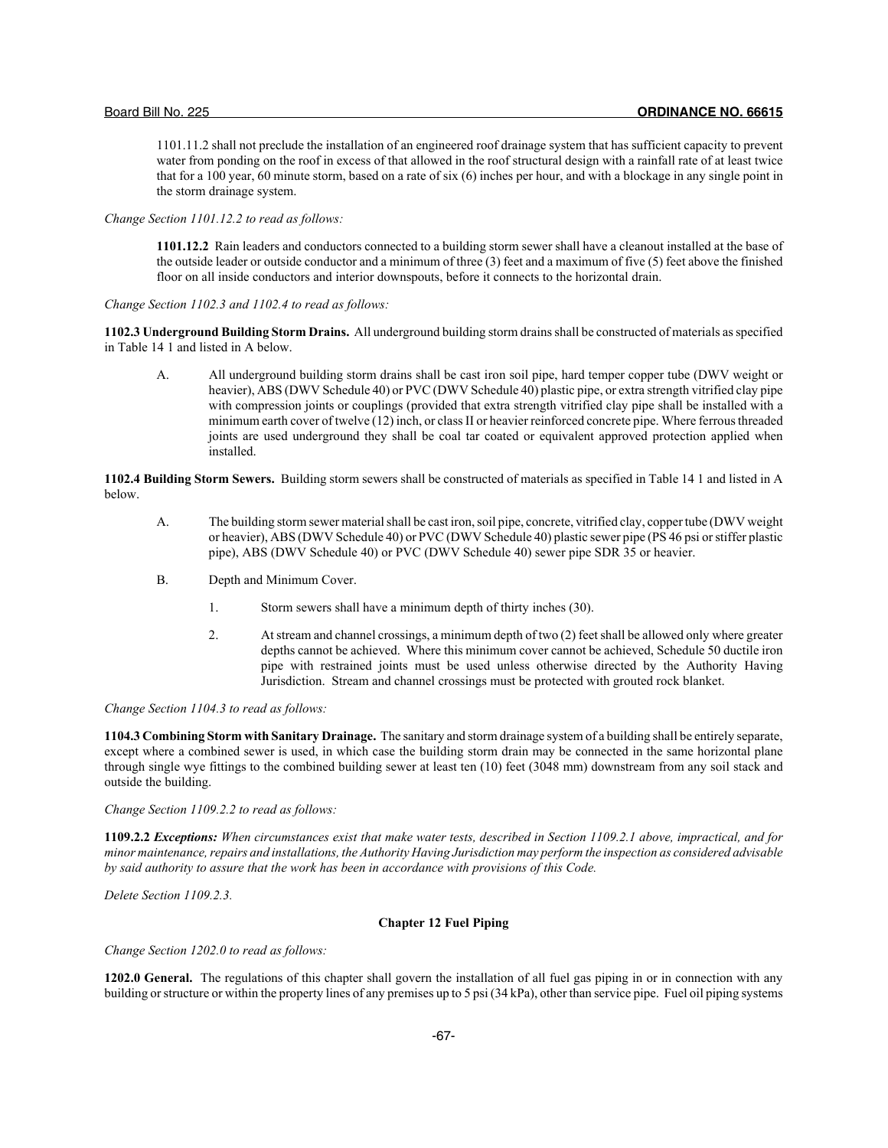1101.11.2 shall not preclude the installation of an engineered roof drainage system that has sufficient capacity to prevent water from ponding on the roof in excess of that allowed in the roof structural design with a rainfall rate of at least twice that for a 100 year, 60 minute storm, based on a rate of six (6) inches per hour, and with a blockage in any single point in the storm drainage system.

*Change Section 1101.12.2 to read as follows:*

**1101.12.2** Rain leaders and conductors connected to a building storm sewer shall have a cleanout installed at the base of the outside leader or outside conductor and a minimum of three (3) feet and a maximum of five (5) feet above the finished floor on all inside conductors and interior downspouts, before it connects to the horizontal drain.

*Change Section 1102.3 and 1102.4 to read as follows:*

**1102.3 Underground Building Storm Drains.** All underground building storm drains shall be constructed of materials as specified in Table 14 1 and listed in A below.

A. All underground building storm drains shall be cast iron soil pipe, hard temper copper tube (DWV weight or heavier), ABS (DWV Schedule 40) or PVC (DWV Schedule 40) plastic pipe, or extra strength vitrified clay pipe with compression joints or couplings (provided that extra strength vitrified clay pipe shall be installed with a minimum earth cover of twelve (12) inch, or class II or heavier reinforced concrete pipe. Where ferrous threaded joints are used underground they shall be coal tar coated or equivalent approved protection applied when installed.

**1102.4 Building Storm Sewers.** Building storm sewers shall be constructed of materials as specified in Table 14 1 and listed in A below.

- A. The building storm sewer material shall be cast iron, soil pipe, concrete, vitrified clay, copper tube (DWV weight or heavier), ABS (DWV Schedule 40) or PVC (DWV Schedule 40) plastic sewer pipe (PS 46 psi or stiffer plastic pipe), ABS (DWV Schedule 40) or PVC (DWV Schedule 40) sewer pipe SDR 35 or heavier.
- B. Depth and Minimum Cover.
	- 1. Storm sewers shall have a minimum depth of thirty inches (30).
	- 2. At stream and channel crossings, a minimum depth of two (2) feet shall be allowed only where greater depths cannot be achieved. Where this minimum cover cannot be achieved, Schedule 50 ductile iron pipe with restrained joints must be used unless otherwise directed by the Authority Having Jurisdiction. Stream and channel crossings must be protected with grouted rock blanket.

## *Change Section 1104.3 to read as follows:*

**1104.3 Combining Storm with Sanitary Drainage.** The sanitary and storm drainage system of a building shall be entirely separate, except where a combined sewer is used, in which case the building storm drain may be connected in the same horizontal plane through single wye fittings to the combined building sewer at least ten (10) feet (3048 mm) downstream from any soil stack and outside the building.

*Change Section 1109.2.2 to read as follows:*

**1109.2.2** *Exceptions: When circumstances exist that make water tests, described in Section 1109.2.1 above, impractical, and for minor maintenance, repairs and installations, the Authority Having Jurisdiction may perform the inspection as considered advisable by said authority to assure that the work has been in accordance with provisions of this Code.*

*Delete Section 1109.2.3.*

## **Chapter 12 Fuel Piping**

*Change Section 1202.0 to read as follows:*

**1202.0 General.** The regulations of this chapter shall govern the installation of all fuel gas piping in or in connection with any building or structure or within the property lines of any premises up to 5 psi (34 kPa), other than service pipe. Fuel oil piping systems